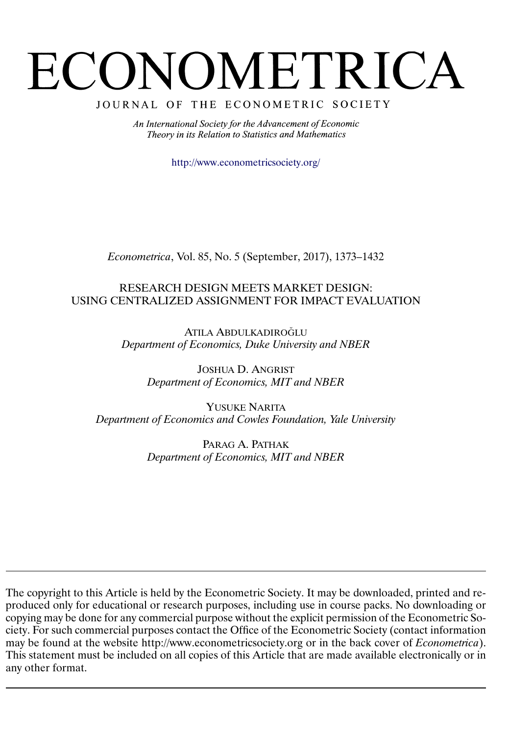# ECONOMETRICA

JOURNAL OF THE ECONOMETRIC SOCIETY

An International Society for the Advancement of Economic Theory in its Relation to Statistics and Mathematics

<http://www.econometricsociety.org/>

*Econometrica*, Vol. 85, No. 5 (September, 2017), 1373–1432

### RESEARCH DESIGN MEETS MARKET DESIGN: USING CENTRALIZED ASSIGNMENT FOR IMPACT EVALUATION

ATILA ABDULKADIROĞLU *Department of Economics, Duke University and NBER*

> JOSHUA D. ANGRIST *Department of Economics, MIT and NBER*

YUSUKE NARITA *Department of Economics and Cowles Foundation, Yale University*

> PARAG A. PATHAK *Department of Economics, MIT and NBER*

The copyright to this Article is held by the Econometric Society. It may be downloaded, printed and reproduced only for educational or research purposes, including use in course packs. No downloading or copying may be done for any commercial purpose without the explicit permission of the Econometric Society. For such commercial purposes contact the Office of the Econometric Society (contact information may be found at the website http://www.econometricsociety.org or in the back cover of *Econometrica*). This statement must be included on all copies of this Article that are made available electronically or in any other format.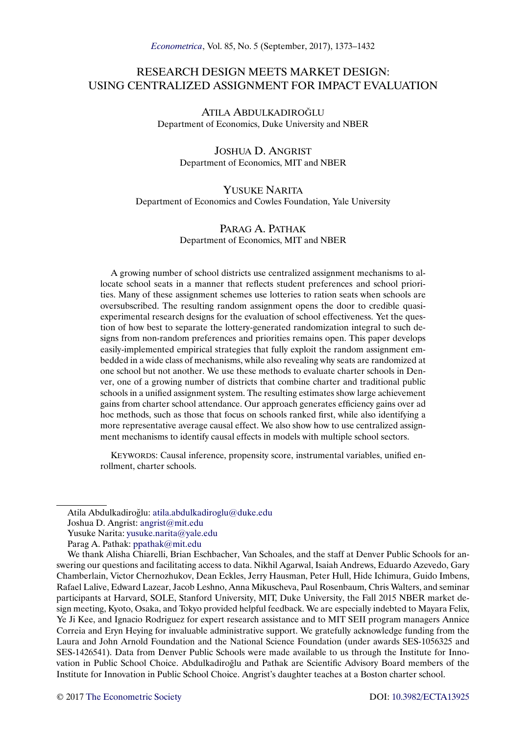### <span id="page-1-0"></span>RESEARCH DESIGN MEETS MARKET DESIGN: USING CENTRALIZED ASSIGNMENT FOR IMPACT EVALUATION

ATILA ABDULKADIROĞLU Department of Economics, Duke University and NBER

#### JOSHUA D. ANGRIST Department of Economics, MIT and NBER

YUSUKE NARITA Department of Economics and Cowles Foundation, Yale University

#### PARAG A. PATHAK Department of Economics, MIT and NBER

A growing number of school districts use centralized assignment mechanisms to allocate school seats in a manner that reflects student preferences and school priorities. Many of these assignment schemes use lotteries to ration seats when schools are oversubscribed. The resulting random assignment opens the door to credible quasiexperimental research designs for the evaluation of school effectiveness. Yet the question of how best to separate the lottery-generated randomization integral to such designs from non-random preferences and priorities remains open. This paper develops easily-implemented empirical strategies that fully exploit the random assignment embedded in a wide class of mechanisms, while also revealing why seats are randomized at one school but not another. We use these methods to evaluate charter schools in Denver, one of a growing number of districts that combine charter and traditional public schools in a unified assignment system. The resulting estimates show large achievement gains from charter school attendance. Our approach generates efficiency gains over ad hoc methods, such as those that focus on schools ranked first, while also identifying a more representative average causal effect. We also show how to use centralized assignment mechanisms to identify causal effects in models with multiple school sectors.

KEYWORDS: Causal inference, propensity score, instrumental variables, unified enrollment, charter schools.

Atila Abdulkadiroğlu: [atila.abdulkadiroglu@duke.edu](mailto:atila.abdulkadiroglu@duke.edu)

Joshua D. Angrist: [angrist@mit.edu](mailto:angrist@mit.edu)

Yusuke Narita: [yusuke.narita@yale.edu](mailto:yusuke.narita@yale.edu)

Parag A. Pathak: [ppathak@mit.edu](mailto:ppathak@mit.edu)

We thank Alisha Chiarelli, Brian Eschbacher, Van Schoales, and the staff at Denver Public Schools for answering our questions and facilitating access to data. Nikhil Agarwal, Isaiah Andrews, Eduardo Azevedo, Gary Chamberlain, Victor Chernozhukov, Dean Eckles, Jerry Hausman, Peter Hull, Hide Ichimura, Guido Imbens, Rafael Lalive, Edward Lazear, Jacob Leshno, Anna Mikuscheva, Paul Rosenbaum, Chris Walters, and seminar participants at Harvard, SOLE, Stanford University, MIT, Duke University, the Fall 2015 NBER market design meeting, Kyoto, Osaka, and Tokyo provided helpful feedback. We are especially indebted to Mayara Felix, Ye Ji Kee, and Ignacio Rodriguez for expert research assistance and to MIT SEII program managers Annice Correia and Eryn Heying for invaluable administrative support. We gratefully acknowledge funding from the Laura and John Arnold Foundation and the National Science Foundation (under awards SES-1056325 and SES-1426541). Data from Denver Public Schools were made available to us through the Institute for Innovation in Public School Choice. Abdulkadiroğlu and Pathak are Scientific Advisory Board members of the Institute for Innovation in Public School Choice. Angrist's daughter teaches at a Boston charter school.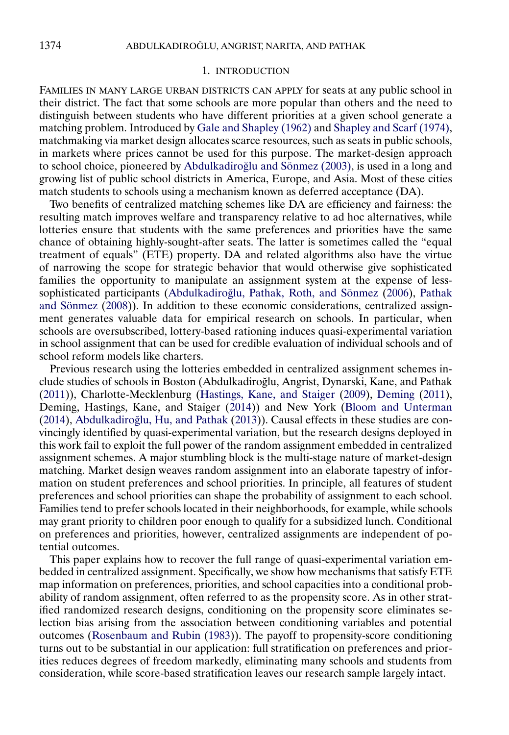#### 1. INTRODUCTION

<span id="page-2-0"></span>FAMILIES IN MANY LARGE URBAN DISTRICTS CAN APPLY for seats at any public school in their district. The fact that some schools are more popular than others and the need to distinguish between students who have different priorities at a given school generate a matching problem. Introduced by [Gale and Shapley \(1962\)](#page-59-0) and [Shapley and Scarf \(1974\),](#page-60-0) matchmaking via market design allocates scarce resources, such as seats in public schools, in markets where prices cannot be used for this purpose. The market-design approach to school choice, pioneered by Abdulkadiroğlu and Sönmez (2003), is used in a long and growing list of public school districts in America, Europe, and Asia. Most of these cities match students to schools using a mechanism known as deferred acceptance (DA).

Two benefits of centralized matching schemes like DA are efficiency and fairness: the resulting match improves welfare and transparency relative to ad hoc alternatives, while lotteries ensure that students with the same preferences and priorities have the same chance of obtaining highly-sought-after seats. The latter is sometimes called the "equal treatment of equals" (ETE) property. DA and related algorithms also have the virtue of narrowing the scope for strategic behavior that would otherwise give sophisticated families the opportunity to manipulate an assignment system at the expense of less-sophisticated participants (Abdulkadiroğlu, Pathak, Roth, and Sönmez [\(2006\)](#page-58-0), [Pathak](#page-60-0) [and Sönmez](#page-60-0) [\(2008\)](#page-60-0)). In addition to these economic considerations, centralized assignment generates valuable data for empirical research on schools. In particular, when schools are oversubscribed, lottery-based rationing induces quasi-experimental variation in school assignment that can be used for credible evaluation of individual schools and of school reform models like charters.

Previous research using the lotteries embedded in centralized assignment schemes include studies of schools in Boston (Abdulkadiroğlu, Angrist, Dynarski, Kane, and Pathak [\(2011\)](#page-57-0)), Charlotte-Mecklenburg [\(Hastings, Kane, and Staiger](#page-59-0) [\(2009\)](#page-59-0), [Deming](#page-59-0) [\(2011\)](#page-59-0), Deming, Hastings, Kane, and Staiger [\(2014\)](#page-59-0)) and New York [\(Bloom and Unterman](#page-58-0)  $(2014)$ , Abdulkadiroğlu, Hu, and Pathak  $(2013)$ ). Causal effects in these studies are convincingly identified by quasi-experimental variation, but the research designs deployed in this work fail to exploit the full power of the random assignment embedded in centralized assignment schemes. A major stumbling block is the multi-stage nature of market-design matching. Market design weaves random assignment into an elaborate tapestry of information on student preferences and school priorities. In principle, all features of student preferences and school priorities can shape the probability of assignment to each school. Families tend to prefer schools located in their neighborhoods, for example, while schools may grant priority to children poor enough to qualify for a subsidized lunch. Conditional on preferences and priorities, however, centralized assignments are independent of potential outcomes.

This paper explains how to recover the full range of quasi-experimental variation embedded in centralized assignment. Specifically, we show how mechanisms that satisfy ETE map information on preferences, priorities, and school capacities into a conditional probability of random assignment, often referred to as the propensity score. As in other stratified randomized research designs, conditioning on the propensity score eliminates selection bias arising from the association between conditioning variables and potential outcomes [\(Rosenbaum and Rubin](#page-60-0) [\(1983\)](#page-60-0)). The payoff to propensity-score conditioning turns out to be substantial in our application: full stratification on preferences and priorities reduces degrees of freedom markedly, eliminating many schools and students from consideration, while score-based stratification leaves our research sample largely intact.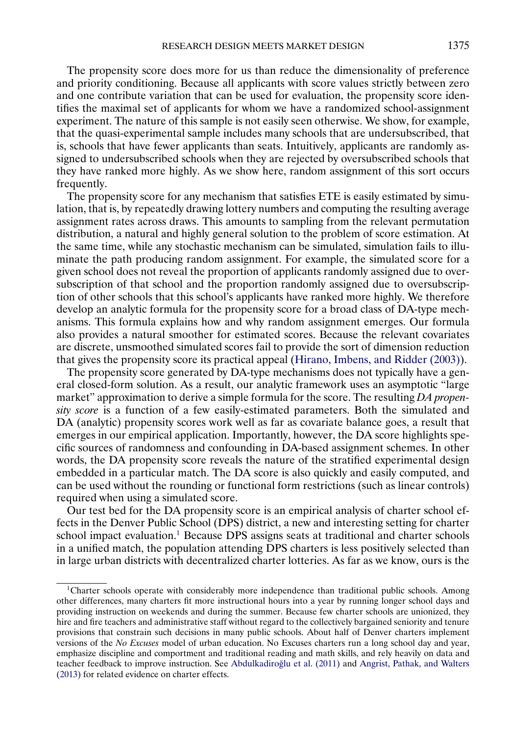The propensity score does more for us than reduce the dimensionality of preference and priority conditioning. Because all applicants with score values strictly between zero and one contribute variation that can be used for evaluation, the propensity score identifies the maximal set of applicants for whom we have a randomized school-assignment experiment. The nature of this sample is not easily seen otherwise. We show, for example, that the quasi-experimental sample includes many schools that are undersubscribed, that is, schools that have fewer applicants than seats. Intuitively, applicants are randomly assigned to undersubscribed schools when they are rejected by oversubscribed schools that they have ranked more highly. As we show here, random assignment of this sort occurs frequently.

The propensity score for any mechanism that satisfies ETE is easily estimated by simulation, that is, by repeatedly drawing lottery numbers and computing the resulting average assignment rates across draws. This amounts to sampling from the relevant permutation distribution, a natural and highly general solution to the problem of score estimation. At the same time, while any stochastic mechanism can be simulated, simulation fails to illuminate the path producing random assignment. For example, the simulated score for a given school does not reveal the proportion of applicants randomly assigned due to oversubscription of that school and the proportion randomly assigned due to oversubscription of other schools that this school's applicants have ranked more highly. We therefore develop an analytic formula for the propensity score for a broad class of DA-type mechanisms. This formula explains how and why random assignment emerges. Our formula also provides a natural smoother for estimated scores. Because the relevant covariates are discrete, unsmoothed simulated scores fail to provide the sort of dimension reduction that gives the propensity score its practical appeal [\(Hirano, Imbens, and Ridder \(2003\)\)](#page-59-0).

The propensity score generated by DA-type mechanisms does not typically have a general closed-form solution. As a result, our analytic framework uses an asymptotic "large market" approximation to derive a simple formula for the score. The resulting *DA propensity score* is a function of a few easily-estimated parameters. Both the simulated and DA (analytic) propensity scores work well as far as covariate balance goes, a result that emerges in our empirical application. Importantly, however, the DA score highlights specific sources of randomness and confounding in DA-based assignment schemes. In other words, the DA propensity score reveals the nature of the stratified experimental design embedded in a particular match. The DA score is also quickly and easily computed, and can be used without the rounding or functional form restrictions (such as linear controls) required when using a simulated score.

Our test bed for the DA propensity score is an empirical analysis of charter school effects in the Denver Public School (DPS) district, a new and interesting setting for charter school impact evaluation.<sup>1</sup> Because DPS assigns seats at traditional and charter schools in a unified match, the population attending DPS charters is less positively selected than in large urban districts with decentralized charter lotteries. As far as we know, ours is the

<sup>&</sup>lt;sup>1</sup>Charter schools operate with considerably more independence than traditional public schools. Among other differences, many charters fit more instructional hours into a year by running longer school days and providing instruction on weekends and during the summer. Because few charter schools are unionized, they hire and fire teachers and administrative staff without regard to the collectively bargained seniority and tenure provisions that constrain such decisions in many public schools. About half of Denver charters implement versions of the *No Excuses* model of urban education. No Excuses charters run a long school day and year, emphasize discipline and comportment and traditional reading and math skills, and rely heavily on data and teacher feedback to improve instruction. See Abdulkadiroğlu et al. (2011) and [Angrist, Pathak, and Walters](#page-58-0) [\(2013\)](#page-58-0) for related evidence on charter effects.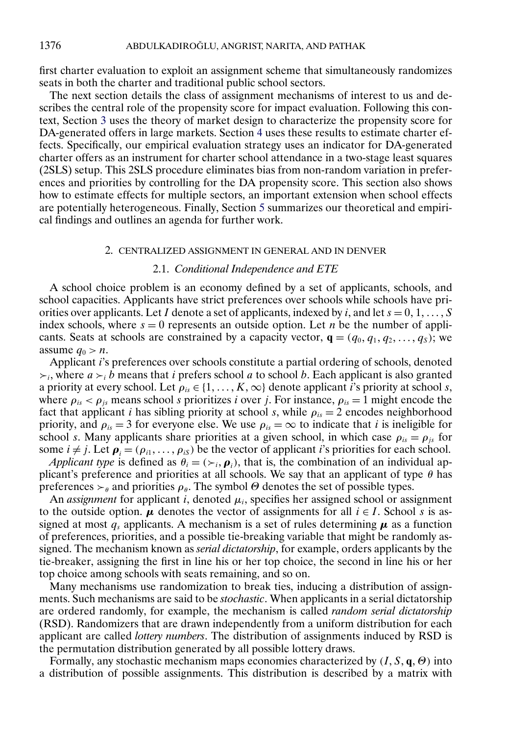<span id="page-4-0"></span>first charter evaluation to exploit an assignment scheme that simultaneously randomizes seats in both the charter and traditional public school sectors.

The next section details the class of assignment mechanisms of interest to us and describes the central role of the propensity score for impact evaluation. Following this context, Section [3](#page-12-0) uses the theory of market design to characterize the propensity score for DA-generated offers in large markets. Section [4](#page-27-0) uses these results to estimate charter effects. Specifically, our empirical evaluation strategy uses an indicator for DA-generated charter offers as an instrument for charter school attendance in a two-stage least squares (2SLS) setup. This 2SLS procedure eliminates bias from non-random variation in preferences and priorities by controlling for the DA propensity score. This section also shows how to estimate effects for multiple sectors, an important extension when school effects are potentially heterogeneous. Finally, Section [5](#page-42-0) summarizes our theoretical and empirical findings and outlines an agenda for further work.

#### 2. CENTRALIZED ASSIGNMENT IN GENERAL AND IN DENVER

#### 2.1. *Conditional Independence and ETE*

A school choice problem is an economy defined by a set of applicants, schools, and school capacities. Applicants have strict preferences over schools while schools have priorities over applicants. Let I denote a set of applicants, indexed by i, and let  $s = 0, 1, ..., S$ index schools, where  $s = 0$  represents an outside option. Let *n* be the number of applicants. Seats at schools are constrained by a capacity vector,  $\mathbf{q} = (q_0, q_1, q_2, \dots, q_s)$ ; we assume  $q_0 > n$ .

Applicant i's preferences over schools constitute a partial ordering of schools, denoted  $\succ_i$ , where  $a \succ_i b$  means that *i* prefers school *a* to school *b*. Each applicant is also granted a priority at every school. Let  $\rho_{is} \in \{1, \ldots, K, \infty\}$  denote applicant *i*'s priority at school *s*, where  $\rho_{is} < \rho_{is}$  means school s prioritizes i over j. For instance,  $\rho_{is} = 1$  might encode the fact that applicant *i* has sibling priority at school *s*, while  $\rho_{is} = 2$  encodes neighborhood priority, and  $\rho_{is} = 3$  for everyone else. We use  $\rho_{is} = \infty$  to indicate that *i* is ineligible for school s. Many applicants share priorities at a given school, in which case  $\rho_{is} = \rho_{is}$  for some  $i \neq j$ . Let  $\rho_i = (\rho_{i1}, \dots, \rho_{iS})$  be the vector of applicant *i*'s priorities for each school.

*Applicant type* is defined as  $\theta_i = (\succ_i, \rho_i)$ , that is, the combination of an individual applicant's preference and priorities at all schools. We say that an applicant of type  $\theta$  has preferences  $\succ_{\theta}$  and priorities  $\rho_{\theta}$ . The symbol  $\Theta$  denotes the set of possible types.

An *assignment* for applicant *i*, denoted  $\mu_i$ , specifies her assigned school or assignment to the outside option.  $\mu$  denotes the vector of assignments for all  $i \in I$ . School s is assigned at most  $q_s$  applicants. A mechanism is a set of rules determining  $\mu$  as a function of preferences, priorities, and a possible tie-breaking variable that might be randomly assigned. The mechanism known as *serial dictatorship*, for example, orders applicants by the tie-breaker, assigning the first in line his or her top choice, the second in line his or her top choice among schools with seats remaining, and so on.

Many mechanisms use randomization to break ties, inducing a distribution of assignments. Such mechanisms are said to be *stochastic*. When applicants in a serial dictatorship are ordered randomly, for example, the mechanism is called *random serial dictatorship* (RSD). Randomizers that are drawn independently from a uniform distribution for each applicant are called *lottery numbers*. The distribution of assignments induced by RSD is the permutation distribution generated by all possible lottery draws.

Formally, any stochastic mechanism maps economies characterized by  $(I, S, \mathbf{q}, \Theta)$  into a distribution of possible assignments. This distribution is described by a matrix with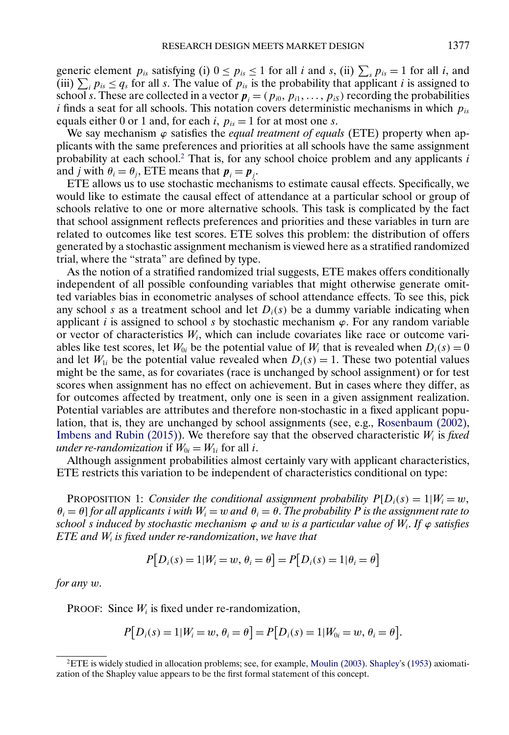<span id="page-5-0"></span>generic element  $p_{is}$  satisfying (i)  $0 \le p_{is} \le 1$  for all i and s, (ii)  $\sum_s p_{is} = 1$  for all i, and (iii)  $\sum_i p_{is} \le q_s$  for all s. The value of  $p_{is}$  is the probability that applicant *i* is assigned to school *s*. These are collected in a vector  $p_i = (p_{i0}, p_{i1}, \dots, p_{iS})$  recording the probabilities i finds a seat for all schools. This notation covers deterministic mechanisms in which  $p_{is}$ equals either 0 or 1 and, for each *i*,  $p_{is} = 1$  for at most one *s*.

We say mechanism  $\varphi$  satisfies the *equal treatment of equals* (ETE) property when applicants with the same preferences and priorities at all schools have the same assignment probability at each school.<sup>2</sup> That is, for any school choice problem and any applicants  $i$ and j with  $\theta_i = \theta_j$ , ETE means that  $p_i = p_j$ .

ETE allows us to use stochastic mechanisms to estimate causal effects. Specifically, we would like to estimate the causal effect of attendance at a particular school or group of schools relative to one or more alternative schools. This task is complicated by the fact that school assignment reflects preferences and priorities and these variables in turn are related to outcomes like test scores. ETE solves this problem: the distribution of offers generated by a stochastic assignment mechanism is viewed here as a stratified randomized trial, where the "strata" are defined by type.

As the notion of a stratified randomized trial suggests, ETE makes offers conditionally independent of all possible confounding variables that might otherwise generate omitted variables bias in econometric analyses of school attendance effects. To see this, pick any school s as a treatment school and let  $D_i(s)$  be a dummy variable indicating when applicant *i* is assigned to school s by stochastic mechanism  $\varphi$ . For any random variable or vector of characteristics  $W_i$ , which can include covariates like race or outcome variables like test scores, let  $W_{0i}$  be the potential value of  $W_i$  that is revealed when  $D_i(s) = 0$ and let  $W_{1i}$  be the potential value revealed when  $D_i(s) = 1$ . These two potential values might be the same, as for covariates (race is unchanged by school assignment) or for test scores when assignment has no effect on achievement. But in cases where they differ, as for outcomes affected by treatment, only one is seen in a given assignment realization. Potential variables are attributes and therefore non-stochastic in a fixed applicant population, that is, they are unchanged by school assignments (see, e.g., [Rosenbaum \(2002\),](#page-60-0) [Imbens and Rubin \(2015\)\)](#page-59-0). We therefore say that the observed characteristic Wi is *fixed under re-randomization* if  $W_{0i} = W_{1i}$  for all *i*.

Although assignment probabilities almost certainly vary with applicant characteristics, ETE restricts this variation to be independent of characteristics conditional on type:

PROPOSITION 1: *Consider the conditional assignment probability*  $P[D_i(s) = 1 | W_i = w$ ,  $\theta_i = \theta$ ] *for all applicants i with*  $W_i = w$  *and*  $\theta_i = \theta$ . *The probability* P *is the assignment rate to school s induced by stochastic mechanism*  $\varphi$  *and* w *is a particular value of*  $W_i$ *. If*  $\varphi$  *satisfies ETE and* Wi *is fixed under re-randomization*, *we have that*

$$
P[D_i(s) = 1 | W_i = w, \theta_i = \theta] = P[D_i(s) = 1 | \theta_i = \theta]
$$

*for any* w.

PROOF: Since  $W_i$  is fixed under re-randomization,

$$
P[D_i(s) = 1 | W_i = w, \theta_i = \theta] = P[D_i(s) = 1 | W_{0i} = w, \theta_i = \theta].
$$

<sup>&</sup>lt;sup>2</sup>ETE is widely studied in allocation problems; see, for example, [Moulin \(2003\).](#page-59-0) [Shapley'](#page-60-0)s [\(1953\)](#page-60-0) axiomatization of the Shapley value appears to be the first formal statement of this concept.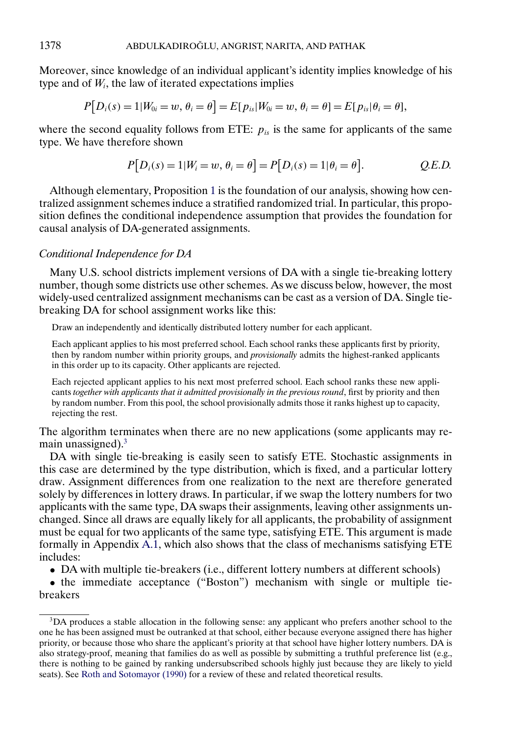Moreover, since knowledge of an individual applicant's identity implies knowledge of his type and of  $W_i$ , the law of iterated expectations implies

$$
P[D_i(s) = 1 | W_{0i} = w, \theta_i = \theta] = E[p_{is} | W_{0i} = w, \theta_i = \theta] = E[p_{is} | \theta_i = \theta],
$$

where the second equality follows from ETE:  $p_{is}$  is the same for applicants of the same type. We have therefore shown

$$
P[D_i(s) = 1 | W_i = w, \theta_i = \theta] = P[D_i(s) = 1 | \theta_i = \theta].
$$
 Q.E.D.

Although elementary, Proposition [1](#page-5-0) is the foundation of our analysis, showing how centralized assignment schemes induce a stratified randomized trial. In particular, this proposition defines the conditional independence assumption that provides the foundation for causal analysis of DA-generated assignments.

#### *Conditional Independence for DA*

Many U.S. school districts implement versions of DA with a single tie-breaking lottery number, though some districts use other schemes. As we discuss below, however, the most widely-used centralized assignment mechanisms can be cast as a version of DA. Single tiebreaking DA for school assignment works like this:

Draw an independently and identically distributed lottery number for each applicant.

Each applicant applies to his most preferred school. Each school ranks these applicants first by priority, then by random number within priority groups, and *provisionally* admits the highest-ranked applicants in this order up to its capacity. Other applicants are rejected.

Each rejected applicant applies to his next most preferred school. Each school ranks these new applicants *together with applicants that it admitted provisionally in the previous round*, first by priority and then by random number. From this pool, the school provisionally admits those it ranks highest up to capacity, rejecting the rest.

The algorithm terminates when there are no new applications (some applicants may remain unassigned). $3$ 

DA with single tie-breaking is easily seen to satisfy ETE. Stochastic assignments in this case are determined by the type distribution, which is fixed, and a particular lottery draw. Assignment differences from one realization to the next are therefore generated solely by differences in lottery draws. In particular, if we swap the lottery numbers for two applicants with the same type, DA swaps their assignments, leaving other assignments unchanged. Since all draws are equally likely for all applicants, the probability of assignment must be equal for two applicants of the same type, satisfying ETE. This argument is made formally in Appendix [A.1,](#page-43-0) which also shows that the class of mechanisms satisfying ETE includes:

• DA with multiple tie-breakers (i.e., different lottery numbers at different schools)

• the immediate acceptance ("Boston") mechanism with single or multiple tiebreakers

<span id="page-6-0"></span>

<sup>&</sup>lt;sup>3</sup>DA produces a stable allocation in the following sense: any applicant who prefers another school to the one he has been assigned must be outranked at that school, either because everyone assigned there has higher priority, or because those who share the applicant's priority at that school have higher lottery numbers. DA is also strategy-proof, meaning that families do as well as possible by submitting a truthful preference list (e.g., there is nothing to be gained by ranking undersubscribed schools highly just because they are likely to yield seats). See [Roth and Sotomayor \(1990\)](#page-60-0) for a review of these and related theoretical results.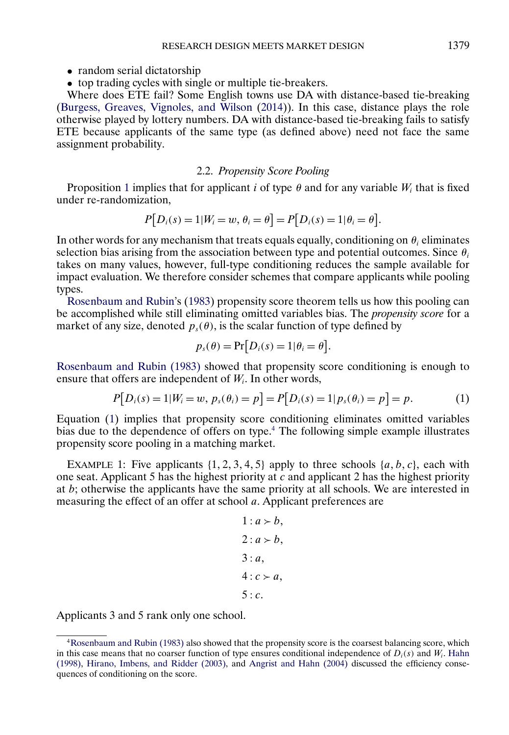- <span id="page-7-0"></span>• random serial dictatorship
- top trading cycles with single or multiple tie-breakers.

Where does ETE fail? Some English towns use DA with distance-based tie-breaking [\(Burgess, Greaves, Vignoles, and Wilson](#page-58-0) [\(2014\)](#page-58-0)). In this case, distance plays the role otherwise played by lottery numbers. DA with distance-based tie-breaking fails to satisfy ETE because applicants of the same type (as defined above) need not face the same assignment probability.

#### 2.2. *Propensity Score Pooling*

Proposition [1](#page-5-0) implies that for applicant i of type  $\theta$  and for any variable  $W_i$  that is fixed under re-randomization,

$$
P[D_i(s) = 1 | W_i = w, \theta_i = \theta] = P[D_i(s) = 1 | \theta_i = \theta].
$$

In other words for any mechanism that treats equals equally, conditioning on  $\theta_i$  eliminates selection bias arising from the association between type and potential outcomes. Since  $\theta_i$ takes on many values, however, full-type conditioning reduces the sample available for impact evaluation. We therefore consider schemes that compare applicants while pooling types.

[Rosenbaum and Rubin'](#page-60-0)s [\(1983\)](#page-60-0) propensity score theorem tells us how this pooling can be accomplished while still eliminating omitted variables bias. The *propensity score* for a market of any size, denoted  $p_s(\theta)$ , is the scalar function of type defined by

$$
p_s(\theta) = \Pr[D_i(s) = 1 | \theta_i = \theta].
$$

[Rosenbaum and Rubin \(1983\)](#page-60-0) showed that propensity score conditioning is enough to ensure that offers are independent of  $W_i$ . In other words,

$$
P[D_i(s) = 1 | W_i = w, p_s(\theta_i) = p] = P[D_i(s) = 1 | p_s(\theta_i) = p] = p.
$$
 (1)

Equation (1) implies that propensity score conditioning eliminates omitted variables bias due to the dependence of offers on type.4 The following simple example illustrates propensity score pooling in a matching market.

EXAMPLE 1: Five applicants  $\{1, 2, 3, 4, 5\}$  apply to three schools  $\{a, b, c\}$ , each with one seat. Applicant 5 has the highest priority at c and applicant 2 has the highest priority at b; otherwise the applicants have the same priority at all schools. We are interested in measuring the effect of an offer at school a. Applicant preferences are

$$
1: a > b,
$$
  
\n
$$
2: a > b,
$$
  
\n
$$
3: a,
$$
  
\n
$$
4: c > a,
$$
  
\n
$$
5: c.
$$

Applicants 3 and 5 rank only one school.

[<sup>4</sup>Rosenbaum and Rubin \(1983\)](#page-60-0) also showed that the propensity score is the coarsest balancing score, which in this case means that no coarser function of type ensures conditional independence of  $D_i(s)$  and  $W_i$ . [Hahn](#page-59-0) [\(1998\),](#page-59-0) [Hirano, Imbens, and Ridder \(2003\),](#page-59-0) and [Angrist and Hahn \(2004\)](#page-58-0) discussed the efficiency consequences of conditioning on the score.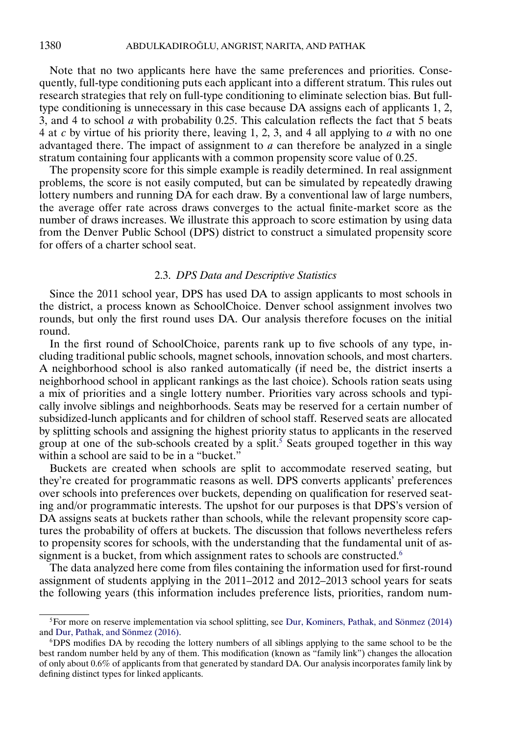Note that no two applicants here have the same preferences and priorities. Consequently, full-type conditioning puts each applicant into a different stratum. This rules out research strategies that rely on full-type conditioning to eliminate selection bias. But fulltype conditioning is unnecessary in this case because DA assigns each of applicants 1, 2, 3, and 4 to school a with probability 0.25. This calculation reflects the fact that 5 beats 4 at c by virtue of his priority there, leaving 1, 2, 3, and 4 all applying to  $\alpha$  with no one advantaged there. The impact of assignment to a can therefore be analyzed in a single stratum containing four applicants with a common propensity score value of 0.25.

The propensity score for this simple example is readily determined. In real assignment problems, the score is not easily computed, but can be simulated by repeatedly drawing lottery numbers and running DA for each draw. By a conventional law of large numbers, the average offer rate across draws converges to the actual finite-market score as the number of draws increases. We illustrate this approach to score estimation by using data from the Denver Public School (DPS) district to construct a simulated propensity score for offers of a charter school seat.

#### 2.3. *DPS Data and Descriptive Statistics*

Since the 2011 school year, DPS has used DA to assign applicants to most schools in the district, a process known as SchoolChoice. Denver school assignment involves two rounds, but only the first round uses DA. Our analysis therefore focuses on the initial round.

In the first round of SchoolChoice, parents rank up to five schools of any type, including traditional public schools, magnet schools, innovation schools, and most charters. A neighborhood school is also ranked automatically (if need be, the district inserts a neighborhood school in applicant rankings as the last choice). Schools ration seats using a mix of priorities and a single lottery number. Priorities vary across schools and typically involve siblings and neighborhoods. Seats may be reserved for a certain number of subsidized-lunch applicants and for children of school staff. Reserved seats are allocated by splitting schools and assigning the highest priority status to applicants in the reserved group at one of the sub-schools created by a split.<sup>5</sup> Seats grouped together in this way within a school are said to be in a "bucket."

Buckets are created when schools are split to accommodate reserved seating, but they're created for programmatic reasons as well. DPS converts applicants' preferences over schools into preferences over buckets, depending on qualification for reserved seating and/or programmatic interests. The upshot for our purposes is that DPS's version of DA assigns seats at buckets rather than schools, while the relevant propensity score captures the probability of offers at buckets. The discussion that follows nevertheless refers to propensity scores for schools, with the understanding that the fundamental unit of assignment is a bucket, from which assignment rates to schools are constructed.<sup>6</sup>

The data analyzed here come from files containing the information used for first-round assignment of students applying in the 2011–2012 and 2012–2013 school years for seats the following years (this information includes preference lists, priorities, random num-

<span id="page-8-0"></span>

<sup>5</sup>For more on reserve implementation via school splitting, see [Dur, Kominers, Pathak, and Sönmez \(2014\)](#page-59-0) and [Dur, Pathak, and Sönmez \(2016\).](#page-59-0)

<sup>6</sup>DPS modifies DA by recoding the lottery numbers of all siblings applying to the same school to be the best random number held by any of them. This modification (known as "family link") changes the allocation of only about 0.6% of applicants from that generated by standard DA. Our analysis incorporates family link by defining distinct types for linked applicants.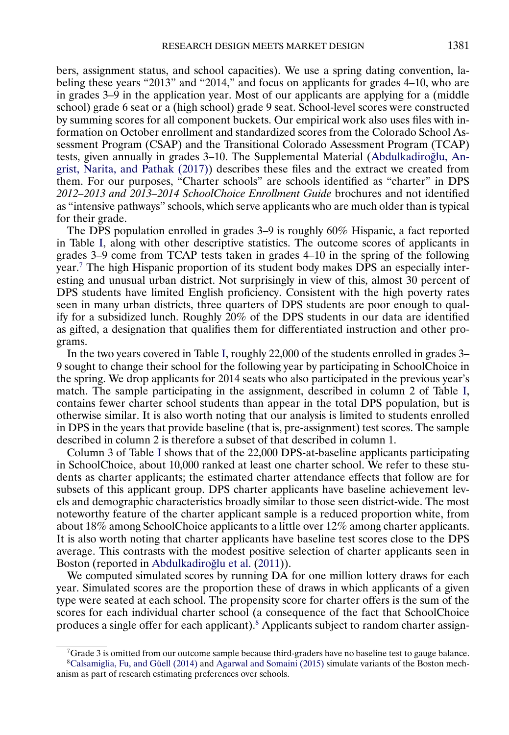bers, assignment status, and school capacities). We use a spring dating convention, labeling these years "2013" and "2014," and focus on applicants for grades 4–10, who are in grades 3–9 in the application year. Most of our applicants are applying for a (middle school) grade 6 seat or a (high school) grade 9 seat. School-level scores were constructed by summing scores for all component buckets. Our empirical work also uses files with information on October enrollment and standardized scores from the Colorado School Assessment Program (CSAP) and the Transitional Colorado Assessment Program (TCAP) tests, given annually in grades 3–10. The Supplemental Material (Abdulkadiroğlu, An[grist, Narita, and Pathak \(2017\)\)](#page-58-0) describes these files and the extract we created from them. For our purposes, "Charter schools" are schools identified as "charter" in DPS *2012–2013 and 2013–2014 SchoolChoice Enrollment Guide* brochures and not identified as "intensive pathways" schools, which serve applicants who are much older than is typical for their grade.

The DPS population enrolled in grades 3–9 is roughly 60% Hispanic, a fact reported in Table [I,](#page-10-0) along with other descriptive statistics. The outcome scores of applicants in grades 3–9 come from TCAP tests taken in grades 4–10 in the spring of the following year.7 The high Hispanic proportion of its student body makes DPS an especially interesting and unusual urban district. Not surprisingly in view of this, almost 30 percent of DPS students have limited English proficiency. Consistent with the high poverty rates seen in many urban districts, three quarters of DPS students are poor enough to qualify for a subsidized lunch. Roughly 20% of the DPS students in our data are identified as gifted, a designation that qualifies them for differentiated instruction and other programs.

In the two years covered in Table [I,](#page-10-0) roughly 22,000 of the students enrolled in grades 3– 9 sought to change their school for the following year by participating in SchoolChoice in the spring. We drop applicants for 2014 seats who also participated in the previous year's match. The sample participating in the assignment, described in column 2 of Table [I,](#page-10-0) contains fewer charter school students than appear in the total DPS population, but is otherwise similar. It is also worth noting that our analysis is limited to students enrolled in DPS in the years that provide baseline (that is, pre-assignment) test scores. The sample described in column 2 is therefore a subset of that described in column 1.

Column 3 of Table [I](#page-10-0) shows that of the 22,000 DPS-at-baseline applicants participating in SchoolChoice, about 10,000 ranked at least one charter school. We refer to these students as charter applicants; the estimated charter attendance effects that follow are for subsets of this applicant group. DPS charter applicants have baseline achievement levels and demographic characteristics broadly similar to those seen district-wide. The most noteworthy feature of the charter applicant sample is a reduced proportion white, from about 18% among SchoolChoice applicants to a little over 12% among charter applicants. It is also worth noting that charter applicants have baseline test scores close to the DPS average. This contrasts with the modest positive selection of charter applicants seen in Boston (reported in Abdulkadiroğlu et al. [\(2011\)](#page-57-0)).

We computed simulated scores by running DA for one million lottery draws for each year. Simulated scores are the proportion these of draws in which applicants of a given type were seated at each school. The propensity score for charter offers is the sum of the scores for each individual charter school (a consequence of the fact that SchoolChoice produces a single offer for each applicant).8 Applicants subject to random charter assign-

<sup>7</sup>Grade 3 is omitted from our outcome sample because third-graders have no baseline test to gauge balance. [8Calsamiglia, Fu, and Güell \(2014\)](#page-58-0) and [Agarwal and Somaini \(2015\)](#page-58-0) simulate variants of the Boston mechanism as part of research estimating preferences over schools.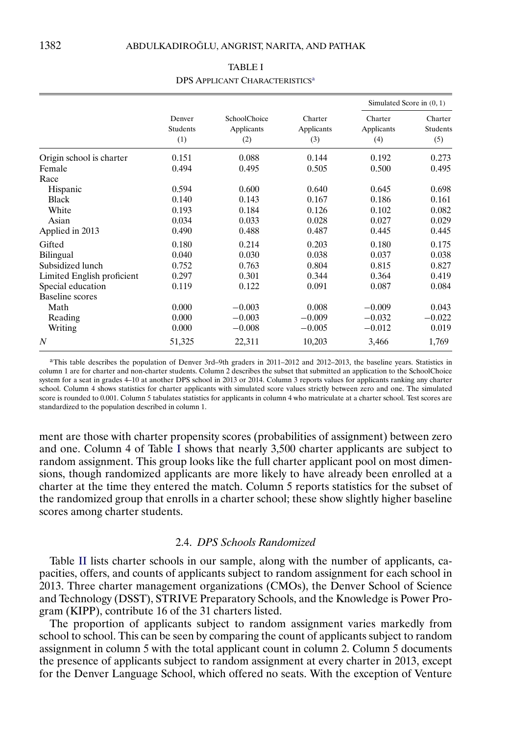<span id="page-10-0"></span>

|                            |                                  |                                   |                              | Simulated Score in $(0, 1)$  |                            |  |
|----------------------------|----------------------------------|-----------------------------------|------------------------------|------------------------------|----------------------------|--|
|                            | Denver<br><b>Students</b><br>(1) | SchoolChoice<br>Applicants<br>(2) | Charter<br>Applicants<br>(3) | Charter<br>Applicants<br>(4) | Charter<br>Students<br>(5) |  |
| Origin school is charter   | 0.151                            | 0.088                             | 0.144                        | 0.192                        | 0.273                      |  |
| Female                     | 0.494                            | 0.495                             | 0.505                        | 0.500                        | 0.495                      |  |
| Race                       |                                  |                                   |                              |                              |                            |  |
| Hispanic                   | 0.594                            | 0.600                             | 0.640                        | 0.645                        | 0.698                      |  |
| <b>Black</b>               | 0.140                            | 0.143                             | 0.167                        | 0.186                        | 0.161                      |  |
| White                      | 0.193                            | 0.184                             | 0.126                        | 0.102                        | 0.082                      |  |
| Asian                      | 0.034                            | 0.033                             | 0.028                        | 0.027                        | 0.029                      |  |
| Applied in 2013            | 0.490                            | 0.488                             | 0.487                        | 0.445                        | 0.445                      |  |
| Gifted                     | 0.180                            | 0.214                             | 0.203                        | 0.180                        | 0.175                      |  |
| <b>Bilingual</b>           | 0.040                            | 0.030                             | 0.038                        | 0.037                        | 0.038                      |  |
| Subsidized lunch           | 0.752                            | 0.763                             | 0.804                        | 0.815                        | 0.827                      |  |
| Limited English proficient | 0.297                            | 0.301                             | 0.344                        | 0.364                        | 0.419                      |  |
| Special education          | 0.119                            | 0.122                             | 0.091                        | 0.087                        | 0.084                      |  |
| Baseline scores            |                                  |                                   |                              |                              |                            |  |
| Math                       | 0.000                            | $-0.003$                          | 0.008                        | $-0.009$                     | 0.043                      |  |
| Reading                    | 0.000                            | $-0.003$                          | $-0.009$                     | $-0.032$                     | $-0.022$                   |  |
| Writing                    | 0.000                            | $-0.008$                          | $-0.005$                     | $-0.012$                     | 0.019                      |  |
| N                          | 51,325                           | 22,311                            | 10,203                       | 3,466                        | 1,769                      |  |

TABLE I DPS APPLICANT CHARACTERISTICS<sup>a</sup>

aThis table describes the population of Denver 3rd–9th graders in 2011–2012 and 2012–2013, the baseline years. Statistics in column 1 are for charter and non-charter students. Column 2 describes the subset that submitted an application to the SchoolChoice system for a seat in grades 4–10 at another DPS school in 2013 or 2014. Column 3 reports values for applicants ranking any charter school. Column 4 shows statistics for charter applicants with simulated score values strictly between zero and one. The simulated score is rounded to 0.001. Column 5 tabulates statistics for applicants in column 4 who matriculate at a charter school. Test scores are standardized to the population described in column 1.

ment are those with charter propensity scores (probabilities of assignment) between zero and one. Column 4 of Table I shows that nearly 3,500 charter applicants are subject to random assignment. This group looks like the full charter applicant pool on most dimensions, though randomized applicants are more likely to have already been enrolled at a charter at the time they entered the match. Column 5 reports statistics for the subset of the randomized group that enrolls in a charter school; these show slightly higher baseline scores among charter students.

#### 2.4. *DPS Schools Randomized*

Table [II](#page-11-0) lists charter schools in our sample, along with the number of applicants, capacities, offers, and counts of applicants subject to random assignment for each school in 2013. Three charter management organizations (CMOs), the Denver School of Science and Technology (DSST), STRIVE Preparatory Schools, and the Knowledge is Power Program (KIPP), contribute 16 of the 31 charters listed.

The proportion of applicants subject to random assignment varies markedly from school to school. This can be seen by comparing the count of applicants subject to random assignment in column 5 with the total applicant count in column 2. Column 5 documents the presence of applicants subject to random assignment at every charter in 2013, except for the Denver Language School, which offered no seats. With the exception of Venture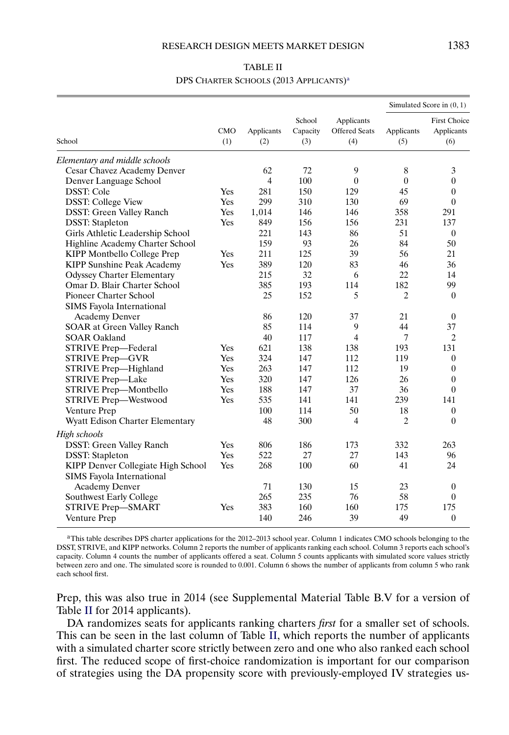#### RESEARCH DESIGN MEETS MARKET DESIGN 1383

#### TABLE II DPS CHARTER SCHOOLS (2013 APPLICANTS)<sup>a</sup>

<span id="page-11-0"></span>

|                                    |                   |                   |                           |                                           |                   | Simulated Score in $(0, 1)$              |
|------------------------------------|-------------------|-------------------|---------------------------|-------------------------------------------|-------------------|------------------------------------------|
| School                             | <b>CMO</b><br>(1) | Applicants<br>(2) | School<br>Capacity<br>(3) | Applicants<br><b>Offered Seats</b><br>(4) | Applicants<br>(5) | <b>First Choice</b><br>Applicants<br>(6) |
| Elementary and middle schools      |                   |                   |                           |                                           |                   |                                          |
| Cesar Chavez Academy Denver        |                   | 62                | 72                        | 9                                         | 8                 | 3                                        |
| Denver Language School             |                   | 4                 | 100                       | $\theta$                                  | $\theta$          | $\theta$                                 |
| <b>DSST: Cole</b>                  | Yes               | 281               | 150                       | 129                                       | 45                | $\overline{0}$                           |
| <b>DSST: College View</b>          | Yes               | 299               | 310                       | 130                                       | 69                | $\theta$                                 |
| <b>DSST: Green Valley Ranch</b>    | Yes               | 1,014             | 146                       | 146                                       | 358               | 291                                      |
| <b>DSST:</b> Stapleton             | Yes               | 849               | 156                       | 156                                       | 231               | 137                                      |
| Girls Athletic Leadership School   |                   | 221               | 143                       | 86                                        | 51                | $\theta$                                 |
| Highline Academy Charter School    |                   | 159               | 93                        | 26                                        | 84                | 50                                       |
| KIPP Montbello College Prep        | Yes               | 211               | 125                       | 39                                        | 56                | 21                                       |
| <b>KIPP Sunshine Peak Academy</b>  | Yes               | 389               | 120                       | 83                                        | 46                | 36                                       |
| <b>Odyssey Charter Elementary</b>  |                   | 215               | 32                        | 6                                         | 22                | 14                                       |
| Omar D. Blair Charter School       |                   | 385               | 193                       | 114                                       | 182               | 99                                       |
| Pioneer Charter School             |                   | 25                | 152                       | 5                                         | $\overline{2}$    | $\mathbf{0}$                             |
| <b>SIMS</b> Fayola International   |                   |                   |                           |                                           |                   |                                          |
| <b>Academy Denver</b>              |                   | 86                | 120                       | 37                                        | 21                | $\Omega$                                 |
| SOAR at Green Valley Ranch         |                   | 85                | 114                       | 9                                         | 44                | 37                                       |
| <b>SOAR Oakland</b>                |                   | 40                | 117                       | $\overline{4}$                            | $\tau$            | $\overline{c}$                           |
| STRIVE Prep-Federal                | Yes               | 621               | 138                       | 138                                       | 193               | 131                                      |
| <b>STRIVE Prep-GVR</b>             | Yes               | 324               | 147                       | 112                                       | 119               | $\theta$                                 |
| STRIVE Prep-Highland               | Yes               | 263               | 147                       | 112                                       | 19                | $\theta$                                 |
| STRIVE Prep-Lake                   | Yes               | 320               | 147                       | 126                                       | 26                | $\overline{0}$                           |
| STRIVE Prep-Montbello              | Yes               | 188               | 147                       | 37                                        | 36                | $\overline{0}$                           |
| <b>STRIVE Prep-Westwood</b>        | Yes               | 535               | 141                       | 141                                       | 239               | 141                                      |
| Venture Prep                       |                   | 100               | 114                       | 50                                        | 18                | $\boldsymbol{0}$                         |
| Wyatt Edison Charter Elementary    |                   | 48                | 300                       | 4                                         | $\overline{c}$    | $\theta$                                 |
| High schools                       |                   |                   |                           |                                           |                   |                                          |
| <b>DSST: Green Valley Ranch</b>    | Yes               | 806               | 186                       | 173                                       | 332               | 263                                      |
| <b>DSST:</b> Stapleton             | Yes               | 522               | 27                        | 27                                        | 143               | 96                                       |
| KIPP Denver Collegiate High School | Yes               | 268               | 100                       | 60                                        | 41                | 24                                       |
| SIMS Fayola International          |                   |                   |                           |                                           |                   |                                          |
| <b>Academy Denver</b>              |                   | 71                | 130                       | 15                                        | 23                | $\overline{0}$                           |
| Southwest Early College            |                   | 265               | 235                       | 76                                        | 58                | $\theta$                                 |
| <b>STRIVE Prep-SMART</b>           | Yes               | 383               | 160                       | 160                                       | 175               | 175                                      |
| Venture Prep                       |                   | 140               | 246                       | 39                                        | 49                | $\overline{0}$                           |

aThis table describes DPS charter applications for the 2012-2013 school year. Column 1 indicates CMO schools belonging to the DSST, STRIVE, and KIPP networks. Column 2 reports the number of applicants ranking each school. Column 3 reports each school's capacity. Column 4 counts the number of applicants offered a seat. Column 5 counts applicants with simulated score values strictly between zero and one. The simulated score is rounded to 0.001. Column 6 shows the number of applicants from column 5 who rank each school first.

Prep, this was also true in 2014 (see Supplemental Material Table B.V for a version of Table II for 2014 applicants).

DA randomizes seats for applicants ranking charters *first* for a smaller set of schools. This can be seen in the last column of Table II, which reports the number of applicants with a simulated charter score strictly between zero and one who also ranked each school first. The reduced scope of first-choice randomization is important for our comparison of strategies using the DA propensity score with previously-employed IV strategies us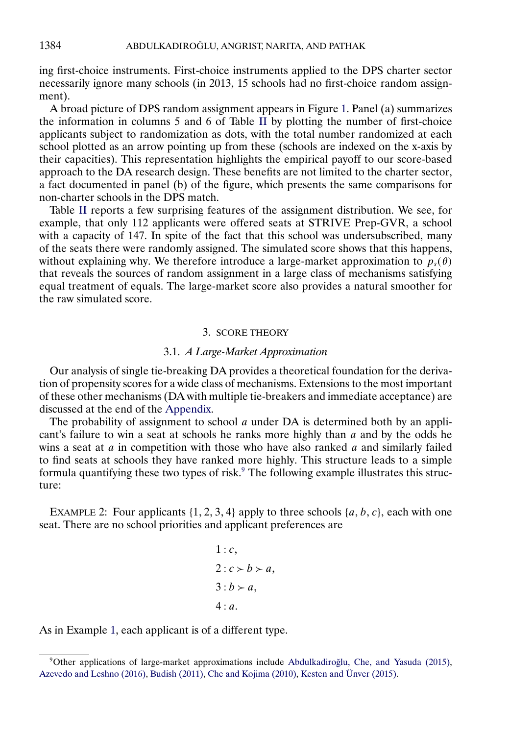<span id="page-12-0"></span>ing first-choice instruments. First-choice instruments applied to the DPS charter sector necessarily ignore many schools (in 2013, 15 schools had no first-choice random assignment).

A broad picture of DPS random assignment appears in Figure [1.](#page-13-0) Panel (a) summarizes the information in columns 5 and 6 of Table [II](#page-11-0) by plotting the number of first-choice applicants subject to randomization as dots, with the total number randomized at each school plotted as an arrow pointing up from these (schools are indexed on the x-axis by their capacities). This representation highlights the empirical payoff to our score-based approach to the DA research design. These benefits are not limited to the charter sector, a fact documented in panel (b) of the figure, which presents the same comparisons for non-charter schools in the DPS match.

Table [II](#page-11-0) reports a few surprising features of the assignment distribution. We see, for example, that only 112 applicants were offered seats at STRIVE Prep-GVR, a school with a capacity of 147. In spite of the fact that this school was undersubscribed, many of the seats there were randomly assigned. The simulated score shows that this happens, without explaining why. We therefore introduce a large-market approximation to  $p_s(\theta)$ that reveals the sources of random assignment in a large class of mechanisms satisfying equal treatment of equals. The large-market score also provides a natural smoother for the raw simulated score.

#### 3. SCORE THEORY

#### 3.1. *A Large-Market Approximation*

Our analysis of single tie-breaking DA provides a theoretical foundation for the derivation of propensity scores for a wide class of mechanisms. Extensions to the most important of these other mechanisms (DA with multiple tie-breakers and immediate acceptance) are discussed at the end of the [Appendix.](#page-43-0)

The probability of assignment to school *a* under DA is determined both by an applicant's failure to win a seat at schools he ranks more highly than  $a$  and by the odds he wins a seat at  $a$  in competition with those who have also ranked  $a$  and similarly failed to find seats at schools they have ranked more highly. This structure leads to a simple formula quantifying these two types of risk.<sup>9</sup> The following example illustrates this structure:

EXAMPLE 2: Four applicants  $\{1, 2, 3, 4\}$  apply to three schools  $\{a, b, c\}$ , each with one seat. There are no school priorities and applicant preferences are

1: c,  
\n2: 
$$
c > b > a
$$
,  
\n3:  $b > a$ ,  
\n4: a.

As in Example [1,](#page-7-0) each applicant is of a different type.

<sup>&</sup>lt;sup>9</sup>Other applications of large-market approximations include Abdulkadiroğlu, Che, and Yasuda (2015), [Azevedo and Leshno \(2016\),](#page-58-0) [Budish \(2011\),](#page-58-0) [Che and Kojima \(2010\),](#page-58-0) [Kesten and Ünver \(2015\).](#page-59-0)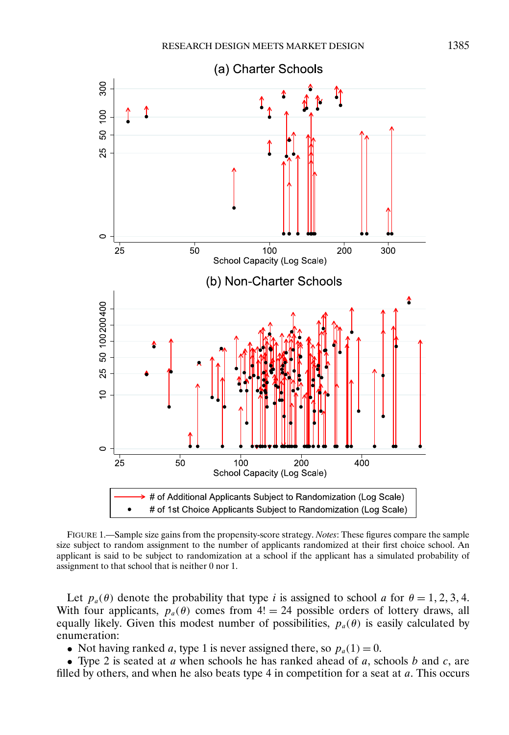<span id="page-13-0"></span>

FIGURE 1.—Sample size gains from the propensity-score strategy. *Notes*: These figures compare the sample size subject to random assignment to the number of applicants randomized at their first choice school. An applicant is said to be subject to randomization at a school if the applicant has a simulated probability of assignment to that school that is neither 0 nor 1.

Let  $p_a(\theta)$  denote the probability that type *i* is assigned to school *a* for  $\theta = 1, 2, 3, 4$ . With four applicants,  $p_a(\theta)$  comes from 4! = 24 possible orders of lottery draws, all equally likely. Given this modest number of possibilities,  $p_a(\theta)$  is easily calculated by enumeration:

• Not having ranked a, type 1 is never assigned there, so  $p_a(1) = 0$ .

• Type 2 is seated at  $a$  when schools he has ranked ahead of  $a$ , schools  $b$  and  $c$ , are filled by others, and when he also beats type  $4$  in competition for a seat at  $a$ . This occurs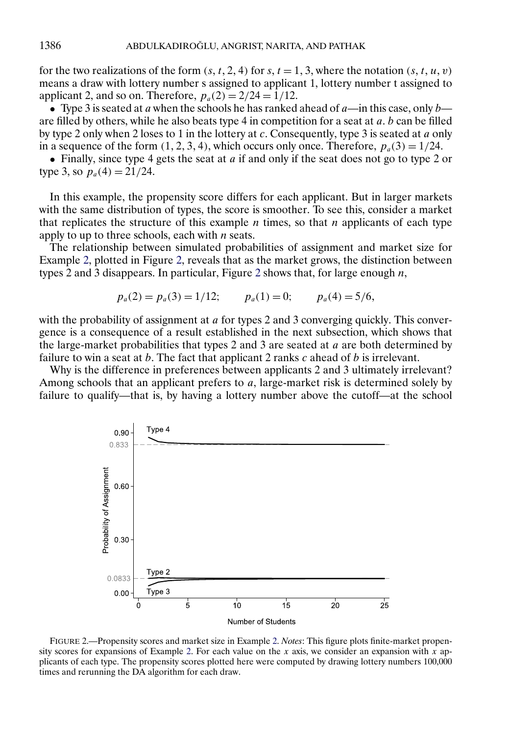for the two realizations of the form  $(s, t, 2, 4)$  for s,  $t = 1, 3$ , where the notation  $(s, t, u, v)$ means a draw with lottery number s assigned to applicant 1, lottery number t assigned to applicant 2, and so on. Therefore,  $p_a(2) = 2/24 = 1/12$ .

• Type 3 is seated at a when the schools he has ranked ahead of  $a$ —in this case, only  $b$  are filled by others, while he also beats type  $4$  in competition for a seat at  $a$ .  $b$  can be filled by type 2 only when 2 loses to 1 in the lottery at  $c$ . Consequently, type 3 is seated at  $a$  only in a sequence of the form  $(1, 2, 3, 4)$ , which occurs only once. Therefore,  $p_a(3) = 1/24$ .

• Finally, since type 4 gets the seat at  $a$  if and only if the seat does not go to type 2 or type 3, so  $p_a(4) = 21/24$ .

In this example, the propensity score differs for each applicant. But in larger markets with the same distribution of types, the score is smoother. To see this, consider a market that replicates the structure of this example  $n$  times, so that  $n$  applicants of each type apply to up to three schools, each with  $n$  seats.

The relationship between simulated probabilities of assignment and market size for Example [2,](#page-12-0) plotted in Figure 2, reveals that as the market grows, the distinction between types 2 and 3 disappears. In particular, Figure 2 shows that, for large enough  $n$ ,

$$
p_a(2) = p_a(3) = 1/12;
$$
  $p_a(1) = 0;$   $p_a(4) = 5/6,$ 

with the probability of assignment at  $a$  for types 2 and 3 converging quickly. This convergence is a consequence of a result established in the next subsection, which shows that the large-market probabilities that types 2 and 3 are seated at  $a$  are both determined by failure to win a seat at  $b$ . The fact that applicant 2 ranks  $c$  ahead of  $b$  is irrelevant.

Why is the difference in preferences between applicants 2 and 3 ultimately irrelevant? Among schools that an applicant prefers to  $a$ , large-market risk is determined solely by failure to qualify—that is, by having a lottery number above the cutoff—at the school



FIGURE 2.—Propensity scores and market size in Example [2.](#page-12-0) *Notes*: This figure plots finite-market propen-sity scores for expansions of Example [2.](#page-12-0) For each value on the x axis, we consider an expansion with x applicants of each type. The propensity scores plotted here were computed by drawing lottery numbers 100,000 times and rerunning the DA algorithm for each draw.

<span id="page-14-0"></span>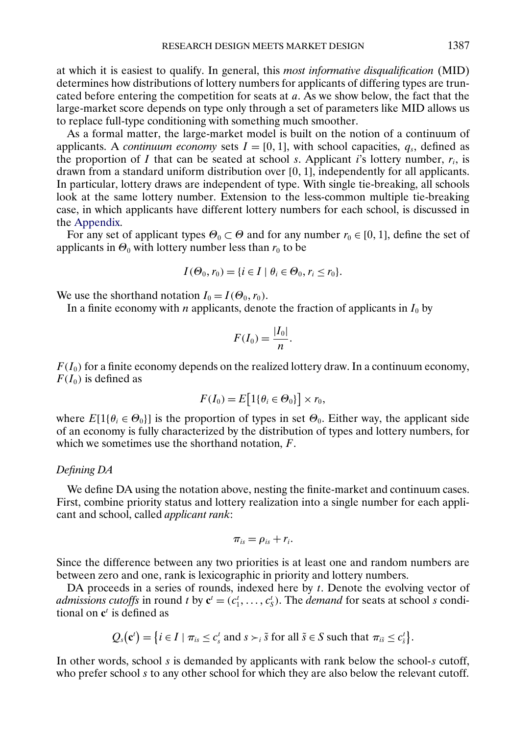<span id="page-15-0"></span>at which it is easiest to qualify. In general, this *most informative disqualification* (MID) determines how distributions of lottery numbers for applicants of differing types are truncated before entering the competition for seats at  $a$ . As we show below, the fact that the large-market score depends on type only through a set of parameters like MID allows us to replace full-type conditioning with something much smoother.

As a formal matter, the large-market model is built on the notion of a continuum of applicants. A *continuum economy* sets  $I = [0, 1]$ , with school capacities,  $q_s$ , defined as the proportion of I that can be seated at school s. Applicant i's lottery number,  $r_i$ , is drawn from a standard uniform distribution over  $[0, 1]$ , independently for all applicants. In particular, lottery draws are independent of type. With single tie-breaking, all schools look at the same lottery number. Extension to the less-common multiple tie-breaking case, in which applicants have different lottery numbers for each school, is discussed in the [Appendix.](#page-43-0)

For any set of applicant types  $\Theta_0 \subset \Theta$  and for any number  $r_0 \in [0, 1]$ , define the set of applicants in  $\Theta_0$  with lottery number less than  $r_0$  to be

$$
I(\Theta_0,r_0)=\{i\in I\mid \theta_i\in \Theta_0,r_i\leq r_0\}.
$$

We use the shorthand notation  $I_0 = I(\Theta_0, r_0)$ .

In a finite economy with *n* applicants, denote the fraction of applicants in  $I_0$  by

$$
F(I_0)=\frac{|I_0|}{n}.
$$

 $F(I_0)$  for a finite economy depends on the realized lottery draw. In a continuum economy,  $F(I_0)$  is defined as

$$
F(I_0) = E\big[1\{\theta_i \in \Theta_0\}\big] \times r_0,
$$

where  $E[1{\theta_i \in \Theta_0}]$  is the proportion of types in set  $\Theta_0$ . Either way, the applicant side of an economy is fully characterized by the distribution of types and lottery numbers, for which we sometimes use the shorthand notation, F.

#### *Defining DA*

We define DA using the notation above, nesting the finite-market and continuum cases. First, combine priority status and lottery realization into a single number for each applicant and school, called *applicant rank*:

$$
\pi_{is}=\rho_{is}+r_i.
$$

Since the difference between any two priorities is at least one and random numbers are between zero and one, rank is lexicographic in priority and lottery numbers.

DA proceeds in a series of rounds, indexed here by  $t$ . Denote the evolving vector of *admissions cutoffs* in round t by  $\mathbf{c}^t = (c_1^t, \dots, c_s^t)$ . The *demand* for seats at school s conditional on  $c<sup>t</sup>$  is defined as

$$
Q_s(\mathbf{c}^t) = \left\{ i \in I \mid \pi_{is} \le c_s^t \text{ and } s \succ_i \tilde{s} \text{ for all } \tilde{s} \in S \text{ such that } \pi_{i\tilde{s}} \le c_s^t \right\}.
$$

In other words, school  $s$  is demanded by applicants with rank below the school- $s$  cutoff, who prefer school s to any other school for which they are also below the relevant cutoff.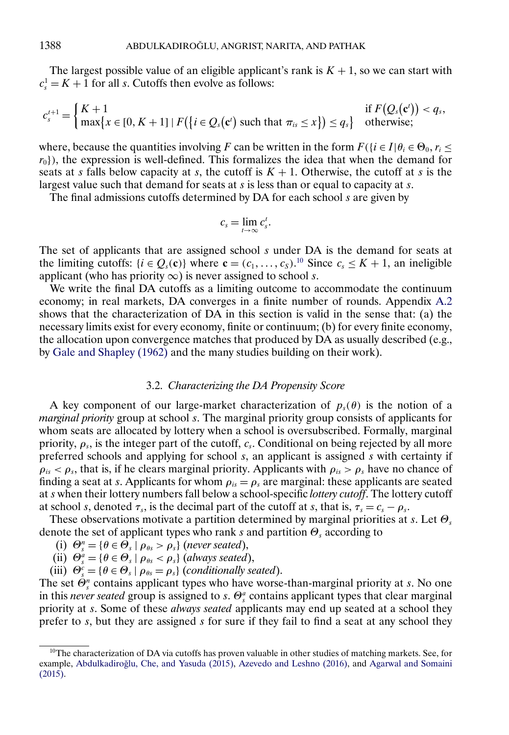<span id="page-16-0"></span>The largest possible value of an eligible applicant's rank is  $K + 1$ , so we can start with  $c_s^1 = K + 1$  for all s. Cutoffs then evolve as follows:

$$
c_s^{t+1} = \begin{cases} K+1 & \text{if } F(Q_s(\mathbf{c}^t)) < q_s, \\ \max\{x \in [0, K+1] \mid F(\{i \in Q_s(\mathbf{c}^t) \text{ such that } \pi_{is} \le x\}) \le q_s\} & \text{otherwise}; \end{cases}
$$

where, because the quantities involving F can be written in the form  $F({i \in I | \theta_i \in \Theta_0, r_i \leq \Theta_0, \theta_i \leq \Theta_0, \theta_i \leq \Theta_0, \theta_i \leq \Theta_0, \theta_i \leq \Theta_0, \theta_i \leq \Theta_0, \theta_i \leq \Theta_0, \theta_i \leq \Theta_0, \theta_i \leq \Theta_0, \theta_i \leq \Theta_0, \theta_i \leq \Theta_0, \theta_i \leq \Theta_0, \theta_i$  $r_0$ ), the expression is well-defined. This formalizes the idea that when the demand for seats at s falls below capacity at s, the cutoff is  $K + 1$ . Otherwise, the cutoff at s is the largest value such that demand for seats at s is less than or equal to capacity at s.

The final admissions cutoffs determined by DA for each school s are given by

$$
c_s=\lim_{t\to\infty}c_s^t.
$$

The set of applicants that are assigned school s under DA is the demand for seats at the limiting cutoffs:  $\{i \in Q_s(\mathbf{c})\}$  where  $\mathbf{c} = (c_1, \dots, c_s)$ .<sup>10</sup> Since  $c_s \leq K + 1$ , an ineligible applicant (who has priority  $\infty$ ) is never assigned to school s.

We write the final DA cutoffs as a limiting outcome to accommodate the continuum economy; in real markets, DA converges in a finite number of rounds. Appendix [A.2](#page-45-0) shows that the characterization of DA in this section is valid in the sense that: (a) the necessary limits exist for every economy, finite or continuum; (b) for every finite economy, the allocation upon convergence matches that produced by DA as usually described (e.g., by [Gale and Shapley \(1962\)](#page-59-0) and the many studies building on their work).

#### 3.2. *Characterizing the DA Propensity Score*

A key component of our large-market characterization of  $p_s(\theta)$  is the notion of a *marginal priority* group at school s. The marginal priority group consists of applicants for whom seats are allocated by lottery when a school is oversubscribed. Formally, marginal priority,  $\rho_s$ , is the integer part of the cutoff,  $c_s$ . Conditional on being rejected by all more preferred schools and applying for school s, an applicant is assigned s with certainty if  $\rho_{is} < \rho_s$ , that is, if he clears marginal priority. Applicants with  $\rho_{is} > \rho_s$  have no chance of finding a seat at s. Applicants for whom  $\rho_{is} = \rho_s$  are marginal: these applicants are seated at s when their lottery numbers fall below a school-specific *lottery cutoff*. The lottery cutoff at school s, denoted  $\tau_s$ , is the decimal part of the cutoff at s, that is,  $\tau_s = c_s - \rho_s$ .

These observations motivate a partition determined by marginal priorities at s. Let  $\Theta_s$ denote the set of applicant types who rank s and partition  $\Theta_s$  according to

- (i)  $\Theta_s^n = \{ \theta \in \Theta_s \mid \rho_{\theta s} > \rho_s \}$  (never seated),
- (ii)  $\Theta_s^a = \{ \theta \in \Theta_s \mid \rho_{\theta s} < \rho_s \}$  (always seated),
- (iii)  $\Theta_s^c = \{ \theta \in \Theta_s \mid \rho_{\theta s} = \rho_s \}$  (*conditionally seated*).

The set  $\Theta_s^n$  contains applicant types who have worse-than-marginal priority at s. No one in this *never seated* group is assigned to s.  $\Theta_s^a$  contains applicant types that clear marginal priority at s. Some of these *always seated* applicants may end up seated at a school they prefer to s, but they are assigned s for sure if they fail to find a seat at any school they

<sup>&</sup>lt;sup>10</sup>The characterization of DA via cutoffs has proven valuable in other studies of matching markets. See, for example, Abdulkadiroğlu, Che, and Yasuda (2015), [Azevedo and Leshno \(2016\),](#page-58-0) and [Agarwal and Somaini](#page-58-0) [\(2015\).](#page-58-0)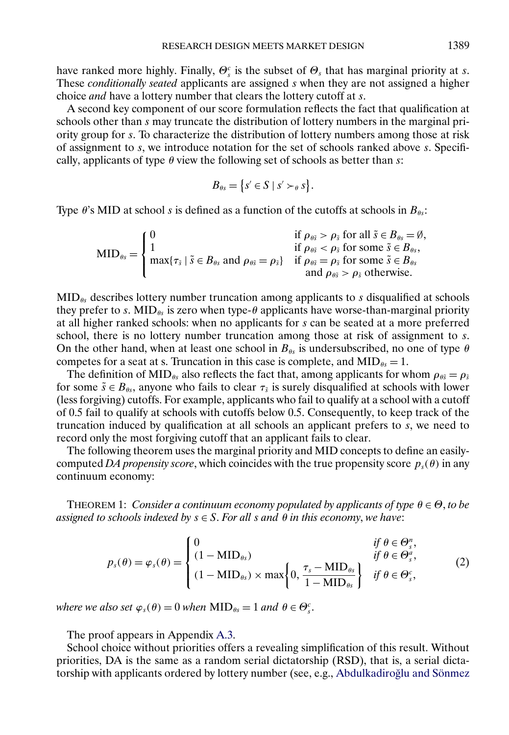<span id="page-17-0"></span>have ranked more highly. Finally,  $\Theta_s^c$  is the subset of  $\Theta_s$  that has marginal priority at s. These *conditionally seated* applicants are assigned s when they are not assigned a higher choice *and* have a lottery number that clears the lottery cutoff at s.

A second key component of our score formulation reflects the fact that qualification at schools other than s may truncate the distribution of lottery numbers in the marginal priority group for s. To characterize the distribution of lottery numbers among those at risk of assignment to s, we introduce notation for the set of schools ranked above s. Specifically, applicants of type  $\theta$  view the following set of schools as better than s:

$$
B_{\theta s} = \{ s' \in S \mid s' \succ_{\theta} s \}.
$$

Type  $\theta$ 's MID at school s is defined as a function of the cutoffs at schools in  $B_{\theta s}$ :

$$
\text{MID}_{\theta s} = \begin{cases} 0 & \text{if } \rho_{\theta \tilde{s}} > \rho_{\tilde{s}} \text{ for all } \tilde{s} \in B_{\theta s} = \emptyset, \\ 1 & \text{if } \rho_{\theta \tilde{s}} < \rho_{\tilde{s}} \text{ for some } \tilde{s} \in B_{\theta s}, \\ \max \{\tau_{\tilde{s}} \mid \tilde{s} \in B_{\theta s} \text{ and } \rho_{\theta \tilde{s}} = \rho_{\tilde{s}}\} & \text{if } \rho_{\theta \tilde{s}} = \rho_{\tilde{s}} \text{ for some } \tilde{s} \in B_{\theta s} \\ \text{and } \rho_{\theta \tilde{s}} > \rho_{\tilde{s}} \text{ otherwise.} \end{cases}
$$

 $MID_{\theta s}$  describes lottery number truncation among applicants to s disqualified at schools they prefer to s. MID $_{\theta s}$  is zero when type- $\theta$  applicants have worse-than-marginal priority at all higher ranked schools: when no applicants for s can be seated at a more preferred school, there is no lottery number truncation among those at risk of assignment to s. On the other hand, when at least one school in  $B_{\theta s}$  is undersubscribed, no one of type  $\theta$ competes for a seat at s. Truncation in this case is complete, and  $MID_{\theta s} = 1$ .

The definition of MID<sub>θs</sub> also reflects the fact that, among applicants for whom  $\rho_{\theta\tilde{s}} = \rho_{\tilde{s}}$ for some  $\tilde{s} \in B_{\theta s}$ , anyone who fails to clear  $\tau_{\tilde{s}}$  is surely disqualified at schools with lower (less forgiving) cutoffs. For example, applicants who fail to qualify at a school with a cutoff of 0.5 fail to qualify at schools with cutoffs below 0.5. Consequently, to keep track of the truncation induced by qualification at all schools an applicant prefers to s, we need to record only the most forgiving cutoff that an applicant fails to clear.

The following theorem uses the marginal priority and MID concepts to define an easilycomputed *DA propensity score*, which coincides with the true propensity score  $p_s(\theta)$  in any continuum economy:

THEOREM 1: *Consider a continuum economy populated by applicants of type*  $\theta \in \Theta$ , *to be assigned to schools indexed by*  $s \in S$ . For all *s* and  $\theta$  *in this economy, we have:* 

$$
p_s(\theta) = \varphi_s(\theta) = \begin{cases} 0 & \text{if } \theta \in \Theta_s^n, \\ (1 - \text{MID}_{\theta s}) & \text{if } \theta \in \Theta_s^a, \\ (1 - \text{MID}_{\theta s}) \times \max\left\{0, \frac{\tau_s - \text{MID}_{\theta s}}{1 - \text{MID}_{\theta s}}\right\} & \text{if } \theta \in \Theta_s^c, \end{cases}
$$
(2)

*where we also set*  $\varphi_s(\theta) = 0$  *when*  $\text{MID}_{\theta s} = 1$  *and*  $\theta \in \Theta_s^c$ .

The proof appears in Appendix [A.3.](#page-46-0)

School choice without priorities offers a revealing simplification of this result. Without priorities, DA is the same as a random serial dictatorship (RSD), that is, a serial dictatorship with applicants ordered by lottery number (see, e.g., Abdulkadiroğlu and Sönmez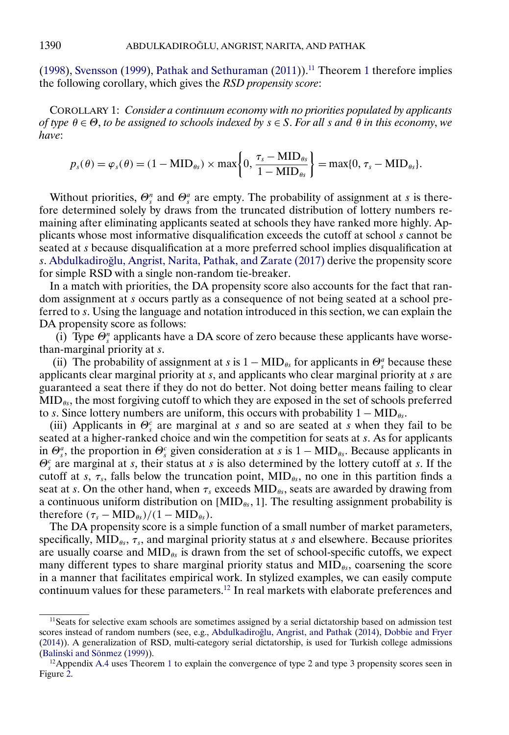[\(1998\)](#page-57-0), [Svensson](#page-60-0) [\(1999\)](#page-60-0), [Pathak and Sethuraman](#page-60-0) [\(2011\)](#page-60-0)).<sup>[1](#page-17-0)1</sup> Theorem 1 therefore implies the following corollary, which gives the *RSD propensity score*:

COROLLARY 1: *Consider a continuum economy with no priorities populated by applicants of type*  $\theta \in \Theta$ , *to be assigned to schools indexed by*  $s \in S$ . For all *s* and  $\theta$  *in this economy*, *we have*:

$$
p_s(\theta) = \varphi_s(\theta) = (1 - \text{MID}_{\theta s}) \times \max\left\{0, \frac{\tau_s - \text{MID}_{\theta s}}{1 - \text{MID}_{\theta s}}\right\} = \max\{0, \tau_s - \text{MID}_{\theta s}\}.
$$

Without priorities,  $\Theta_s^n$  and  $\Theta_s^a$  are empty. The probability of assignment at s is therefore determined solely by draws from the truncated distribution of lottery numbers remaining after eliminating applicants seated at schools they have ranked more highly. Applicants whose most informative disqualification exceeds the cutoff at school  $s$  cannot be seated at s because disqualification at a more preferred school implies disqualification at s. Abdulkadiroğlu, Angrist, Narita, Pathak, and Zarate (2017) derive the propensity score for simple RSD with a single non-random tie-breaker.

In a match with priorities, the DA propensity score also accounts for the fact that random assignment at s occurs partly as a consequence of not being seated at a school preferred to s. Using the language and notation introduced in this section, we can explain the DA propensity score as follows:

(i) Type  $\Theta_s^n$  applicants have a DA score of zero because these applicants have worsethan-marginal priority at s.

(ii) The probability of assignment at s is  $1 - \text{MID}_{\theta s}$  for applicants in  $\Theta_s^a$  because these applicants clear marginal priority at s, and applicants who clear marginal priority at s are guaranteed a seat there if they do not do better. Not doing better means failing to clear  $MID_{\theta s}$ , the most forgiving cutoff to which they are exposed in the set of schools preferred to s. Since lottery numbers are uniform, this occurs with probability  $1 - \text{MID}_{\theta s}$ .

(iii) Applicants in  $\Theta_s^c$  are marginal at s and so are seated at s when they fail to be seated at a higher-ranked choice and win the competition for seats at s. As for applicants in  $\Theta_s^a$ , the proportion in  $\Theta_s^c$  given consideration at s is 1 – MID<sub> $\theta_s$ </sub>. Because applicants in  $\Theta_s^c$  are marginal at s, their status at s is also determined by the lottery cutoff at s. If the cutoff at s,  $\tau_s$ , falls below the truncation point, MID<sub>0s</sub>, no one in this partition finds a seat at s. On the other hand, when  $\tau_s$  exceeds MID $_{\theta s}$ , seats are awarded by drawing from a continuous uniform distribution on  $[MID_{\theta s}, 1]$ . The resulting assignment probability is therefore  $(\tau_s - \text{MID}_{\theta s})/(1 - \text{MID}_{\theta s}).$ 

The DA propensity score is a simple function of a small number of market parameters, specifically, MID<sub> $\theta$ s</sub>,  $\tau_s$ , and marginal priority status at s and elsewhere. Because priorites are usually coarse and  $MID_{\theta s}$  is drawn from the set of school-specific cutoffs, we expect many different types to share marginal priority status and  $\text{MID}_{\theta s}$ , coarsening the score in a manner that facilitates empirical work. In stylized examples, we can easily compute continuum values for these parameters.<sup>12</sup> In real markets with elaborate preferences and

<span id="page-18-0"></span>

<sup>&</sup>lt;sup>11</sup>Seats for selective exam schools are sometimes assigned by a serial dictatorship based on admission test scores instead of random numbers (see, e.g., Abdulkadiroğlu, Angrist, and Pathak [\(2014\)](#page-57-0), [Dobbie and Fryer](#page-59-0) [\(2014\)](#page-59-0)). A generalization of RSD, multi-category serial dictatorship, is used for Turkish college admissions [\(Balinski and Sönmez](#page-58-0) [\(1999\)](#page-58-0)).

 $12$  $12$ Appendix [A.4](#page-47-0) uses Theorem 1 to explain the convergence of type 2 and type 3 propensity scores seen in Figure [2.](#page-14-0)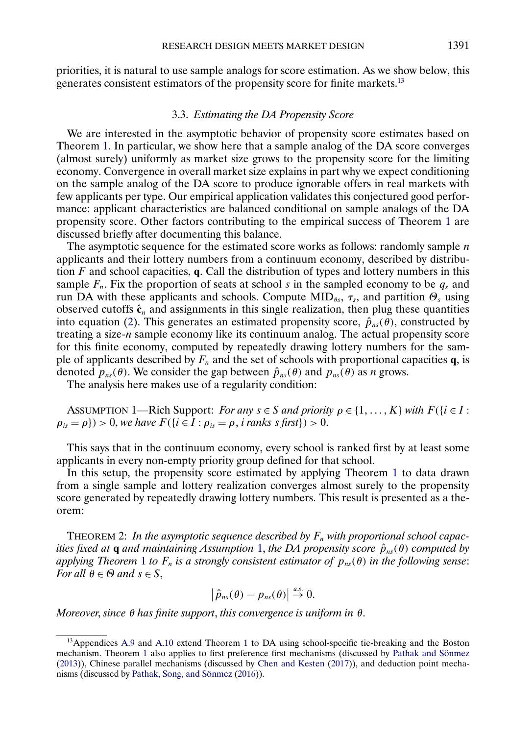<span id="page-19-0"></span>priorities, it is natural to use sample analogs for score estimation. As we show below, this generates consistent estimators of the propensity score for finite markets.13

#### 3.3. *Estimating the DA Propensity Score*

We are interested in the asymptotic behavior of propensity score estimates based on Theorem [1.](#page-17-0) In particular, we show here that a sample analog of the DA score converges (almost surely) uniformly as market size grows to the propensity score for the limiting economy. Convergence in overall market size explains in part why we expect conditioning on the sample analog of the DA score to produce ignorable offers in real markets with few applicants per type. Our empirical application validates this conjectured good performance: applicant characteristics are balanced conditional on sample analogs of the DA propensity score. Other factors contributing to the empirical success of Theorem [1](#page-17-0) are discussed briefly after documenting this balance.

The asymptotic sequence for the estimated score works as follows: randomly sample  $n$ applicants and their lottery numbers from a continuum economy, described by distribution F and school capacities, **q**. Call the distribution of types and lottery numbers in this sample  $F_n$ . Fix the proportion of seats at school s in the sampled economy to be  $q_s$  and run DA with these applicants and schools. Compute MID<sub>0s</sub>,  $\tau_s$ , and partition  $\Theta_s$  using observed cutoffs  $\hat{\mathbf{c}}_n$  and assignments in this single realization, then plug these quantities into equation [\(2\)](#page-17-0). This generates an estimated propensity score,  $\hat{p}_{ns}(\theta)$ , constructed by treating a size-n sample economy like its continuum analog. The actual propensity score for this finite economy, computed by repeatedly drawing lottery numbers for the sample of applicants described by  $F_n$  and the set of schools with proportional capacities **q**, is denoted  $\mathbf{p}_{ns}(\theta)$ . We consider the gap between  $\hat{p}_{ns}(\theta)$  and  $p_{ns}(\theta)$  as *n* grows.

The analysis here makes use of a regularity condition:

ASSUMPTION 1—Rich Support: *For any*  $s \in S$  *and priority*  $\rho \in \{1, ..., K\}$  *with*  $F({i \in I : S})$  $\rho_{is} = \rho$ }) > 0, *we have*  $F({i \in I : \rho_{is} = \rho, i \text{ ranks } s \text{ first}}) > 0$ .

This says that in the continuum economy, every school is ranked first by at least some applicants in every non-empty priority group defined for that school.

In this setup, the propensity score estimated by applying Theorem [1](#page-17-0) to data drawn from a single sample and lottery realization converges almost surely to the propensity score generated by repeatedly drawing lottery numbers. This result is presented as a theorem:

THEOREM 2: In the asymptotic sequence described by  $F_n$  with proportional school capac*ities fixed at* **q** *and maintaining Assumption* 1, *the DA propensity score*  $\hat{p}_{ns}(\theta)$  *computed by applying Theorem* [1](#page-17-0) *to*  $F_n$  *is a strongly consistent estimator of*  $p_{ns}(\theta)$  *in the following sense: For all*  $\theta \in \Theta$  *and*  $s \in S$ ,

$$
\left|\hat{p}_{ns}(\theta)-p_{ns}(\theta)\right|\overset{a.s.}{\rightarrow}0.
$$

*Moreover*, *since* θ *has finite support*, *this convergence is uniform in* θ.

<sup>&</sup>lt;sup>13</sup>Appendices [A.9](#page-56-0) and [A.10](#page-57-0) extend Theorem [1](#page-17-0) to DA using school-specific tie-breaking and the Boston mechanism. Theorem [1](#page-17-0) also applies to first preference first mechanisms (discussed by [Pathak and Sönmez](#page-60-0) [\(2013\)](#page-60-0)), Chinese parallel mechanisms (discussed by [Chen and Kesten](#page-58-0) [\(2017\)](#page-58-0)), and deduction point mechanisms (discussed by [Pathak, Song, and Sönmez](#page-60-0) [\(2016\)](#page-60-0)).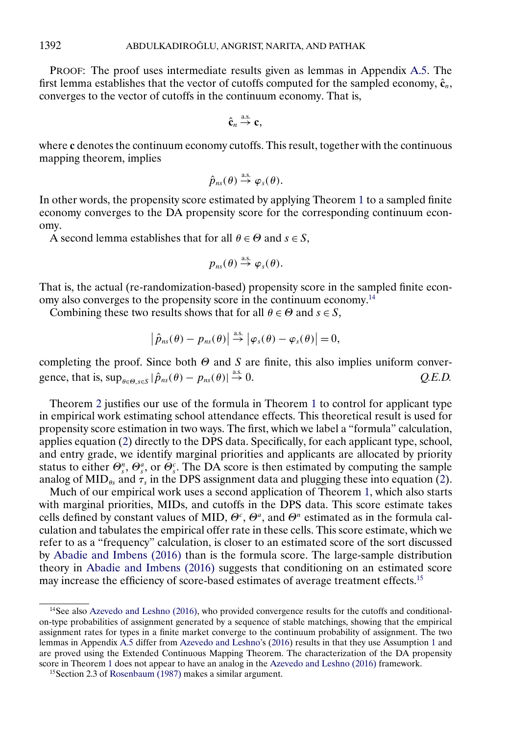1392 ABDULKADIROĞLU, ANGRIST, NARITA, AND PATHAK

PROOF: The proof uses intermediate results given as lemmas in Appendix [A.5.](#page-47-0) The first lemma establishes that the vector of cutoffs computed for the sampled economy,  $\hat{\mathbf{c}}_n$ , converges to the vector of cutoffs in the continuum economy. That is,

$$
\hat{\mathbf{c}}_n \stackrel{\text{a.s.}}{\rightarrow} \mathbf{c},
$$

where **c** denotes the continuum economy cutoffs. This result, together with the continuous mapping theorem, implies

$$
\hat{p}_{ns}(\theta) \stackrel{\text{a.s.}}{\rightarrow} \varphi_s(\theta).
$$

In other words, the propensity score estimated by applying Theorem [1](#page-17-0) to a sampled finite economy converges to the DA propensity score for the corresponding continuum economy.

A second lemma establishes that for all  $\theta \in \Theta$  and  $s \in S$ ,

$$
p_{ns}(\theta) \stackrel{\text{a.s.}}{\rightarrow} \varphi_s(\theta).
$$

That is, the actual (re-randomization-based) propensity score in the sampled finite economy also converges to the propensity score in the continuum economy.14

Combining these two results shows that for all  $\theta \in \Theta$  and  $s \in S$ ,

$$
\left|\hat{p}_{ns}(\theta)-p_{ns}(\theta)\right|\overset{\text{a.s.}}{\rightarrow}\left|\varphi_{s}(\theta)-\varphi_{s}(\theta)\right|=0,
$$

completing the proof. Since both  $\Theta$  and S are finite, this also implies uniform convergence, that is,  $\sup_{\theta \in \Theta, s \in S} |\hat{p}_{ns}(\theta) - p_{ns}(\theta)| \stackrel{\text{a.s.}}{\rightarrow}$ → 0. *Q.E.D.*

Theorem [2](#page-19-0) justifies our use of the formula in Theorem [1](#page-17-0) to control for applicant type in empirical work estimating school attendance effects. This theoretical result is used for propensity score estimation in two ways. The first, which we label a "formula" calculation, applies equation [\(2\)](#page-17-0) directly to the DPS data. Specifically, for each applicant type, school, and entry grade, we identify marginal priorities and applicants are allocated by priority status to either  $\Theta_s^n$ ,  $\Theta_s^a$ , or  $\Theta_s^c$ . The DA score is then estimated by computing the sample analog of MID<sub>θs</sub> and  $\tau_s$  in the DPS assignment data and plugging these into equation [\(2\)](#page-17-0).

Much of our empirical work uses a second application of Theorem [1,](#page-17-0) which also starts with marginal priorities, MIDs, and cutoffs in the DPS data. This score estimate takes cells defined by constant values of MID,  $\Theta^c$ ,  $\Theta^a$ , and  $\Theta^n$  estimated as in the formula calculation and tabulates the empirical offer rate in these cells. This score estimate, which we refer to as a "frequency" calculation, is closer to an estimated score of the sort discussed by [Abadie and Imbens \(2016\)](#page-57-0) than is the formula score. The large-sample distribution theory in [Abadie and Imbens \(2016\)](#page-57-0) suggests that conditioning on an estimated score may increase the efficiency of score-based estimates of average treatment effects.<sup>15</sup>

<sup>&</sup>lt;sup>14</sup>See also [Azevedo and Leshno \(2016\),](#page-58-0) who provided convergence results for the cutoffs and conditionalon-type probabilities of assignment generated by a sequence of stable matchings, showing that the empirical assignment rates for types in a finite market converge to the continuum probability of assignment. The two lemmas in Appendix [A.5](#page-47-0) differ from [Azevedo and Leshno'](#page-58-0)s [\(2016\)](#page-58-0) results in that they use Assumption [1](#page-19-0) and are proved using the Extended Continuous Mapping Theorem. The characterization of the DA propensity score in Theorem [1](#page-17-0) does not appear to have an analog in the [Azevedo and Leshno \(2016\)](#page-58-0) framework.

<sup>15</sup>Section 2.3 of [Rosenbaum \(1987\)](#page-60-0) makes a similar argument.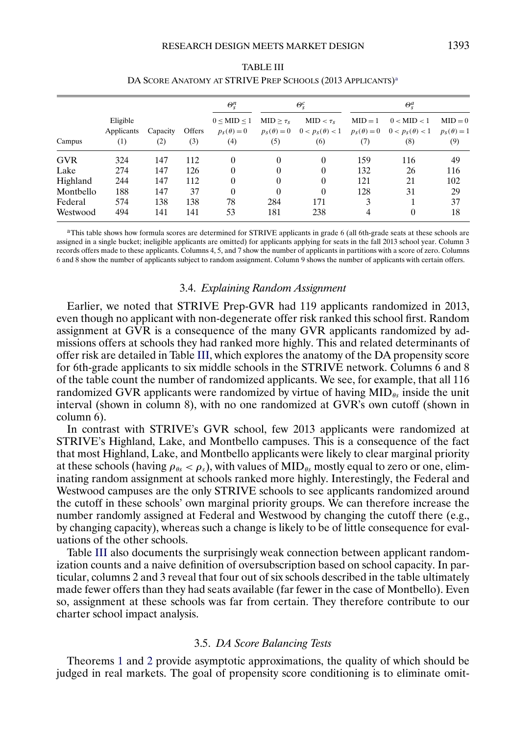#### RESEARCH DESIGN MEETS MARKET DESIGN 1393

<span id="page-21-0"></span>

|            |                                            |                 |                      | $\Theta_s^n$                            |                                            | $\Theta_s^c$                                   |                  | $\Theta_s^a$                                                      |                                       |
|------------|--------------------------------------------|-----------------|----------------------|-----------------------------------------|--------------------------------------------|------------------------------------------------|------------------|-------------------------------------------------------------------|---------------------------------------|
| Campus     | Eligible<br>Applicants<br>$\left(1\right)$ | Capacity<br>(2) | <b>Offers</b><br>(3) | 0 < MID < 1<br>$p_s(\theta) = 0$<br>(4) | $MID > \tau_s$<br>$p_S(\theta) = 0$<br>(5) | $MID < \tau_s$<br>$0 < p_s(\theta) < 1$<br>(6) | $MID = 1$<br>(7) | 0 < MID < 1<br>$p_S(\theta) = 0 \quad 0 < p_S(\theta) < 1$<br>(8) | $MID = 0$<br>$p_s(\theta) = 1$<br>(9) |
| <b>GVR</b> | 324                                        | 147             | 112                  | $\theta$                                | 0                                          | $\theta$                                       | 159              | 116                                                               | 49                                    |
| Lake       | 274                                        | 147             | 126                  | 0                                       | $^{(1)}$                                   | 0                                              | 132              | 26                                                                | 116                                   |
| Highland   | 244                                        | 147             | 112                  | 0                                       | 0                                          | $\theta$                                       | 121              | 21                                                                | 102                                   |
| Montbello  | 188                                        | 147             | 37                   | $\theta$                                | 0                                          | $\theta$                                       | 128              | 31                                                                | 29                                    |
| Federal    | 574                                        | 138             | 138                  | 78                                      | 284                                        | 171                                            | 3                |                                                                   | 37                                    |
| Westwood   | 494                                        | 141             | 141                  | 53                                      | 181                                        | 238                                            |                  |                                                                   | 18                                    |

| TABLE III                                                              |
|------------------------------------------------------------------------|
| DA SCORE ANATOMY AT STRIVE PREP SCHOOLS (2013 APPLICANTS) <sup>a</sup> |

<sup>a</sup>This table shows how formula scores are determined for STRIVE applicants in grade 6 (all 6th-grade seats at these schools are assigned in a single bucket; ineligible applicants are omitted) for applicants applying for seats in the fall 2013 school year. Column 3 records offers made to these applicants. Columns 4, 5, and 7 show the number of applicants in partitions with a score of zero. Columns 6 and 8 show the number of applicants subject to random assignment. Column 9 shows the number of applicants with certain offers.

#### 3.4. *Explaining Random Assignment*

Earlier, we noted that STRIVE Prep-GVR had 119 applicants randomized in 2013, even though no applicant with non-degenerate offer risk ranked this school first. Random assignment at GVR is a consequence of the many GVR applicants randomized by admissions offers at schools they had ranked more highly. This and related determinants of offer risk are detailed in Table III, which explores the anatomy of the DA propensity score for 6th-grade applicants to six middle schools in the STRIVE network. Columns 6 and 8 of the table count the number of randomized applicants. We see, for example, that all 116 randomized GVR applicants were randomized by virtue of having  $MID_{\theta s}$  inside the unit interval (shown in column 8), with no one randomized at GVR's own cutoff (shown in column 6).

In contrast with STRIVE's GVR school, few 2013 applicants were randomized at STRIVE's Highland, Lake, and Montbello campuses. This is a consequence of the fact that most Highland, Lake, and Montbello applicants were likely to clear marginal priority at these schools (having  $\rho_{\theta s} < \rho_s$ ), with values of MID<sub> $\theta_s$ </sub> mostly equal to zero or one, eliminating random assignment at schools ranked more highly. Interestingly, the Federal and Westwood campuses are the only STRIVE schools to see applicants randomized around the cutoff in these schools' own marginal priority groups. We can therefore increase the number randomly assigned at Federal and Westwood by changing the cutoff there (e.g., by changing capacity), whereas such a change is likely to be of little consequence for evaluations of the other schools.

Table III also documents the surprisingly weak connection between applicant randomization counts and a naive definition of oversubscription based on school capacity. In particular, columns 2 and 3 reveal that four out of six schools described in the table ultimately made fewer offers than they had seats available (far fewer in the case of Montbello). Even so, assignment at these schools was far from certain. They therefore contribute to our charter school impact analysis.

#### 3.5. *DA Score Balancing Tests*

Theorems [1](#page-17-0) and [2](#page-19-0) provide asymptotic approximations, the quality of which should be judged in real markets. The goal of propensity score conditioning is to eliminate omit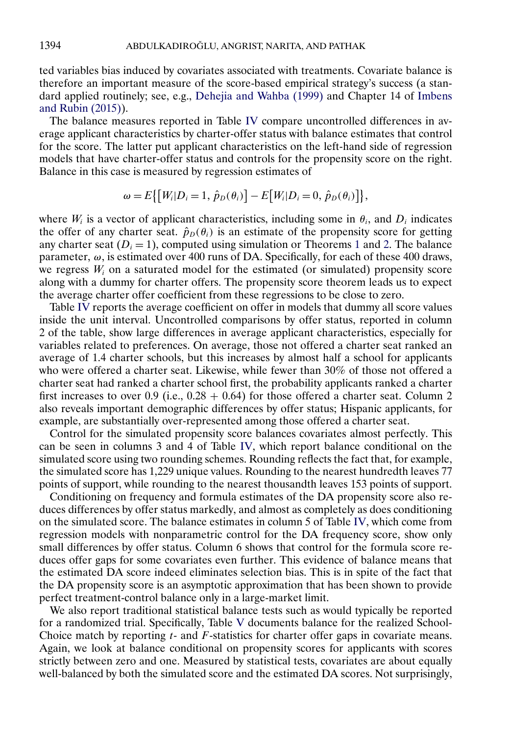ted variables bias induced by covariates associated with treatments. Covariate balance is therefore an important measure of the score-based empirical strategy's success (a standard applied routinely; see, e.g., [Dehejia and Wahba \(1999\)](#page-59-0) and Chapter 14 of [Imbens](#page-59-0) [and Rubin \(2015\)\)](#page-59-0).

The balance measures reported in Table [IV](#page-23-0) compare uncontrolled differences in average applicant characteristics by charter-offer status with balance estimates that control for the score. The latter put applicant characteristics on the left-hand side of regression models that have charter-offer status and controls for the propensity score on the right. Balance in this case is measured by regression estimates of

$$
\omega = E\big\{\big[W_i|D_i=1,\hat{p}_D(\theta_i)\big]-E\big[W_i|D_i=0,\hat{p}_D(\theta_i)\big]\big\},\
$$

where  $W_i$  is a vector of applicant characteristics, including some in  $\theta_i$ , and  $D_i$  indicates the offer of any charter seat.  $\hat{p}_D(\theta_i)$  is an estimate of the propensity score for getting any charter seat  $(D<sub>i</sub> = 1)$  $(D<sub>i</sub> = 1)$  $(D<sub>i</sub> = 1)$ , computed using simulation or Theorems 1 and [2.](#page-19-0) The balance parameter,  $\omega$ , is estimated over 400 runs of DA. Specifically, for each of these 400 draws, we regress  $W_i$  on a saturated model for the estimated (or simulated) propensity score along with a dummy for charter offers. The propensity score theorem leads us to expect the average charter offer coefficient from these regressions to be close to zero.

Table [IV](#page-23-0) reports the average coefficient on offer in models that dummy all score values inside the unit interval. Uncontrolled comparisons by offer status, reported in column 2 of the table, show large differences in average applicant characteristics, especially for variables related to preferences. On average, those not offered a charter seat ranked an average of 1.4 charter schools, but this increases by almost half a school for applicants who were offered a charter seat. Likewise, while fewer than 30% of those not offered a charter seat had ranked a charter school first, the probability applicants ranked a charter first increases to over 0.9 (i.e.,  $0.28 + 0.64$ ) for those offered a charter seat. Column 2 also reveals important demographic differences by offer status; Hispanic applicants, for example, are substantially over-represented among those offered a charter seat.

Control for the simulated propensity score balances covariates almost perfectly. This can be seen in columns 3 and 4 of Table [IV,](#page-23-0) which report balance conditional on the simulated score using two rounding schemes. Rounding reflects the fact that, for example, the simulated score has 1,229 unique values. Rounding to the nearest hundredth leaves 77 points of support, while rounding to the nearest thousandth leaves 153 points of support.

Conditioning on frequency and formula estimates of the DA propensity score also reduces differences by offer status markedly, and almost as completely as does conditioning on the simulated score. The balance estimates in column 5 of Table [IV,](#page-23-0) which come from regression models with nonparametric control for the DA frequency score, show only small differences by offer status. Column 6 shows that control for the formula score reduces offer gaps for some covariates even further. This evidence of balance means that the estimated DA score indeed eliminates selection bias. This is in spite of the fact that the DA propensity score is an asymptotic approximation that has been shown to provide perfect treatment-control balance only in a large-market limit.

We also report traditional statistical balance tests such as would typically be reported for a randomized trial. Specifically, Table [V](#page-24-0) documents balance for the realized School-Choice match by reporting  $t$ - and  $F$ -statistics for charter offer gaps in covariate means. Again, we look at balance conditional on propensity scores for applicants with scores strictly between zero and one. Measured by statistical tests, covariates are about equally well-balanced by both the simulated score and the estimated DA scores. Not surprisingly,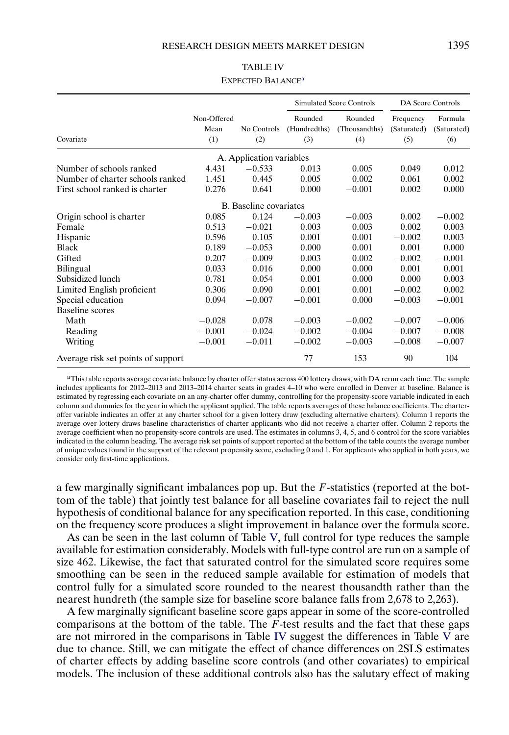#### TABLE IV EXPECTED BALANCE<sup>a</sup>

<span id="page-23-0"></span>

|                                    |                            |                               |                                | Simulated Score Controls        |                                 | DA Score Controls             |
|------------------------------------|----------------------------|-------------------------------|--------------------------------|---------------------------------|---------------------------------|-------------------------------|
| Covariate                          | Non-Offered<br>Mean<br>(1) | No Controls<br>(2)            | Rounded<br>(Hundredths)<br>(3) | Rounded<br>(Thousandths)<br>(4) | Frequency<br>(Saturated)<br>(5) | Formula<br>(Saturated)<br>(6) |
|                                    |                            | A. Application variables      |                                |                                 |                                 |                               |
| Number of schools ranked           | 4.431                      | $-0.533$                      | 0.013                          | 0.005                           | 0.049                           | 0.012                         |
| Number of charter schools ranked   | 1.451                      | 0.445                         | 0.005                          | 0.002                           | 0.061                           | 0.002                         |
| First school ranked is charter     | 0.276                      | 0.641                         | 0.000                          | $-0.001$                        | 0.002                           | 0.000                         |
|                                    |                            | <b>B.</b> Baseline covariates |                                |                                 |                                 |                               |
| Origin school is charter           | 0.085                      | 0.124                         | $-0.003$                       | $-0.003$                        | 0.002                           | $-0.002$                      |
| Female                             | 0.513                      | $-0.021$                      | 0.003                          | 0.003                           | 0.002                           | 0.003                         |
| Hispanic                           | 0.596                      | 0.105                         | 0.001                          | 0.001                           | $-0.002$                        | 0.003                         |
| <b>Black</b>                       | 0.189                      | $-0.053$                      | 0.000                          | 0.001                           | 0.001                           | 0.000                         |
| Gifted                             | 0.207                      | $-0.009$                      | 0.003                          | 0.002                           | $-0.002$                        | $-0.001$                      |
| Bilingual                          | 0.033                      | 0.016                         | 0.000                          | 0.000                           | 0.001                           | 0.001                         |
| Subsidized lunch                   | 0.781                      | 0.054                         | 0.001                          | 0.000                           | 0.000                           | 0.003                         |
| Limited English proficient         | 0.306                      | 0.090                         | 0.001                          | 0.001                           | $-0.002$                        | 0.002                         |
| Special education                  | 0.094                      | $-0.007$                      | $-0.001$                       | 0.000                           | $-0.003$                        | $-0.001$                      |
| Baseline scores                    |                            |                               |                                |                                 |                                 |                               |
| Math                               | $-0.028$                   | 0.078                         | $-0.003$                       | $-0.002$                        | $-0.007$                        | $-0.006$                      |
| Reading                            | $-0.001$                   | $-0.024$                      | $-0.002$                       | $-0.004$                        | $-0.007$                        | $-0.008$                      |
| Writing                            | $-0.001$                   | $-0.011$                      | $-0.002$                       | $-0.003$                        | $-0.008$                        | $-0.007$                      |
| Average risk set points of support |                            |                               | 77                             | 153                             | 90                              | 104                           |

<sup>a</sup>This table reports average covariate balance by charter offer status across 400 lottery draws, with DA rerun each time. The sample includes applicants for 2012–2013 and 2013–2014 charter seats in grades 4–10 who were enrolled in Denver at baseline. Balance is estimated by regressing each covariate on an any-charter offer dummy, controlling for the propensity-score variable indicated in each column and dummies for the year in which the applicant applied. The table reports averages of these balance coefficients. The charteroffer variable indicates an offer at any charter school for a given lottery draw (excluding alternative charters). Column 1 reports the average over lottery draws baseline characteristics of charter applicants who did not receive a charter offer. Column 2 reports the average coefficient when no propensity-score controls are used. The estimates in columns 3, 4, 5, and 6 control for the score variables indicated in the column heading. The average risk set points of support reported at the bottom of the table counts the average number of unique values found in the support of the relevant propensity score, excluding 0 and 1. For applicants who applied in both years, we consider only first-time applications.

a few marginally significant imbalances pop up. But the F-statistics (reported at the bottom of the table) that jointly test balance for all baseline covariates fail to reject the null hypothesis of conditional balance for any specification reported. In this case, conditioning on the frequency score produces a slight improvement in balance over the formula score.

As can be seen in the last column of Table [V,](#page-24-0) full control for type reduces the sample available for estimation considerably. Models with full-type control are run on a sample of size 462. Likewise, the fact that saturated control for the simulated score requires some smoothing can be seen in the reduced sample available for estimation of models that control fully for a simulated score rounded to the nearest thousandth rather than the nearest hundreth (the sample size for baseline score balance falls from 2,678 to 2,263).

A few marginally significant baseline score gaps appear in some of the score-controlled comparisons at the bottom of the table. The  $F$ -test results and the fact that these gaps are not mirrored in the comparisons in Table IV suggest the differences in Table [V](#page-24-0) are due to chance. Still, we can mitigate the effect of chance differences on 2SLS estimates of charter effects by adding baseline score controls (and other covariates) to empirical models. The inclusion of these additional controls also has the salutary effect of making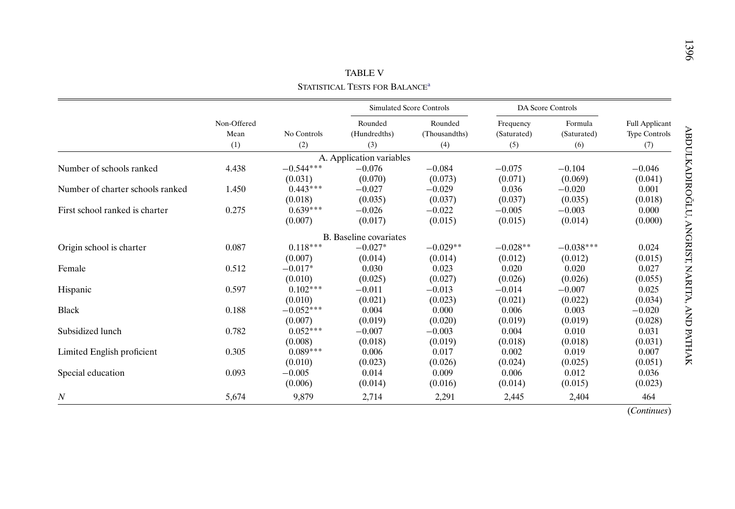<span id="page-24-0"></span>

|                                  |                     |                                | <b>TABLE V</b>                             |                             |                             |                             |                                                      |
|----------------------------------|---------------------|--------------------------------|--------------------------------------------|-----------------------------|-----------------------------|-----------------------------|------------------------------------------------------|
|                                  |                     |                                | STATISTICAL TESTS FOR BALANCE <sup>a</sup> |                             |                             |                             |                                                      |
|                                  |                     |                                | Simulated Score Controls                   |                             |                             | DA Score Controls           |                                                      |
|                                  | Non-Offered<br>Mean | No Controls                    | Rounded<br>(Hundredths)                    | Rounded<br>(Thousandths)    | Frequency<br>(Saturated)    | Formula<br>(Saturated)      | <b>Full Applicant</b><br><b>Type Controls</b>        |
|                                  | (1)                 | (2)                            | (3)                                        | (4)                         | (5)                         | (6)                         | (7)                                                  |
|                                  |                     |                                | A. Application variables                   |                             |                             |                             |                                                      |
| Number of schools ranked         | 4.438               | $-0.544***$<br>(0.031)         | $-0.076$<br>(0.070)                        | $-0.084$<br>(0.073)         | $-0.075$<br>(0.071)         | $-0.104$<br>(0.069)         | $-0.046$<br>(0.041)                                  |
| Number of charter schools ranked | 1.450               | $0.443***$<br>(0.018)          | $-0.027$<br>(0.035)                        | $-0.029$<br>(0.037)         | 0.036<br>(0.037)            | $-0.020$<br>(0.035)         | 0.001<br>(0.018)                                     |
| First school ranked is charter   | 0.275               | $0.639***$<br>(0.007)          | $-0.026$<br>(0.017)                        | $-0.022$<br>(0.015)         | $-0.005$<br>(0.015)         | $-0.003$<br>(0.014)         | ABDULKADIROGLU, ANGRIST, NARITA,<br>0.000<br>(0.000) |
|                                  |                     |                                | <b>B.</b> Baseline covariates              |                             |                             |                             |                                                      |
| Origin school is charter         | 0.087               | $0.118***$<br>(0.007)          | $-0.027*$<br>(0.014)                       | $-0.029**$<br>(0.014)       | $-0.028**$<br>(0.012)       | $-0.038***$<br>(0.012)      | 0.024<br>(0.015)                                     |
| Female                           | 0.512               | $-0.017*$<br>(0.010)           | 0.030<br>(0.025)                           | 0.023<br>(0.027)            | 0.020<br>(0.026)            | 0.020<br>(0.026)            | 0.027<br>(0.055)                                     |
| Hispanic                         | 0.597               | $0.102***$<br>(0.010)          | $-0.011$<br>(0.021)                        | $-0.013$<br>(0.023)         | $-0.014$<br>(0.021)         | $-0.007$                    | 0.025<br>(0.034)                                     |
| <b>Black</b>                     | 0.188               | $-0.052***$                    | 0.004                                      | 0.000                       | 0.006                       | (0.022)<br>0.003            | $-0.020$                                             |
| Subsidized lunch                 | 0.782               | (0.007)<br>$0.052***$          | (0.019)<br>$-0.007$                        | (0.020)<br>$-0.003$         | (0.019)<br>0.004            | (0.019)<br>0.010            | (0.028)<br>0.031                                     |
| Limited English proficient       | 0.305               | (0.008)<br>$0.089***$          | (0.018)<br>0.006                           | (0.019)<br>0.017            | (0.018)<br>0.002            | (0.018)<br>0.019            | (0.031)<br>0.007                                     |
| Special education                | 0.093               | (0.010)<br>$-0.005$<br>(0.006) | (0.023)<br>0.014<br>(0.014)                | (0.026)<br>0.009<br>(0.016) | (0.024)<br>0.006<br>(0.014) | (0.025)<br>0.012<br>(0.015) | (0.051)<br>0.036<br>(0.023)                          |
| Ν                                | 5,674               | 9,879                          | 2,714                                      | 2,291                       | 2,445                       | 2,404                       | 464                                                  |

(*Continues*)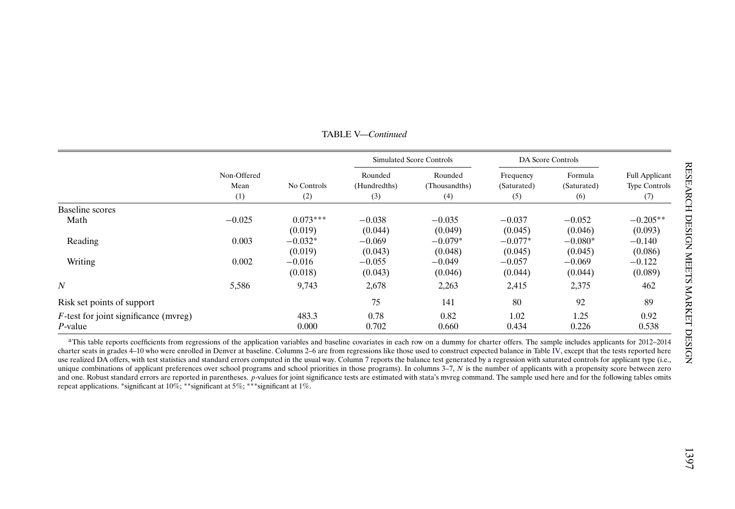<span id="page-25-0"></span>

|                                                     |                     |                       |                         | <b>Simulated Score Controls</b> |                          | DA Score Controls      |                                               |  |
|-----------------------------------------------------|---------------------|-----------------------|-------------------------|---------------------------------|--------------------------|------------------------|-----------------------------------------------|--|
|                                                     | Non-Offered<br>Mean | No Controls           | Rounded<br>(Hundredths) | Rounded<br>(Thousandths)        | Frequency<br>(Saturated) | Formula<br>(Saturated) | <b>Full Applicant</b><br><b>Type Controls</b> |  |
|                                                     | (1)                 | (2)                   | (3)                     | (4)                             | (5)                      | (6)                    | (7)                                           |  |
| Baseline scores                                     |                     |                       |                         |                                 |                          |                        |                                               |  |
| Math                                                | $-0.025$            | $0.073***$<br>(0.019) | $-0.038$<br>(0.044)     | $-0.035$<br>(0.049)             | $-0.037$<br>(0.045)      | $-0.052$<br>(0.046)    | $-0.205**$<br>(0.093)                         |  |
| Reading                                             | 0.003               | $-0.032*$<br>(0.019)  | $-0.069$<br>(0.043)     | $-0.079*$<br>(0.048)            | $-0.077*$<br>(0.045)     | $-0.080*$<br>(0.045)   | $-0.140$<br>(0.086)                           |  |
| Writing                                             | 0.002               | $-0.016$<br>(0.018)   | $-0.055$<br>(0.043)     | $-0.049$<br>(0.046)             | $-0.057$<br>(0.044)      | $-0.069$<br>(0.044)    | $-0.122$<br>(0.089)                           |  |
| $\boldsymbol{N}$                                    | 5,586               | 9,743                 | 2,678                   | 2,263                           | 2,415                    | 2,375                  | 462                                           |  |
| Risk set points of support                          |                     |                       | 75                      | 141                             | 80                       | 92                     | 89                                            |  |
| $F$ -test for joint significance (mvreg)<br>P-value |                     | 483.3<br>0.000        | 0.78<br>0.702           | 0.82<br>0.660                   | 1.02<br>0.434            | 1.25<br>0.226          | 0.92<br>0.538                                 |  |

TABLE V—*Continued*

<sup>a</sup>This table reports coefficients from regressions of the application variables and baseline covariates in each row on a dummy for charter offers. The sample includes applicants for 2012-2014 charter seats in grades 4–10 who were enrolled in Denver at baseline. Columns 2–6 are from regressions like those used to construct expected balance in Table [IV](#page-23-0), excep<sup>t</sup> that the tests reported here use realized DA offers, with test statistics and standard errors computed in the usual way. Column 7 reports the balance test generated by a regression with saturated controls for applicant type (i.e., unique combinations of applicant preferences over school programs and school priorities in those programs). In columns  $3-7$ , N is the number of applicants with a propensity score between zero and one. Robust standard errors are reported in parentheses. p-values for joint significance tests are estimated with stata's mvreg command. The sample used here and for the following tables omits repea<sup>t</sup> applications. \*significant at 10%; \*\*significant at 5%; \*\*\*significant at 1%.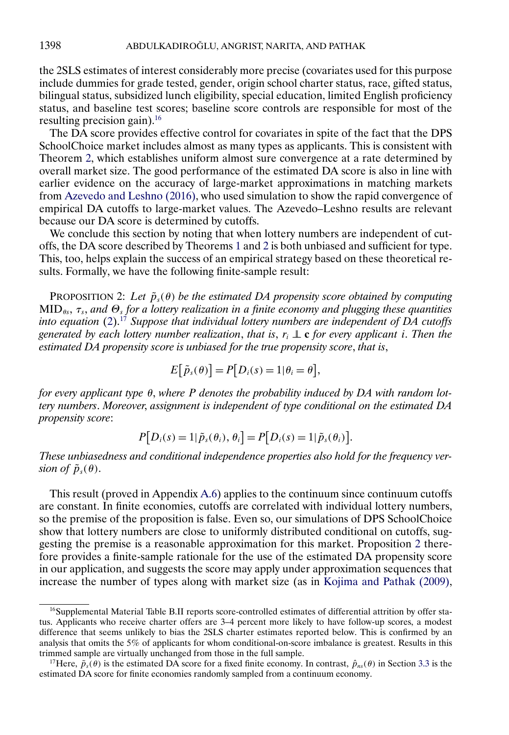<span id="page-26-0"></span>the 2SLS estimates of interest considerably more precise (covariates used for this purpose include dummies for grade tested, gender, origin school charter status, race, gifted status, bilingual status, subsidized lunch eligibility, special education, limited English proficiency status, and baseline test scores; baseline score controls are responsible for most of the resulting precision gain).<sup>16</sup>

The DA score provides effective control for covariates in spite of the fact that the DPS SchoolChoice market includes almost as many types as applicants. This is consistent with Theorem [2,](#page-19-0) which establishes uniform almost sure convergence at a rate determined by overall market size. The good performance of the estimated DA score is also in line with earlier evidence on the accuracy of large-market approximations in matching markets from [Azevedo and Leshno \(2016\),](#page-58-0) who used simulation to show the rapid convergence of empirical DA cutoffs to large-market values. The Azevedo–Leshno results are relevant because our DA score is determined by cutoffs.

We conclude this section by noting that when lottery numbers are independent of cutoffs, the DA score described by Theorems [1](#page-17-0) and [2](#page-19-0) is both unbiased and sufficient for type. This, too, helps explain the success of an empirical strategy based on these theoretical results. Formally, we have the following finite-sample result:

PROPOSITION 2: Let  $\tilde{p}_s(\theta)$  be the estimated DA propensity score obtained by computing  $\text{MID}_{\theta s}$ ,  $\tau_s$ , and  $\Theta_s$  for a lottery realization in a finite economy and plugging these quantities *into equation* [\(2\)](#page-17-0).17 *Suppose that individual lottery numbers are independent of DA cutoffs generated by each lottery number realization, that is, r<sub>i</sub> ⊥ c <i>for every applicant i. Then the estimated DA propensity score is unbiased for the true propensity score*, *that is*,

$$
E[\tilde{p}_s(\theta)] = P[D_i(s) = 1 | \theta_i = \theta],
$$

*for every applicant type* θ, *where* P *denotes the probability induced by DA with random lottery numbers*. *Moreover*, *assignment is independent of type conditional on the estimated DA propensity score*:

$$
P[D_i(s) = 1 | \tilde{p}_s(\theta_i), \theta_i] = P[D_i(s) = 1 | \tilde{p}_s(\theta_i)].
$$

*These unbiasedness and conditional independence properties also hold for the frequency version of*  $\tilde{p}_s(\theta)$ .

This result (proved in Appendix [A.6\)](#page-52-0) applies to the continuum since continuum cutoffs are constant. In finite economies, cutoffs are correlated with individual lottery numbers, so the premise of the proposition is false. Even so, our simulations of DPS SchoolChoice show that lottery numbers are close to uniformly distributed conditional on cutoffs, suggesting the premise is a reasonable approximation for this market. Proposition 2 therefore provides a finite-sample rationale for the use of the estimated DA propensity score in our application, and suggests the score may apply under approximation sequences that increase the number of types along with market size (as in [Kojima and Pathak \(2009\),](#page-59-0)

<sup>&</sup>lt;sup>16</sup>Supplemental Material Table B.II reports score-controlled estimates of differential attrition by offer status. Applicants who receive charter offers are 3–4 percent more likely to have follow-up scores, a modest difference that seems unlikely to bias the 2SLS charter estimates reported below. This is confirmed by an analysis that omits the 5% of applicants for whom conditional-on-score imbalance is greatest. Results in this trimmed sample are virtually unchanged from those in the full sample.

<sup>&</sup>lt;sup>17</sup>Here,  $\tilde{p}_s(\theta)$  is the estimated DA score for a fixed finite economy. In contrast,  $\hat{p}_{ns}(\theta)$  in Section [3.3](#page-19-0) is the estimated DA score for finite economies randomly sampled from a continuum economy.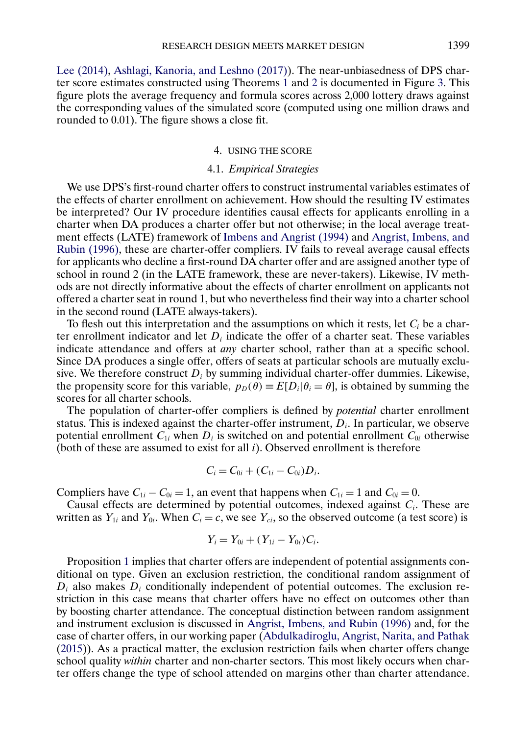<span id="page-27-0"></span>[Lee \(2014\),](#page-59-0) [Ashlagi, Kanoria, and Leshno \(2017\)\)](#page-58-0). The near-unbiasedness of DPS charter score estimates constructed using Theorems [1](#page-17-0) and [2](#page-19-0) is documented in Figure [3.](#page-28-0) This figure plots the average frequency and formula scores across 2,000 lottery draws against the corresponding values of the simulated score (computed using one million draws and rounded to 0.01). The figure shows a close fit.

#### 4. USING THE SCORE

#### 4.1. *Empirical Strategies*

We use DPS's first-round charter offers to construct instrumental variables estimates of the effects of charter enrollment on achievement. How should the resulting IV estimates be interpreted? Our IV procedure identifies causal effects for applicants enrolling in a charter when DA produces a charter offer but not otherwise; in the local average treatment effects (LATE) framework of [Imbens and Angrist \(1994\)](#page-59-0) and [Angrist, Imbens, and](#page-58-0) [Rubin \(1996\),](#page-58-0) these are charter-offer compliers. IV fails to reveal average causal effects for applicants who decline a first-round DA charter offer and are assigned another type of school in round 2 (in the LATE framework, these are never-takers). Likewise, IV methods are not directly informative about the effects of charter enrollment on applicants not offered a charter seat in round 1, but who nevertheless find their way into a charter school in the second round (LATE always-takers).

To flesh out this interpretation and the assumptions on which it rests, let  $C_i$  be a charter enrollment indicator and let  $D_i$  indicate the offer of a charter seat. These variables indicate attendance and offers at *any* charter school, rather than at a specific school. Since DA produces a single offer, offers of seats at particular schools are mutually exclusive. We therefore construct  $D_i$  by summing individual charter-offer dummies. Likewise, the propensity score for this variable,  $p_D(\theta) \equiv E[D_i|\theta_i = \theta]$ , is obtained by summing the scores for all charter schools.

The population of charter-offer compliers is defined by *potential* charter enrollment status. This is indexed against the charter-offer instrument,  $D_i$ . In particular, we observe potential enrollment  $C_{1i}$  when  $D_i$  is switched on and potential enrollment  $C_{0i}$  otherwise (both of these are assumed to exist for all i). Observed enrollment is therefore

$$
C_i = C_{0i} + (C_{1i} - C_{0i})D_i.
$$

Compliers have  $C_{1i} - C_{0i} = 1$ , an event that happens when  $C_{1i} = 1$  and  $C_{0i} = 0$ .

Causal effects are determined by potential outcomes, indexed against  $C_i$ . These are written as  $Y_{1i}$  and  $Y_{0i}$ . When  $C_i = c$ , we see  $Y_{ci}$ , so the observed outcome (a test score) is

$$
Y_i = Y_{0i} + (Y_{1i} - Y_{0i})C_i.
$$

Proposition [1](#page-5-0) implies that charter offers are independent of potential assignments conditional on type. Given an exclusion restriction, the conditional random assignment of  $D_i$  also makes  $D_i$  conditionally independent of potential outcomes. The exclusion restriction in this case means that charter offers have no effect on outcomes other than by boosting charter attendance. The conceptual distinction between random assignment and instrument exclusion is discussed in [Angrist, Imbens, and Rubin \(1996\)](#page-58-0) and, for the case of charter offers, in our working paper [\(Abdulkadiroglu, Angrist, Narita, and Pathak](#page-58-0) [\(2015\)](#page-58-0)). As a practical matter, the exclusion restriction fails when charter offers change school quality *within* charter and non-charter sectors. This most likely occurs when charter offers change the type of school attended on margins other than charter attendance.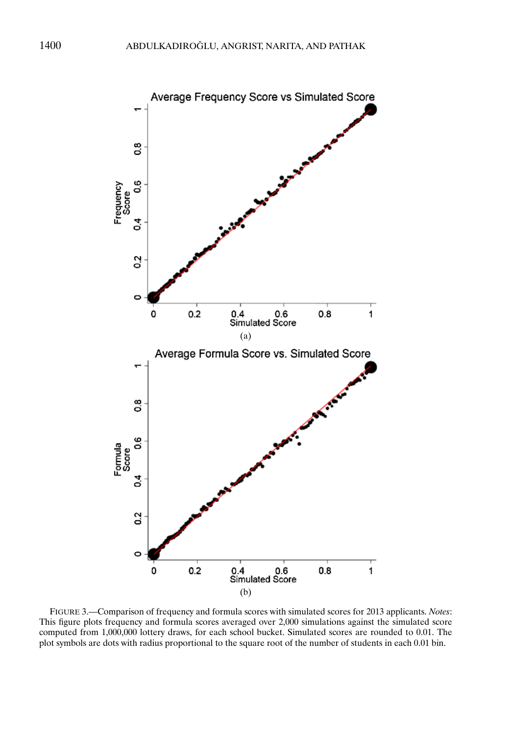<span id="page-28-0"></span>

FIGURE 3.—Comparison of frequency and formula scores with simulated scores for 2013 applicants. *Notes*: This figure plots frequency and formula scores averaged over 2,000 simulations against the simulated score computed from 1,000,000 lottery draws, for each school bucket. Simulated scores are rounded to 0.01. The plot symbols are dots with radius proportional to the square root of the number of students in each 0.01 bin.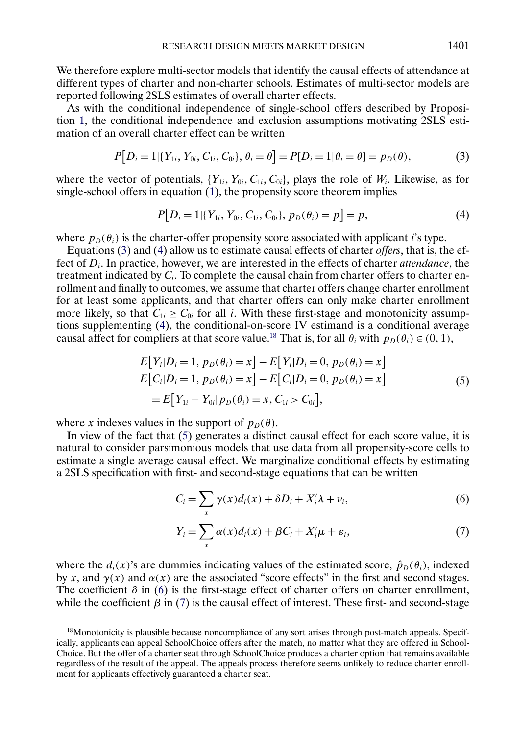<span id="page-29-0"></span>We therefore explore multi-sector models that identify the causal effects of attendance at different types of charter and non-charter schools. Estimates of multi-sector models are reported following 2SLS estimates of overall charter effects.

As with the conditional independence of single-school offers described by Proposition [1,](#page-5-0) the conditional independence and exclusion assumptions motivating 2SLS estimation of an overall charter effect can be written

$$
P[D_i = 1 | \{Y_{1i}, Y_{0i}, C_{1i}, C_{0i}\}, \theta_i = \theta] = P[D_i = 1 | \theta_i = \theta] = p_D(\theta),
$$
\n(3)

where the vector of potentials,  $\{Y_{1i}, Y_{0i}, C_{1i}, C_{0i}\}$ , plays the role of  $W_i$ . Likewise, as for single-school offers in equation [\(1\)](#page-7-0), the propensity score theorem implies

$$
P[D_i = 1 | \{Y_{1i}, Y_{0i}, C_{1i}, C_{0i}\}, p_D(\theta_i) = p] = p,\tag{4}
$$

where  $p_D(\theta_i)$  is the charter-offer propensity score associated with applicant *i*'s type.

Equations (3) and (4) allow us to estimate causal effects of charter *offers*, that is, the effect of Di. In practice, however, we are interested in the effects of charter *attendance*, the treatment indicated by  $C_i$ . To complete the causal chain from charter offers to charter enrollment and finally to outcomes, we assume that charter offers change charter enrollment for at least some applicants, and that charter offers can only make charter enrollment more likely, so that  $C_{1i} \geq C_{0i}$  for all i. With these first-stage and monotonicity assumptions supplementing (4), the conditional-on-score IV estimand is a conditional average causal affect for compliers at that score value.<sup>18</sup> That is, for all  $\theta_i$  with  $p_D(\theta_i) \in (0,1)$ ,

$$
E[Y_i|D_i = 1, p_D(\theta_i) = x] - E[Y_i|D_i = 0, p_D(\theta_i) = x]
$$
  
\n
$$
E[C_i|D_i = 1, p_D(\theta_i) = x] - E[C_i|D_i = 0, p_D(\theta_i) = x]
$$
  
\n
$$
= E[Y_{1i} - Y_{0i}|p_D(\theta_i) = x, C_{1i} > C_{0i}],
$$
\n(5)

where x indexes values in the support of  $p_D(\theta)$ .

In view of the fact that (5) generates a distinct causal effect for each score value, it is natural to consider parsimonious models that use data from all propensity-score cells to estimate a single average causal effect. We marginalize conditional effects by estimating a 2SLS specification with first- and second-stage equations that can be written

$$
C_i = \sum_{x} \gamma(x) d_i(x) + \delta D_i + X'_i \lambda + \nu_i,
$$
\n(6)

$$
Y_i = \sum_{x} \alpha(x) d_i(x) + \beta C_i + X'_i \mu + \varepsilon_i,
$$
\n(7)

where the  $d_i(x)$ 's are dummies indicating values of the estimated score,  $\hat{p}_D(\theta_i)$ , indexed by x, and  $\gamma(x)$  and  $\alpha(x)$  are the associated "score effects" in the first and second stages. The coefficient  $\delta$  in (6) is the first-stage effect of charter offers on charter enrollment, while the coefficient  $\beta$  in (7) is the causal effect of interest. These first- and second-stage

<sup>&</sup>lt;sup>18</sup>Monotonicity is plausible because noncompliance of any sort arises through post-match appeals. Specifically, applicants can appeal SchoolChoice offers after the match, no matter what they are offered in School-Choice. But the offer of a charter seat through SchoolChoice produces a charter option that remains available regardless of the result of the appeal. The appeals process therefore seems unlikely to reduce charter enrollment for applicants effectively guaranteed a charter seat.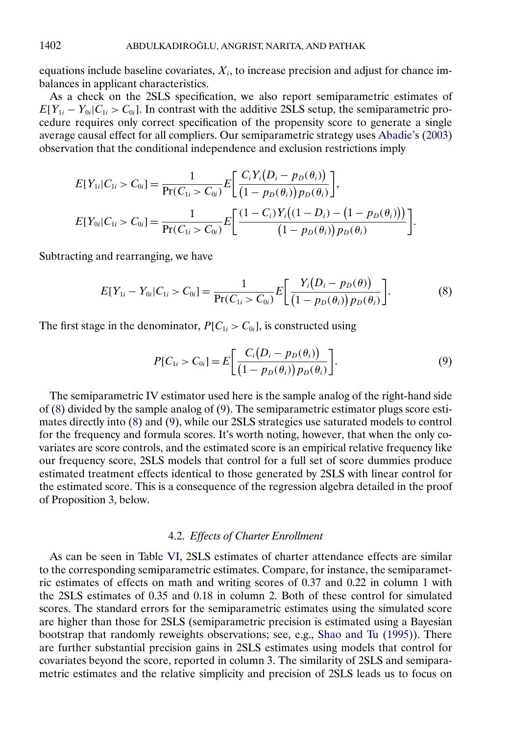equations include baseline covariates,  $X_i$ , to increase precision and adjust for chance imbalances in applicant characteristics.

As a check on the 2SLS specification, we also report semiparametric estimates of  $E[Y_{1i} - Y_{0i}|C_{1i} > C_{0i}]$ . In contrast with the additive 2SLS setup, the semiparametric procedure requires only correct specification of the propensity score to generate a single average causal effect for all compliers. Our semiparametric strategy uses [Abadie'](#page-57-0)s [\(2003\)](#page-57-0) observation that the conditional independence and exclusion restrictions imply

$$
E[Y_{1i}|C_{1i} > C_{0i}] = \frac{1}{\Pr(C_{1i} > C_{0i})} E\left[\frac{C_i Y_i (D_i - p_D(\theta_i))}{(1 - p_D(\theta_i)) p_D(\theta_i)}\right],
$$
  
\n
$$
E[Y_{0i}|C_{1i} > C_{0i}] = \frac{1}{\Pr(C_{1i} > C_{0i})} E\left[\frac{(1 - C_i) Y_i ((1 - D_i) - (1 - p_D(\theta_i)))}{(1 - p_D(\theta_i)) p_D(\theta_i)}\right].
$$

Subtracting and rearranging, we have

$$
E[Y_{1i} - Y_{0i} | C_{1i} > C_{0i}] = \frac{1}{\Pr(C_{1i} > C_{0i})} E\bigg[\frac{Y_i(D_i - p_D(\theta))}{(1 - p_D(\theta_i))p_D(\theta_i)}\bigg].
$$
 (8)

The first stage in the denominator,  $P[C_{1i} > C_{0i}]$ , is constructed using

$$
P[C_{1i} > C_{0i}] = E\bigg[\frac{C_i(D_i - p_D(\theta_i))}{(1 - p_D(\theta_i))p_D(\theta_i)}\bigg].
$$
\n(9)

The semiparametric IV estimator used here is the sample analog of the right-hand side of (8) divided by the sample analog of (9). The semiparametric estimator plugs score estimates directly into (8) and (9), while our 2SLS strategies use saturated models to control for the frequency and formula scores. It's worth noting, however, that when the only covariates are score controls, and the estimated score is an empirical relative frequency like our frequency score, 2SLS models that control for a full set of score dummies produce estimated treatment effects identical to those generated by 2SLS with linear control for the estimated score. This is a consequence of the regression algebra detailed in the proof of Proposition [3,](#page-36-0) below.

#### 4.2. *Effects of Charter Enrollment*

As can be seen in Table [VI,](#page-31-0) 2SLS estimates of charter attendance effects are similar to the corresponding semiparametric estimates. Compare, for instance, the semiparametric estimates of effects on math and writing scores of 0.37 and 0.22 in column 1 with the 2SLS estimates of 0.35 and 0.18 in column 2. Both of these control for simulated scores. The standard errors for the semiparametric estimates using the simulated score are higher than those for 2SLS (semiparametric precision is estimated using a Bayesian bootstrap that randomly reweights observations; see, e.g., [Shao and Tu \(1995\)\)](#page-60-0). There are further substantial precision gains in 2SLS estimates using models that control for covariates beyond the score, reported in column 3. The similarity of 2SLS and semiparametric estimates and the relative simplicity and precision of 2SLS leads us to focus on

<span id="page-30-0"></span>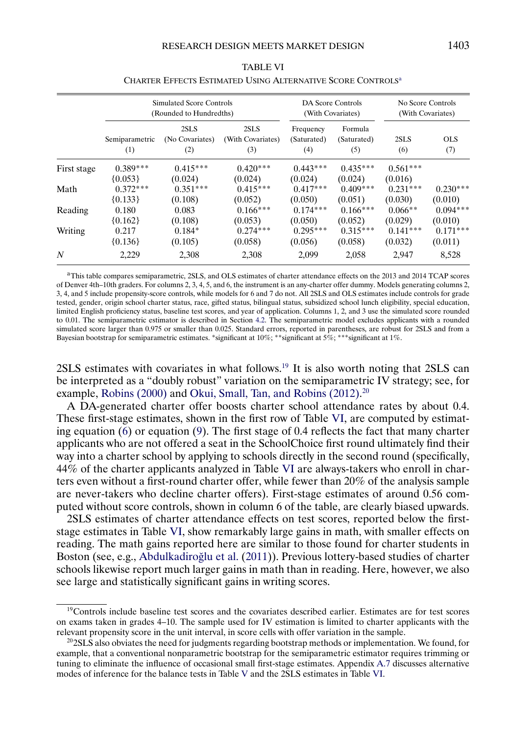<span id="page-31-0"></span>

|             | <b>Simulated Score Controls</b><br>(Rounded to Hundredths) |                                | DA Score Controls<br>(With Covariates) | No Score Controls<br>(With Covariates) |                               |                       |                       |
|-------------|------------------------------------------------------------|--------------------------------|----------------------------------------|----------------------------------------|-------------------------------|-----------------------|-----------------------|
|             | Semiparametric<br>(1)                                      | 2SLS<br>(No Covariates)<br>(2) | 2SLS<br>(With Covariates)<br>(3)       | Frequency<br>(Saturated)<br>(4)        | Formula<br>(Saturated)<br>(5) | 2SLS<br>(6)           | <b>OLS</b><br>(7)     |
| First stage | $0.389***$<br>${0.053}$                                    | $0.415***$<br>(0.024)          | $0.420***$<br>(0.024)                  | $0.443***$<br>(0.024)                  | $0.435***$<br>(0.024)         | $0.561***$<br>(0.016) |                       |
| Math        | $0.372***$<br>${0.133}$                                    | $0.351***$<br>(0.108)          | $0.415***$<br>(0.052)                  | $0.417***$<br>(0.050)                  | $0.409***$<br>(0.051)         | $0.231***$<br>(0.030) | $0.230***$<br>(0.010) |
| Reading     | 0.180<br>${0.162}$                                         | 0.083<br>(0.108)               | $0.166***$<br>(0.053)                  | $0.174***$<br>(0.050)                  | $0.166***$<br>(0.052)         | $0.066**$<br>(0.029)  | $0.094***$<br>(0.010) |
| Writing     | 0.217<br>${0.136}$                                         | $0.184*$<br>(0.105)            | $0.274***$<br>(0.058)                  | $0.295***$<br>(0.056)                  | $0.315***$<br>(0.058)         | $0.141***$<br>(0.032) | $0.171***$<br>(0.011) |
| N           | 2,229                                                      | 2,308                          | 2,308                                  | 2.099                                  | 2,058                         | 2.947                 | 8,528                 |

| <b>TABLE VI</b>                                                         |
|-------------------------------------------------------------------------|
| CHARTER EFFECTS ESTIMATED USING ALTERNATIVE SCORE CONTROLS <sup>a</sup> |

aThis table compares semiparametric, 2SLS, and OLS estimates of charter attendance effects on the 2013 and 2014 TCAP scores of Denver 4th–10th graders. For columns 2, 3, 4, 5, and 6, the instrument is an any-charter offer dummy. Models generating columns 2, 3, 4, and 5 include propensity-score controls, while models for 6 and 7 do not. All 2SLS and OLS estimates include controls for grade tested, gender, origin school charter status, race, gifted status, bilingual status, subsidized school lunch eligibility, special education, limited English proficiency status, baseline test scores, and year of application. Columns 1, 2, and 3 use the simulated score rounded to 0.01. The semiparametric estimator is described in Section [4.2.](#page-30-0) The semiparametric model excludes applicants with a rounded simulated score larger than 0.975 or smaller than 0.025. Standard errors, reported in parentheses, are robust for 2SLS and from a Bayesian bootstrap for semiparametric estimates. \*significant at 10%; \*\*significant at 5%; \*\*\*significant at 1%.

2SLS estimates with covariates in what follows.19 It is also worth noting that 2SLS can be interpreted as a "doubly robust" variation on the semiparametric IV strategy; see, for example, [Robins \(2000\)](#page-60-0) and [Okui, Small, Tan, and Robins \(2012\).](#page-59-0)<sup>[20](#page-59-0)</sup>

A DA-generated charter offer boosts charter school attendance rates by about 0.4. These first-stage estimates, shown in the first row of Table VI, are computed by estimating equation [\(6\)](#page-29-0) or equation [\(9\)](#page-30-0). The first stage of 0.4 reflects the fact that many charter applicants who are not offered a seat in the SchoolChoice first round ultimately find their way into a charter school by applying to schools directly in the second round (specifically, 44% of the charter applicants analyzed in Table VI are always-takers who enroll in charters even without a first-round charter offer, while fewer than 20% of the analysis sample are never-takers who decline charter offers). First-stage estimates of around 0.56 computed without score controls, shown in column 6 of the table, are clearly biased upwards.

2SLS estimates of charter attendance effects on test scores, reported below the firststage estimates in Table VI, show remarkably large gains in math, with smaller effects on reading. The math gains reported here are similar to those found for charter students in Boston (see, e.g., Abdulkadiroğlu et al. [\(2011\)](#page-57-0)). Previous lottery-based studies of charter schools likewise report much larger gains in math than in reading. Here, however, we also see large and statistically significant gains in writing scores.

<sup>&</sup>lt;sup>19</sup>Controls include baseline test scores and the covariates described earlier. Estimates are for test scores on exams taken in grades 4–10. The sample used for IV estimation is limited to charter applicants with the relevant propensity score in the unit interval, in score cells with offer variation in the sample.

 $^{20}$ 2SLS also obviates the need for judgments regarding bootstrap methods or implementation. We found, for example, that a conventional nonparametric bootstrap for the semiparametric estimator requires trimming or tuning to eliminate the influence of occasional small first-stage estimates. Appendix [A.7](#page-54-0) discusses alternative modes of inference for the balance tests in Table [V](#page-24-0) and the 2SLS estimates in Table VI.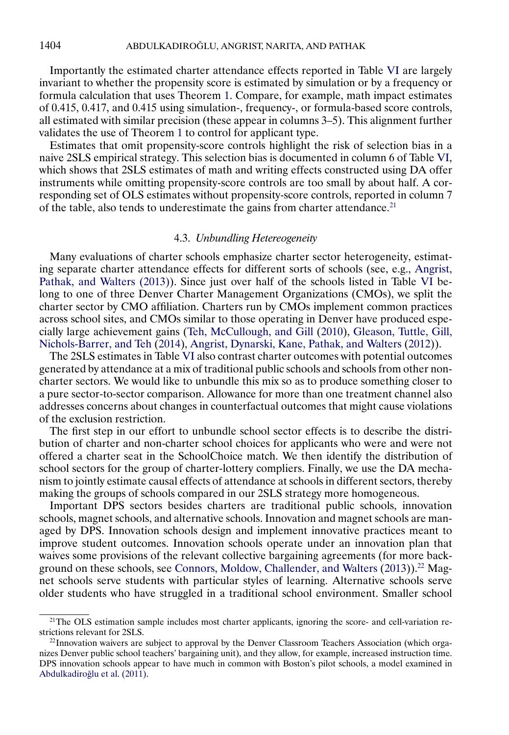Importantly the estimated charter attendance effects reported in Table [VI](#page-31-0) are largely invariant to whether the propensity score is estimated by simulation or by a frequency or formula calculation that uses Theorem [1.](#page-17-0) Compare, for example, math impact estimates of 0.415, 0.417, and 0.415 using simulation-, frequency-, or formula-based score controls, all estimated with similar precision (these appear in columns 3–5). This alignment further validates the use of Theorem [1](#page-17-0) to control for applicant type.

Estimates that omit propensity-score controls highlight the risk of selection bias in a naive 2SLS empirical strategy. This selection bias is documented in column 6 of Table [VI,](#page-31-0) which shows that 2SLS estimates of math and writing effects constructed using DA offer instruments while omitting propensity-score controls are too small by about half. A corresponding set of OLS estimates without propensity-score controls, reported in column 7 of the table, also tends to underestimate the gains from charter attendance.<sup>21</sup>

#### 4.3. *Unbundling Hetereogeneity*

Many evaluations of charter schools emphasize charter sector heterogeneity, estimating separate charter attendance effects for different sorts of schools (see, e.g., [Angrist,](#page-58-0) [Pathak, and Walters \(2013\)\)](#page-58-0). Since just over half of the schools listed in Table [VI](#page-31-0) belong to one of three Denver Charter Management Organizations (CMOs), we split the charter sector by CMO affiliation. Charters run by CMOs implement common practices across school sites, and CMOs similar to those operating in Denver have produced especially large achievement gains [\(Teh, McCullough, and Gill](#page-60-0) [\(2010\)](#page-60-0), [Gleason, Tuttle, Gill,](#page-59-0) [Nichols-Barrer, and Teh](#page-59-0) [\(2014\)](#page-59-0), [Angrist, Dynarski, Kane, Pathak, and Walters](#page-58-0) [\(2012\)](#page-58-0)).

The 2SLS estimates in Table [VI](#page-31-0) also contrast charter outcomes with potential outcomes generated by attendance at a mix of traditional public schools and schools from other noncharter sectors. We would like to unbundle this mix so as to produce something closer to a pure sector-to-sector comparison. Allowance for more than one treatment channel also addresses concerns about changes in counterfactual outcomes that might cause violations of the exclusion restriction.

The first step in our effort to unbundle school sector effects is to describe the distribution of charter and non-charter school choices for applicants who were and were not offered a charter seat in the SchoolChoice match. We then identify the distribution of school sectors for the group of charter-lottery compliers. Finally, we use the DA mechanism to jointly estimate causal effects of attendance at schools in different sectors, thereby making the groups of schools compared in our 2SLS strategy more homogeneous.

Important DPS sectors besides charters are traditional public schools, innovation schools, magnet schools, and alternative schools. Innovation and magnet schools are managed by DPS. Innovation schools design and implement innovative practices meant to improve student outcomes. Innovation schools operate under an innovation plan that waives some provisions of the relevant collective bargaining agreements (for more back-ground on these schools, see [Connors, Moldow, Challender, and Walters](#page-58-0) [\(2013\)](#page-58-0)).<sup>22</sup> Magnet schools serve students with particular styles of learning. Alternative schools serve older students who have struggled in a traditional school environment. Smaller school

<span id="page-32-0"></span>

<sup>&</sup>lt;sup>21</sup>The OLS estimation sample includes most charter applicants, ignoring the score- and cell-variation restrictions relevant for 2SLS.

<sup>&</sup>lt;sup>22</sup>Innovation waivers are subject to approval by the Denver Classroom Teachers Association (which organizes Denver public school teachers' bargaining unit), and they allow, for example, increased instruction time. DPS innovation schools appear to have much in common with Boston's pilot schools, a model examined in Abdulkadiroğlu et al. (2011).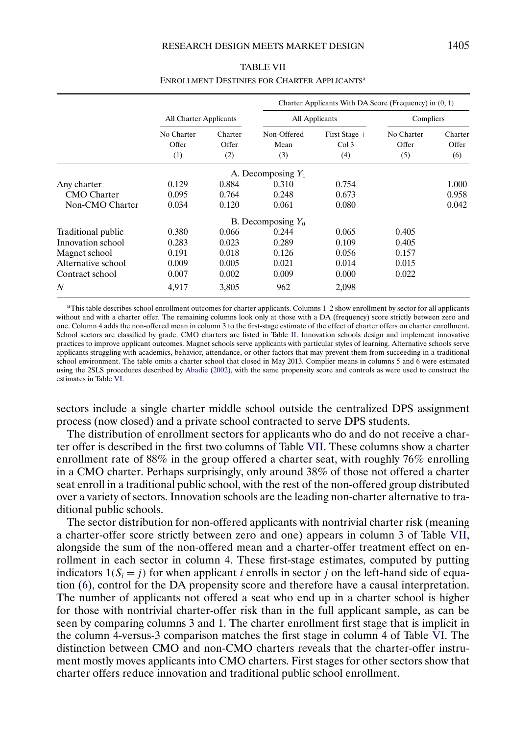<span id="page-33-0"></span>

|                    |                            |                         |                            | Charter Applicants With DA Score (Frequency) in $(0, 1)$ |                            |                         |
|--------------------|----------------------------|-------------------------|----------------------------|----------------------------------------------------------|----------------------------|-------------------------|
|                    | All Charter Applicants     |                         |                            | All Applicants                                           | Compliers                  |                         |
|                    | No Charter<br>Offer<br>(1) | Charter<br>Offer<br>(2) | Non-Offered<br>Mean<br>(3) | First Stage +<br>Col <sub>3</sub><br>(4)                 | No Charter<br>Offer<br>(5) | Charter<br>Offer<br>(6) |
|                    |                            |                         | A. Decomposing $Y_1$       |                                                          |                            |                         |
| Any charter        | 0.129                      | 0.884                   | 0.310                      | 0.754                                                    |                            | 1.000                   |
| <b>CMO</b> Charter | 0.095                      | 0.764                   | 0.248                      | 0.673                                                    |                            | 0.958                   |
| Non-CMO Charter    | 0.034                      | 0.120                   | 0.061                      | 0.080                                                    |                            | 0.042                   |
|                    |                            |                         | B. Decomposing $Y_0$       |                                                          |                            |                         |
| Traditional public | 0.380                      | 0.066                   | 0.244                      | 0.065                                                    | 0.405                      |                         |
| Innovation school  | 0.283                      | 0.023                   | 0.289                      | 0.109                                                    | 0.405                      |                         |
| Magnet school      | 0.191                      | 0.018                   | 0.126                      | 0.056                                                    | 0.157                      |                         |
| Alternative school | 0.009                      | 0.005                   | 0.021                      | 0.014                                                    | 0.015                      |                         |
| Contract school    | 0.007                      | 0.002                   | 0.009                      | 0.000                                                    | 0.022                      |                         |
| N                  | 4,917                      | 3,805                   | 962                        | 2,098                                                    |                            |                         |

## TABLE VII

#### ENROLLMENT DESTINIES FOR CHARTER APPLICANTS<sup>a</sup>

aThis table describes school enrollment outcomes for charter applicants. Columns 1–2 show enrollment by sector for all applicants without and with a charter offer. The remaining columns look only at those with a DA (frequency) score strictly between zero and one. Column 4 adds the non-offered mean in column 3 to the first-stage estimate of the effect of charter offers on charter enrollment. School sectors are classified by grade. CMO charters are listed in Table [II.](#page-11-0) Innovation schools design and implement innovative practices to improve applicant outcomes. Magnet schools serve applicants with particular styles of learning. Alternative schools serve applicants struggling with academics, behavior, attendance, or other factors that may prevent them from succeeding in a traditional school environment. The table omits a charter school that closed in May 2013. Complier means in columns 5 and 6 were estimated using the 2SLS procedures described by [Abadie \(2002\),](#page-57-0) with the same propensity score and controls as were used to construct the estimates in Table [VI.](#page-31-0)

sectors include a single charter middle school outside the centralized DPS assignment process (now closed) and a private school contracted to serve DPS students.

The distribution of enrollment sectors for applicants who do and do not receive a charter offer is described in the first two columns of Table VII. These columns show a charter enrollment rate of 88% in the group offered a charter seat, with roughly 76% enrolling in a CMO charter. Perhaps surprisingly, only around 38% of those not offered a charter seat enroll in a traditional public school, with the rest of the non-offered group distributed over a variety of sectors. Innovation schools are the leading non-charter alternative to traditional public schools.

The sector distribution for non-offered applicants with nontrivial charter risk (meaning a charter-offer score strictly between zero and one) appears in column 3 of Table VII, alongside the sum of the non-offered mean and a charter-offer treatment effect on enrollment in each sector in column 4. These first-stage estimates, computed by putting indicators  $1(S_i = j)$  for when applicant i enrolls in sector j on the left-hand side of equation [\(6\)](#page-29-0), control for the DA propensity score and therefore have a causal interpretation. The number of applicants not offered a seat who end up in a charter school is higher for those with nontrivial charter-offer risk than in the full applicant sample, as can be seen by comparing columns 3 and 1. The charter enrollment first stage that is implicit in the column 4-versus-3 comparison matches the first stage in column 4 of Table [VI.](#page-31-0) The distinction between CMO and non-CMO charters reveals that the charter-offer instrument mostly moves applicants into CMO charters. First stages for other sectors show that charter offers reduce innovation and traditional public school enrollment.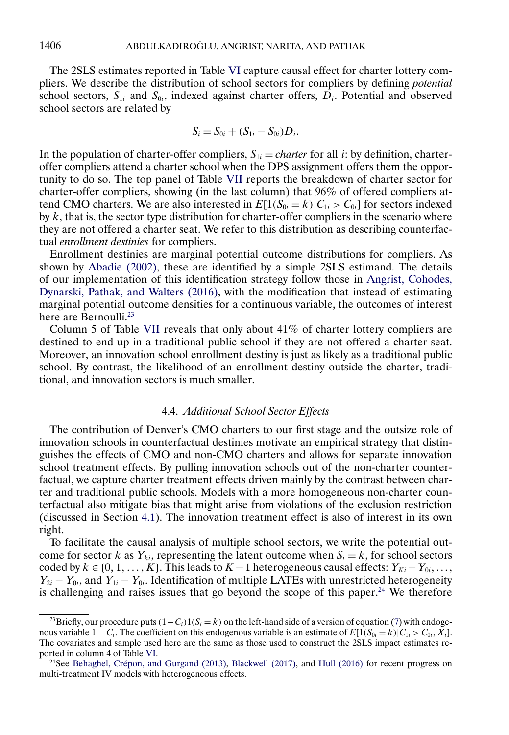<span id="page-34-0"></span>The 2SLS estimates reported in Table [VI](#page-31-0) capture causal effect for charter lottery compliers. We describe the distribution of school sectors for compliers by defining *potential* school sectors,  $S_{1i}$  and  $S_{0i}$ , indexed against charter offers,  $D_i$ . Potential and observed school sectors are related by

$$
S_i = S_{0i} + (S_{1i} - S_{0i})D_i.
$$

In the population of charter-offer compliers,  $S_{1i} =$ *charter* for all *i*: by definition, charteroffer compliers attend a charter school when the DPS assignment offers them the opportunity to do so. The top panel of Table [VII](#page-33-0) reports the breakdown of charter sector for charter-offer compliers, showing (in the last column) that 96% of offered compliers attend CMO charters. We are also interested in  $E[1(S_{0i} = k)|C_{1i} > C_{0i}]$  for sectors indexed by  $k$ , that is, the sector type distribution for charter-offer compliers in the scenario where they are not offered a charter seat. We refer to this distribution as describing counterfactual *enrollment destinies* for compliers.

Enrollment destinies are marginal potential outcome distributions for compliers. As shown by [Abadie \(2002\),](#page-57-0) these are identified by a simple 2SLS estimand. The details of our implementation of this identification strategy follow those in [Angrist, Cohodes,](#page-58-0) [Dynarski, Pathak, and Walters \(2016\),](#page-58-0) with the modification that instead of estimating marginal potential outcome densities for a continuous variable, the outcomes of interest here are Bernoulli $^{23}$ 

Column 5 of Table [VII](#page-33-0) reveals that only about  $41\%$  of charter lottery compliers are destined to end up in a traditional public school if they are not offered a charter seat. Moreover, an innovation school enrollment destiny is just as likely as a traditional public school. By contrast, the likelihood of an enrollment destiny outside the charter, traditional, and innovation sectors is much smaller.

#### 4.4. *Additional School Sector Effects*

The contribution of Denver's CMO charters to our first stage and the outsize role of innovation schools in counterfactual destinies motivate an empirical strategy that distinguishes the effects of CMO and non-CMO charters and allows for separate innovation school treatment effects. By pulling innovation schools out of the non-charter counterfactual, we capture charter treatment effects driven mainly by the contrast between charter and traditional public schools. Models with a more homogeneous non-charter counterfactual also mitigate bias that might arise from violations of the exclusion restriction (discussed in Section [4.1\)](#page-27-0). The innovation treatment effect is also of interest in its own right.

To facilitate the causal analysis of multiple school sectors, we write the potential outcome for sector k as  $Y_{ki}$ , representing the latent outcome when  $S_i = k$ , for school sectors coded by  $k \in \{0, 1, ..., K\}$ . This leads to  $K-1$  heterogeneous causal effects:  $Y_{Ki} - Y_{0i}, \ldots$  $Y_{2i} - Y_{0i}$ , and  $Y_{1i} - Y_{0i}$ . Identification of multiple LATEs with unrestricted heterogeneity is challenging and raises issues that go beyond the scope of this paper.<sup>24</sup> We therefore

<sup>&</sup>lt;sup>23</sup>Briefly, our procedure puts  $(1 - C_i)1(S_i = k)$  on the left-hand side of a version of equation [\(7\)](#page-29-0) with endogenous variable  $1 - C_i$ . The coefficient on this endogenous variable is an estimate of  $E[1(S_{0i} = k)|C_{1i} > C_{0i}, X_i]$ . The covariates and sample used here are the same as those used to construct the 2SLS impact estimates reported in column 4 of Table [VI.](#page-31-0)

<sup>&</sup>lt;sup>24</sup>See [Behaghel, Crépon, and Gurgand \(2013\),](#page-58-0) [Blackwell \(2017\),](#page-58-0) and [Hull \(2016\)](#page-59-0) for recent progress on multi-treatment IV models with heterogeneous effects.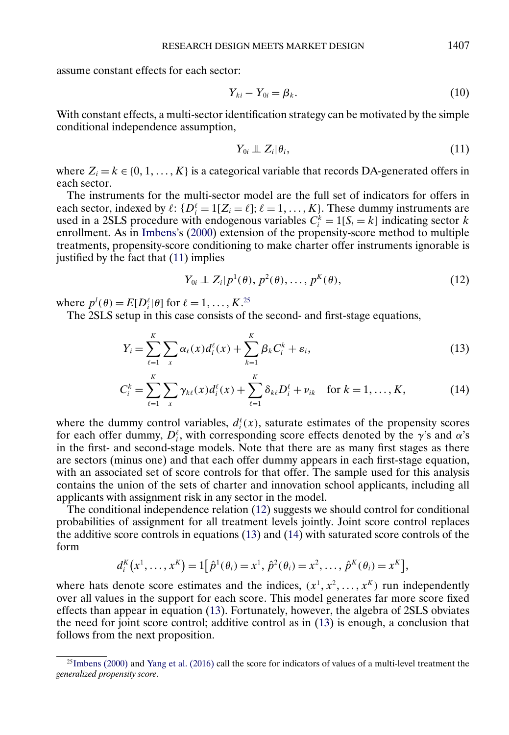<span id="page-35-0"></span>assume constant effects for each sector:

$$
Y_{ki} - Y_{0i} = \beta_k. \tag{10}
$$

With constant effects, a multi-sector identification strategy can be motivated by the simple conditional independence assumption,

$$
Y_{0i} \perp Z_i | \theta_i, \tag{11}
$$

where  $Z_i = k \in \{0, 1, ..., K\}$  is a categorical variable that records DA-generated offers in each sector.

The instruments for the multi-sector model are the full set of indicators for offers in each sector, indexed by  $\ell: \{D_i^{\ell} = 1 | Z_i = \ell\}; \ell = 1, ..., K\}$ . These dummy instruments are used in a 2SLS procedure with endogenous variables  $C_i^k = 1[S_i = k]$  indicating sector k enrollment. As in [Imbens'](#page-59-0)s [\(2000\)](#page-59-0) extension of the propensity-score method to multiple treatments, propensity-score conditioning to make charter offer instruments ignorable is justified by the fact that (11) implies

$$
Y_{0i} \perp Z_i | p^1(\theta), p^2(\theta), \ldots, p^K(\theta), \qquad (12)
$$

where  $p^{l}(\theta) = E[D_i^{\ell}|\theta]$  for  $\ell = 1, ..., K$ .<sup>25</sup>

The 2SLS setup in this case consists of the second- and first-stage equations,

$$
Y_i = \sum_{\ell=1}^K \sum_x \alpha_\ell(x) d_i^\ell(x) + \sum_{k=1}^K \beta_k C_i^k + \varepsilon_i,
$$
\n(13)

$$
C_i^k = \sum_{\ell=1}^K \sum_x \gamma_{k\ell}(x) d_i^{\ell}(x) + \sum_{\ell=1}^K \delta_{k\ell} D_i^{\ell} + \nu_{ik} \quad \text{for } k = 1, ..., K,
$$
 (14)

where the dummy control variables,  $d_i^{\ell}(x)$ , saturate estimates of the propensity scores for each offer dummy,  $D_i^{\ell}$ , with corresponding score effects denoted by the  $\gamma$ 's and  $\alpha$ 's in the first- and second-stage models. Note that there are as many first stages as there are sectors (minus one) and that each offer dummy appears in each first-stage equation, with an associated set of score controls for that offer. The sample used for this analysis contains the union of the sets of charter and innovation school applicants, including all applicants with assignment risk in any sector in the model.

The conditional independence relation (12) suggests we should control for conditional probabilities of assignment for all treatment levels jointly. Joint score control replaces the additive score controls in equations (13) and (14) with saturated score controls of the form

$$
d_i^K(x^1, ..., x^K) = 1[\hat{p}^1(\theta_i) = x^1, \hat{p}^2(\theta_i) = x^2, ..., \hat{p}^K(\theta_i) = x^K],
$$

where hats denote score estimates and the indices,  $(x^1, x^2, \ldots, x^k)$  run independently over all values in the support for each score. This model generates far more score fixed effects than appear in equation (13). Fortunately, however, the algebra of 2SLS obviates the need for joint score control; additive control as in (13) is enough, a conclusion that follows from the next proposition.

 $^{25}$ Imbens (2000) and [Yang et al. \(2016\)](#page-60-0) call the score for indicators of values of a multi-level treatment the *generalized propensity score*.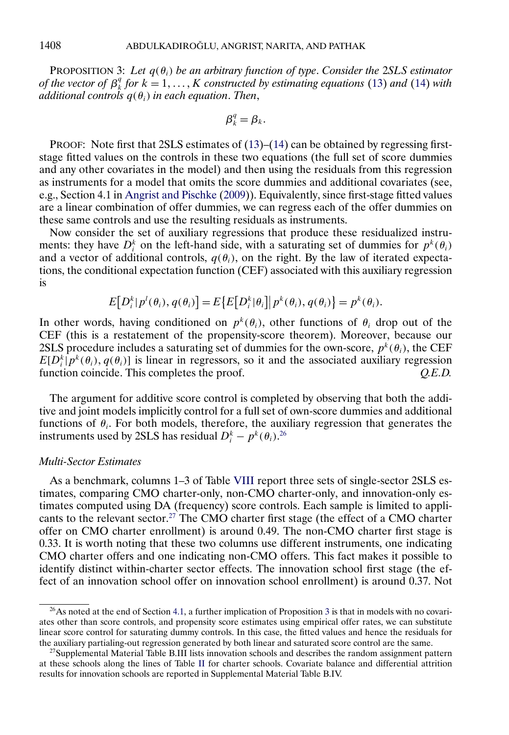<span id="page-36-0"></span>PROPOSITION 3: *Let* q(θi) *be an arbitrary function of type*. *Consider the* 2*SLS estimator of the vector of*  $\beta_k^q$  *for*  $k = 1, ..., K$  *constructed by estimating equations* [\(13\)](#page-35-0) *and* [\(14\)](#page-35-0) *with additional controls*  $q(\theta_i)$  *in each equation. Then,* 

$$
\beta_k^q=\beta_k.
$$

PROOF: Note first that  $2SLS$  estimates of  $(13)–(14)$  $(13)–(14)$  $(13)–(14)$  can be obtained by regressing firststage fitted values on the controls in these two equations (the full set of score dummies and any other covariates in the model) and then using the residuals from this regression as instruments for a model that omits the score dummies and additional covariates (see, e.g., Section 4.1 in [Angrist and Pischke](#page-58-0) [\(2009\)](#page-58-0)). Equivalently, since first-stage fitted values are a linear combination of offer dummies, we can regress each of the offer dummies on these same controls and use the resulting residuals as instruments.

Now consider the set of auxiliary regressions that produce these residualized instruments: they have  $D_i^k$  on the left-hand side, with a saturating set of dummies for  $p^k(\theta_i)$ and a vector of additional controls,  $q(\theta_i)$ , on the right. By the law of iterated expectations, the conditional expectation function (CEF) associated with this auxiliary regression is

$$
E[D_i^k|p'(\theta_i), q(\theta_i)] = E\{E[D_i^k|\theta_i]|p^k(\theta_i), q(\theta_i)\} = p^k(\theta_i).
$$

In other words, having conditioned on  $p^k(\theta_i)$ , other functions of  $\theta_i$  drop out of the CEF (this is a restatement of the propensity-score theorem). Moreover, because our 2SLS procedure includes a saturating set of dummies for the own-score,  $p^k(\theta_i)$ , the CEF  $E[D_i^k | p^k(\theta_i), q(\theta_i)]$  is linear in regressors, so it and the associated auxiliary regression function coincide. This completes the proof.  $Q.E.D.$ 

The argument for additive score control is completed by observing that both the additive and joint models implicitly control for a full set of own-score dummies and additional functions of  $\theta_i$ . For both models, therefore, the auxiliary regression that generates the instruments used by 2SLS has residual  $D_i^k - p^k(\theta_i)$ .<sup>26</sup>

#### *Multi-Sector Estimates*

As a benchmark, columns 1–3 of Table [VIII](#page-37-0) report three sets of single-sector 2SLS estimates, comparing CMO charter-only, non-CMO charter-only, and innovation-only estimates computed using DA (frequency) score controls. Each sample is limited to applicants to the relevant sector.<sup>27</sup> The CMO charter first stage (the effect of a CMO charter offer on CMO charter enrollment) is around 0.49. The non-CMO charter first stage is 0.33. It is worth noting that these two columns use different instruments, one indicating CMO charter offers and one indicating non-CMO offers. This fact makes it possible to identify distinct within-charter sector effects. The innovation school first stage (the effect of an innovation school offer on innovation school enrollment) is around 0.37. Not

 $^{26}$ As noted at the end of Section [4.1,](#page-27-0) a further implication of Proposition 3 is that in models with no covariates other than score controls, and propensity score estimates using empirical offer rates, we can substitute linear score control for saturating dummy controls. In this case, the fitted values and hence the residuals for the auxiliary partialing-out regression generated by both linear and saturated score control are the same.

 $^{27}$ Supplemental Material Table B.III lists innovation schools and describes the random assignment pattern at these schools along the lines of Table [II](#page-11-0) for charter schools. Covariate balance and differential attrition results for innovation schools are reported in Supplemental Material Table B.IV.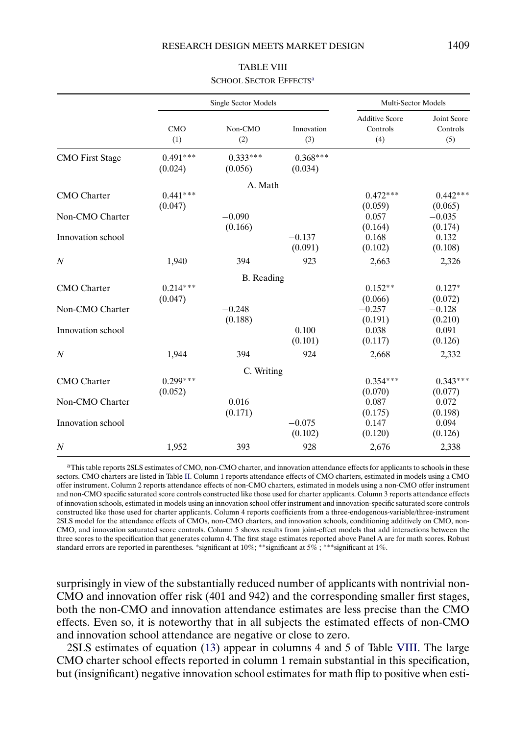<span id="page-37-0"></span>

|                        | Single Sector Models  |                       |                       | Multi-Sector Models                      |                                |  |
|------------------------|-----------------------|-----------------------|-----------------------|------------------------------------------|--------------------------------|--|
|                        | CMO<br>(1)            | Non-CMO<br>(2)        | Innovation<br>(3)     | <b>Additive Score</b><br>Controls<br>(4) | Joint Score<br>Controls<br>(5) |  |
| <b>CMO</b> First Stage | $0.491***$<br>(0.024) | $0.333***$<br>(0.056) | $0.368***$<br>(0.034) |                                          |                                |  |
|                        |                       | A. Math               |                       |                                          |                                |  |
| <b>CMO</b> Charter     | $0.441***$<br>(0.047) |                       |                       | $0.472***$<br>(0.059)                    | $0.442***$<br>(0.065)          |  |
| Non-CMO Charter        |                       | $-0.090$<br>(0.166)   |                       | 0.057<br>(0.164)                         | $-0.035$<br>(0.174)            |  |
| Innovation school      |                       |                       | $-0.137$<br>(0.091)   | 0.168<br>(0.102)                         | 0.132<br>(0.108)               |  |
| $\boldsymbol{N}$       | 1,940                 | 394                   | 923                   | 2,663                                    | 2,326                          |  |
|                        |                       | <b>B.</b> Reading     |                       |                                          |                                |  |
| <b>CMO</b> Charter     | $0.214***$<br>(0.047) |                       |                       | $0.152**$<br>(0.066)                     | $0.127*$<br>(0.072)            |  |
| Non-CMO Charter        |                       | $-0.248$<br>(0.188)   |                       | $-0.257$<br>(0.191)                      | $-0.128$<br>(0.210)            |  |
| Innovation school      |                       |                       | $-0.100$<br>(0.101)   | $-0.038$<br>(0.117)                      | $-0.091$<br>(0.126)            |  |
| $\boldsymbol{N}$       | 1,944                 | 394                   | 924                   | 2,668                                    | 2,332                          |  |
|                        |                       | C. Writing            |                       |                                          |                                |  |
| <b>CMO</b> Charter     | $0.299***$<br>(0.052) |                       |                       | $0.354***$<br>(0.070)                    | $0.343***$<br>(0.077)          |  |
| Non-CMO Charter        |                       | 0.016<br>(0.171)      |                       | 0.087<br>(0.175)                         | 0.072<br>(0.198)               |  |
| Innovation school      |                       |                       | $-0.075$<br>(0.102)   | 0.147<br>(0.120)                         | 0.094<br>(0.126)               |  |
| $\boldsymbol{N}$       | 1,952                 | 393                   | 928                   | 2,676                                    | 2,338                          |  |

#### TABLE VIII SCHOOL SECTOR EFFECTS<sup>a</sup>

<sup>a</sup>This table reports 2SLS estimates of CMO, non-CMO charter, and innovation attendance effects for applicants to schools in these sectors. CMO charters are listed in Table [II.](#page-11-0) Column 1 reports attendance effects of CMO charters, estimated in models using a CMO offer instrument. Column 2 reports attendance effects of non-CMO charters, estimated in models using a non-CMO offer instrument and non-CMO specific saturated score controls constructed like those used for charter applicants. Column 3 reports attendance effects of innovation schools, estimated in models using an innovation school offer instrument and innovation-specific saturated score controls constructed like those used for charter applicants. Column 4 reports coefficients from a three-endogenous-variable/three-instrument 2SLS model for the attendance effects of CMOs, non-CMO charters, and innovation schools, conditioning additively on CMO, non-CMO, and innovation saturated score controls. Column 5 shows results from joint-effect models that add interactions between the three scores to the specification that generates column 4. The first stage estimates reported above Panel A are for math scores. Robust standard errors are reported in parentheses. \*significant at 10%; \*\*significant at 5%; \*\*\*significant at 1%.

surprisingly in view of the substantially reduced number of applicants with nontrivial non-CMO and innovation offer risk (401 and 942) and the corresponding smaller first stages, both the non-CMO and innovation attendance estimates are less precise than the CMO effects. Even so, it is noteworthy that in all subjects the estimated effects of non-CMO and innovation school attendance are negative or close to zero.

2SLS estimates of equation [\(13\)](#page-35-0) appear in columns 4 and 5 of Table VIII. The large CMO charter school effects reported in column 1 remain substantial in this specification, but (insignificant) negative innovation school estimates for math flip to positive when esti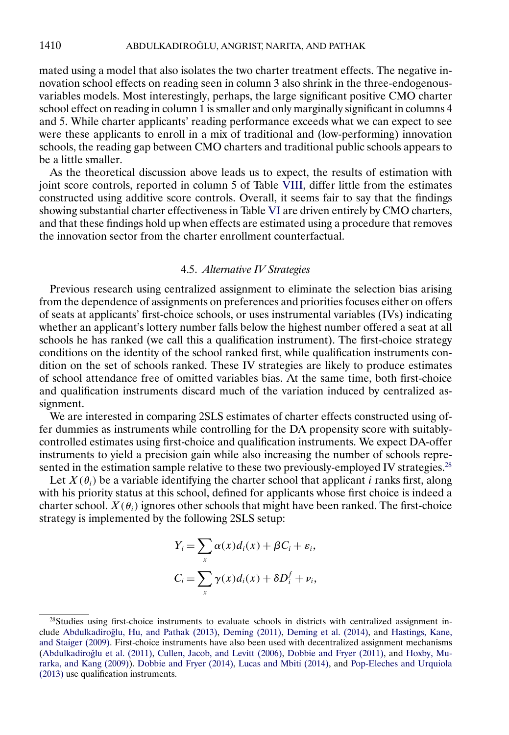<span id="page-38-0"></span>mated using a model that also isolates the two charter treatment effects. The negative innovation school effects on reading seen in column 3 also shrink in the three-endogenousvariables models. Most interestingly, perhaps, the large significant positive CMO charter school effect on reading in column 1 is smaller and only marginally significant in columns 4 and 5. While charter applicants' reading performance exceeds what we can expect to see were these applicants to enroll in a mix of traditional and (low-performing) innovation schools, the reading gap between CMO charters and traditional public schools appears to be a little smaller.

As the theoretical discussion above leads us to expect, the results of estimation with joint score controls, reported in column 5 of Table [VIII,](#page-37-0) differ little from the estimates constructed using additive score controls. Overall, it seems fair to say that the findings showing substantial charter effectiveness in Table [VI](#page-31-0) are driven entirely by CMO charters, and that these findings hold up when effects are estimated using a procedure that removes the innovation sector from the charter enrollment counterfactual.

#### 4.5. *Alternative IV Strategies*

Previous research using centralized assignment to eliminate the selection bias arising from the dependence of assignments on preferences and priorities focuses either on offers of seats at applicants' first-choice schools, or uses instrumental variables (IVs) indicating whether an applicant's lottery number falls below the highest number offered a seat at all schools he has ranked (we call this a qualification instrument). The first-choice strategy conditions on the identity of the school ranked first, while qualification instruments condition on the set of schools ranked. These IV strategies are likely to produce estimates of school attendance free of omitted variables bias. At the same time, both first-choice and qualification instruments discard much of the variation induced by centralized assignment.

We are interested in comparing 2SLS estimates of charter effects constructed using offer dummies as instruments while controlling for the DA propensity score with suitablycontrolled estimates using first-choice and qualification instruments. We expect DA-offer instruments to yield a precision gain while also increasing the number of schools represented in the estimation sample relative to these two previously-employed IV strategies.<sup>28</sup>

Let  $X(\theta_i)$  be a variable identifying the charter school that applicant *i* ranks first, along with his priority status at this school, defined for applicants whose first choice is indeed a charter school.  $X(\theta_i)$  ignores other schools that might have been ranked. The first-choice strategy is implemented by the following 2SLS setup:

$$
Y_i = \sum_{x} \alpha(x) d_i(x) + \beta C_i + \varepsilon_i,
$$
  

$$
C_i = \sum_{x} \gamma(x) d_i(x) + \delta D_i^f + \nu_i,
$$

<sup>&</sup>lt;sup>28</sup>Studies using first-choice instruments to evaluate schools in districts with centralized assignment in-clude Abdulkadiroğlu, Hu, and Pathak (2013), [Deming \(2011\),](#page-59-0) [Deming et al. \(2014\),](#page-59-0) and [Hastings, Kane,](#page-59-0) [and Staiger \(2009\).](#page-59-0) First-choice instruments have also been used with decentralized assignment mechanisms (Abdulkadiroğlu et al. (2011), [Cullen, Jacob, and Levitt \(2006\),](#page-58-0) [Dobbie and Fryer \(2011\),](#page-59-0) and [Hoxby, Mu](#page-59-0)[rarka, and Kang \(2009\)\)](#page-59-0). [Dobbie and Fryer \(2014\),](#page-59-0) [Lucas and Mbiti \(2014\),](#page-59-0) and [Pop-Eleches and Urquiola](#page-60-0) [\(2013\)](#page-60-0) use qualification instruments.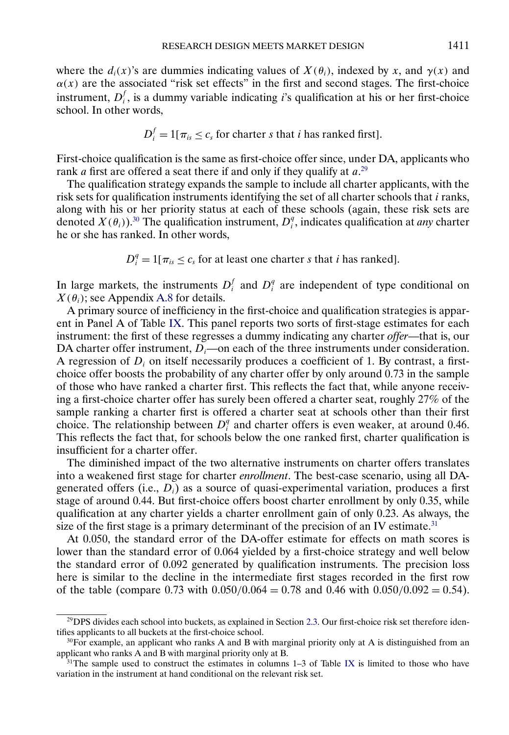<span id="page-39-0"></span>where the  $d_i(x)$ 's are dummies indicating values of  $X(\theta_i)$ , indexed by x, and  $\gamma(x)$  and  $\alpha(x)$  are the associated "risk set effects" in the first and second stages. The first-choice instrument,  $D_i^f$ , is a dummy variable indicating *i*'s qualification at his or her first-choice school. In other words,

$$
D_i^f = 1[\pi_{is} \le c_s \text{ for character } s \text{ that } i \text{ has ranked first}].
$$

First-choice qualification is the same as first-choice offer since, under DA, applicants who rank *a* first are offered a seat there if and only if they qualify at  $a$ .<sup>29</sup>

The qualification strategy expands the sample to include all charter applicants, with the risk sets for qualification instruments identifying the set of all charter schools that i ranks, along with his or her priority status at each of these schools (again, these risk sets are denoted  $X(\theta_i)$ .<sup>30</sup> The qualification instrument,  $D_i^q$ , indicates qualification at *any* charter he or she has ranked. In other words,

 $D_i^q = 1[\pi_{is} \leq c_s \text{ for at least one character } s \text{ that } i \text{ has ranked}].$ 

In large markets, the instruments  $D_i^f$  and  $D_i^q$  are independent of type conditional on  $X(\theta_i)$ ; see Appendix [A.8](#page-55-0) for details.

A primary source of inefficiency in the first-choice and qualification strategies is apparent in Panel A of Table [IX.](#page-40-0) This panel reports two sorts of first-stage estimates for each instrument: the first of these regresses a dummy indicating any charter *offer*—that is, our DA charter offer instrument,  $D_i$ —on each of the three instruments under consideration. A regression of  $D_i$  on itself necessarily produces a coefficient of 1. By contrast, a firstchoice offer boosts the probability of any charter offer by only around 0.73 in the sample of those who have ranked a charter first. This reflects the fact that, while anyone receiving a first-choice charter offer has surely been offered a charter seat, roughly 27% of the sample ranking a charter first is offered a charter seat at schools other than their first choice. The relationship between  $D_i^q$  and charter offers is even weaker, at around 0.46. This reflects the fact that, for schools below the one ranked first, charter qualification is insufficient for a charter offer.

The diminished impact of the two alternative instruments on charter offers translates into a weakened first stage for charter *enrollment*. The best-case scenario, using all DAgenerated offers (i.e.,  $D_i$ ) as a source of quasi-experimental variation, produces a first stage of around 0.44. But first-choice offers boost charter enrollment by only 0.35, while qualification at any charter yields a charter enrollment gain of only 0.23. As always, the size of the first stage is a primary determinant of the precision of an IV estimate.<sup>31</sup>

At 0.050, the standard error of the DA-offer estimate for effects on math scores is lower than the standard error of 0.064 yielded by a first-choice strategy and well below the standard error of 0.092 generated by qualification instruments. The precision loss here is similar to the decline in the intermediate first stages recorded in the first row of the table (compare 0.73 with  $0.050/0.064 = 0.78$  and 0.46 with  $0.050/0.092 = 0.54$ ).

<sup>&</sup>lt;sup>29</sup>DPS divides each school into buckets, as explained in Section [2.3.](#page-8-0) Our first-choice risk set therefore identifies applicants to all buckets at the first-choice school.

 $30$ For example, an applicant who ranks A and B with marginal priority only at A is distinguished from an applicant who ranks A and B with marginal priority only at B.

<sup>&</sup>lt;sup>31</sup>The sample used to construct the estimates in columns 1–3 of Table [IX](#page-40-0) is limited to those who have variation in the instrument at hand conditional on the relevant risk set.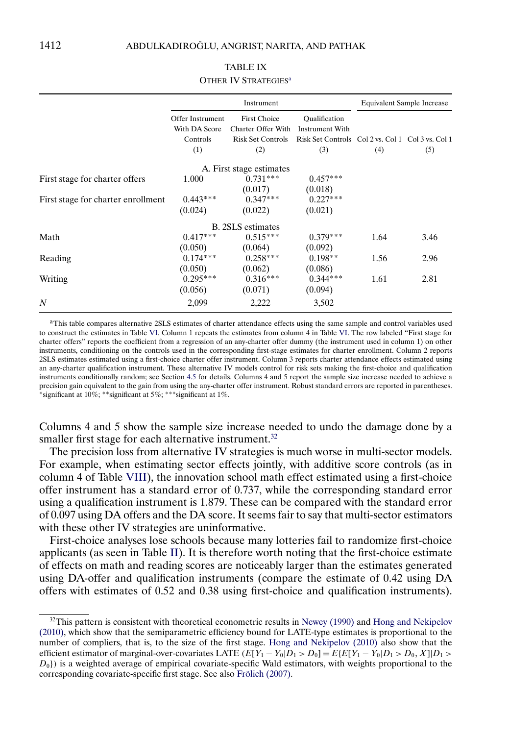<span id="page-40-0"></span>

|                                    |                                                      | Instrument                                                                   | <b>Equivalent Sample Increase</b>                                                            |      |      |
|------------------------------------|------------------------------------------------------|------------------------------------------------------------------------------|----------------------------------------------------------------------------------------------|------|------|
|                                    | Offer Instrument<br>With DA Score<br>Controls<br>(1) | <b>First Choice</b><br>Charter Offer With<br><b>Risk Set Controls</b><br>(2) | Qualification<br>Instrument With<br>Risk Set Controls Col 2 vs. Col 1 Col 3 vs. Col 1<br>(3) | (4)  | (5)  |
|                                    |                                                      | A. First stage estimates                                                     |                                                                                              |      |      |
| First stage for charter offers     | 1.000                                                | $0.731***$                                                                   | $0.457***$                                                                                   |      |      |
|                                    |                                                      | (0.017)                                                                      | (0.018)                                                                                      |      |      |
| First stage for charter enrollment | $0.443***$                                           | $0.347***$                                                                   | $0.227***$                                                                                   |      |      |
|                                    | (0.024)                                              | (0.022)                                                                      | (0.021)                                                                                      |      |      |
|                                    |                                                      | <b>B.</b> 2SLS estimates                                                     |                                                                                              |      |      |
| Math                               | $0.417***$                                           | $0.515***$                                                                   | $0.379***$                                                                                   | 1.64 | 3.46 |
|                                    | (0.050)                                              | (0.064)                                                                      | (0.092)                                                                                      |      |      |
| Reading                            | $0.174***$                                           | $0.258***$                                                                   | $0.198**$                                                                                    | 1.56 | 2.96 |
|                                    | (0.050)                                              | (0.062)                                                                      | (0.086)                                                                                      |      |      |
| Writing                            | $0.295***$                                           | $0.316***$                                                                   | $0.344***$                                                                                   | 1.61 | 2.81 |
|                                    | (0.056)                                              | (0.071)                                                                      | (0.094)                                                                                      |      |      |
| N                                  | 2,099                                                | 2,222                                                                        | 3,502                                                                                        |      |      |

#### TABLE IX OTHER IV STRATEGIES<sup>a</sup>

aThis table compares alternative 2SLS estimates of charter attendance effects using the same sample and control variables used to construct the estimates in Table [VI.](#page-31-0) Column 1 repeats the estimates from column 4 in Table [VI.](#page-31-0) The row labeled "First stage for charter offers" reports the coefficient from a regression of an any-charter offer dummy (the instrument used in column 1) on other instruments, conditioning on the controls used in the corresponding first-stage estimates for charter enrollment. Column 2 reports 2SLS estimates estimated using a first-choice charter offer instrument. Column 3 reports charter attendance effects estimated using an any-charter qualification instrument. These alternative IV models control for risk sets making the first-choice and qualification instruments conditionally random; see Section [4.5](#page-38-0) for details. Columns 4 and 5 report the sample size increase needed to achieve a precision gain equivalent to the gain from using the any-charter offer instrument. Robust standard errors are reported in parentheses. \*significant at 10%; \*\*significant at 5%; \*\*\*significant at 1%.

Columns 4 and 5 show the sample size increase needed to undo the damage done by a smaller first stage for each alternative instrument.<sup>32</sup>

The precision loss from alternative IV strategies is much worse in multi-sector models. For example, when estimating sector effects jointly, with additive score controls (as in column 4 of Table [VIII\)](#page-37-0), the innovation school math effect estimated using a first-choice offer instrument has a standard error of 0.737, while the corresponding standard error using a qualification instrument is 1.879. These can be compared with the standard error of 0.097 using DA offers and the DA score. It seems fair to say that multi-sector estimators with these other IV strategies are uninformative.

First-choice analyses lose schools because many lotteries fail to randomize first-choice applicants (as seen in Table [II\)](#page-11-0). It is therefore worth noting that the first-choice estimate of effects on math and reading scores are noticeably larger than the estimates generated using DA-offer and qualification instruments (compare the estimate of 0.42 using DA offers with estimates of 0.52 and 0.38 using first-choice and qualification instruments).

 $32$ This pattern is consistent with theoretical econometric results in [Newey \(1990\)](#page-59-0) and [Hong and Nekipelov](#page-59-0) [\(2010\),](#page-59-0) which show that the semiparametric efficiency bound for LATE-type estimates is proportional to the number of compliers, that is, to the size of the first stage. [Hong and Nekipelov \(2010\)](#page-59-0) also show that the efficient estimator of marginal-over-covariates LATE  $(E[Y_1 - Y_0 | D_1 > D_0] = E\{E[Y_1 - Y_0 | D_1 > D_0, X]|D_1 > D_0\}$  $D_0$ ) is a weighted average of empirical covariate-specific Wald estimators, with weights proportional to the corresponding covariate-specific first stage. See also [Frölich \(2007\).](#page-59-0)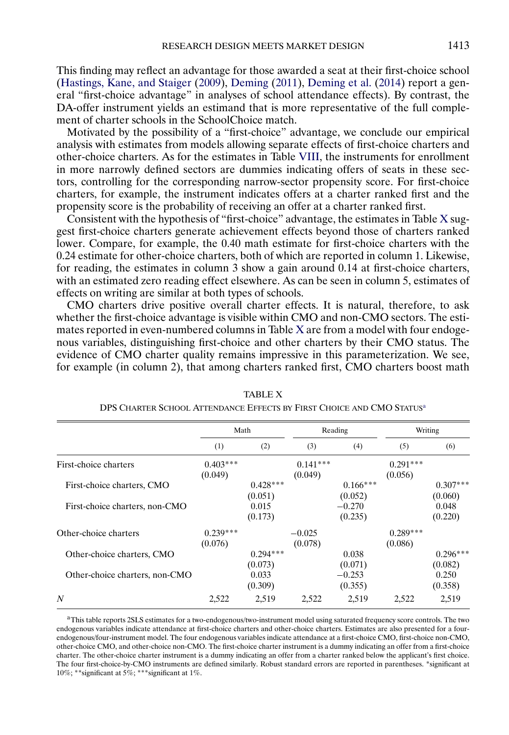<span id="page-41-0"></span>This finding may reflect an advantage for those awarded a seat at their first-choice school [\(Hastings, Kane, and Staiger](#page-59-0) [\(2009\)](#page-59-0), [Deming](#page-59-0) [\(2011\)](#page-59-0), [Deming et al.](#page-59-0) [\(2014\)](#page-59-0) report a general "first-choice advantage" in analyses of school attendance effects). By contrast, the DA-offer instrument yields an estimand that is more representative of the full complement of charter schools in the SchoolChoice match.

Motivated by the possibility of a "first-choice" advantage, we conclude our empirical analysis with estimates from models allowing separate effects of first-choice charters and other-choice charters. As for the estimates in Table [VIII,](#page-37-0) the instruments for enrollment in more narrowly defined sectors are dummies indicating offers of seats in these sectors, controlling for the corresponding narrow-sector propensity score. For first-choice charters, for example, the instrument indicates offers at a charter ranked first and the propensity score is the probability of receiving an offer at a charter ranked first.

Consistent with the hypothesis of "first-choice" advantage, the estimates in Table X suggest first-choice charters generate achievement effects beyond those of charters ranked lower. Compare, for example, the 0.40 math estimate for first-choice charters with the 0.24 estimate for other-choice charters, both of which are reported in column 1. Likewise, for reading, the estimates in column 3 show a gain around 0.14 at first-choice charters, with an estimated zero reading effect elsewhere. As can be seen in column 5, estimates of effects on writing are similar at both types of schools.

CMO charters drive positive overall charter effects. It is natural, therefore, to ask whether the first-choice advantage is visible within CMO and non-CMO sectors. The estimates reported in even-numbered columns in Table X are from a model with four endogenous variables, distinguishing first-choice and other charters by their CMO status. The evidence of CMO charter quality remains impressive in this parameterization. We see, for example (in column 2), that among charters ranked first, CMO charters boost math

|                                | Math                  |                       | Reading               |                       | Writing               |                       |
|--------------------------------|-----------------------|-----------------------|-----------------------|-----------------------|-----------------------|-----------------------|
|                                | (1)                   | (2)                   | (3)                   | (4)                   | (5)                   | (6)                   |
| First-choice charters          | $0.403***$<br>(0.049) |                       | $0.141***$<br>(0.049) |                       | $0.291***$<br>(0.056) |                       |
| First-choice charters, CMO     |                       | $0.428***$<br>(0.051) |                       | $0.166***$<br>(0.052) |                       | $0.307***$<br>(0.060) |
| First-choice charters, non-CMO |                       | 0.015<br>(0.173)      |                       | $-0.270$<br>(0.235)   |                       | 0.048<br>(0.220)      |
| Other-choice charters          | $0.239***$<br>(0.076) |                       | $-0.025$<br>(0.078)   |                       | $0.289***$<br>(0.086) |                       |
| Other-choice charters, CMO     |                       | $0.294***$<br>(0.073) |                       | 0.038<br>(0.071)      |                       | $0.296***$<br>(0.082) |
| Other-choice charters, non-CMO |                       | 0.033<br>(0.309)      |                       | $-0.253$<br>(0.355)   |                       | 0.250<br>(0.358)      |
| N                              | 2,522                 | 2,519                 | 2,522                 | 2,519                 | 2,522                 | 2,519                 |

TABLE X DPS CHARTER SCHOOL ATTENDANCE EFFECTS BY FIRST CHOICE AND CMO STATUS<sup>a</sup>

aThis table reports 2SLS estimates for a two-endogenous/two-instrument model using saturated frequency score controls. The two endogenous variables indicate attendance at first-choice charters and other-choice charters. Estimates are also presented for a fourendogenous/four-instrument model. The four endogenous variables indicate attendance at a first-choice CMO, first-choice non-CMO, other-choice CMO, and other-choice non-CMO. The first-choice charter instrument is a dummy indicating an offer from a first-choice charter. The other-choice charter instrument is a dummy indicating an offer from a charter ranked below the applicant's first choice. The four first-choice-by-CMO instruments are defined similarly. Robust standard errors are reported in parentheses. \*significant at 10%; \*\*significant at 5%; \*\*\*significant at 1%.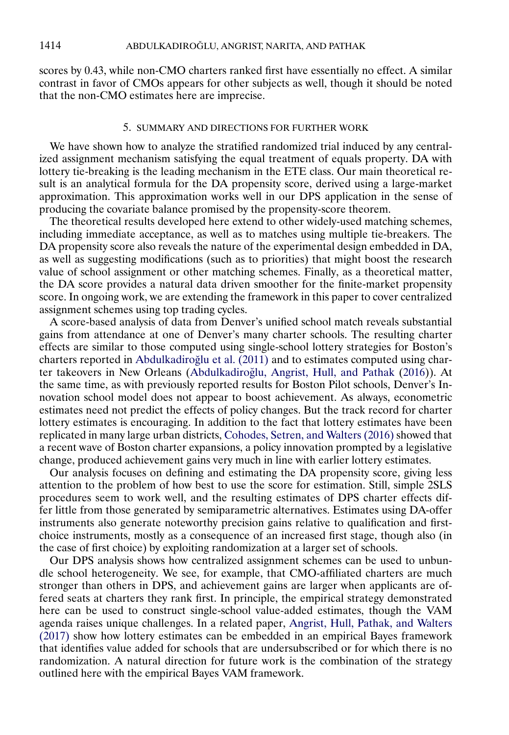<span id="page-42-0"></span>scores by 0.43, while non-CMO charters ranked first have essentially no effect. A similar contrast in favor of CMOs appears for other subjects as well, though it should be noted that the non-CMO estimates here are imprecise.

#### 5. SUMMARY AND DIRECTIONS FOR FURTHER WORK

We have shown how to analyze the stratified randomized trial induced by any centralized assignment mechanism satisfying the equal treatment of equals property. DA with lottery tie-breaking is the leading mechanism in the ETE class. Our main theoretical result is an analytical formula for the DA propensity score, derived using a large-market approximation. This approximation works well in our DPS application in the sense of producing the covariate balance promised by the propensity-score theorem.

The theoretical results developed here extend to other widely-used matching schemes, including immediate acceptance, as well as to matches using multiple tie-breakers. The DA propensity score also reveals the nature of the experimental design embedded in DA, as well as suggesting modifications (such as to priorities) that might boost the research value of school assignment or other matching schemes. Finally, as a theoretical matter, the DA score provides a natural data driven smoother for the finite-market propensity score. In ongoing work, we are extending the framework in this paper to cover centralized assignment schemes using top trading cycles.

A score-based analysis of data from Denver's unified school match reveals substantial gains from attendance at one of Denver's many charter schools. The resulting charter effects are similar to those computed using single-school lottery strategies for Boston's charters reported in Abdulkadiroğlu et al.  $(2011)$  and to estimates computed using char-ter takeovers in New Orleans (Abdulkadiroğlu, Angrist, Hull, and Pathak [\(2016\)](#page-57-0)). At the same time, as with previously reported results for Boston Pilot schools, Denver's Innovation school model does not appear to boost achievement. As always, econometric estimates need not predict the effects of policy changes. But the track record for charter lottery estimates is encouraging. In addition to the fact that lottery estimates have been replicated in many large urban districts, [Cohodes, Setren, and Walters \(2016\)](#page-58-0) showed that a recent wave of Boston charter expansions, a policy innovation prompted by a legislative change, produced achievement gains very much in line with earlier lottery estimates.

Our analysis focuses on defining and estimating the DA propensity score, giving less attention to the problem of how best to use the score for estimation. Still, simple 2SLS procedures seem to work well, and the resulting estimates of DPS charter effects differ little from those generated by semiparametric alternatives. Estimates using DA-offer instruments also generate noteworthy precision gains relative to qualification and firstchoice instruments, mostly as a consequence of an increased first stage, though also (in the case of first choice) by exploiting randomization at a larger set of schools.

Our DPS analysis shows how centralized assignment schemes can be used to unbundle school heterogeneity. We see, for example, that CMO-affiliated charters are much stronger than others in DPS, and achievement gains are larger when applicants are offered seats at charters they rank first. In principle, the empirical strategy demonstrated here can be used to construct single-school value-added estimates, though the VAM agenda raises unique challenges. In a related paper, [Angrist, Hull, Pathak, and Walters](#page-58-0) [\(2017\)](#page-58-0) show how lottery estimates can be embedded in an empirical Bayes framework that identifies value added for schools that are undersubscribed or for which there is no randomization. A natural direction for future work is the combination of the strategy outlined here with the empirical Bayes VAM framework.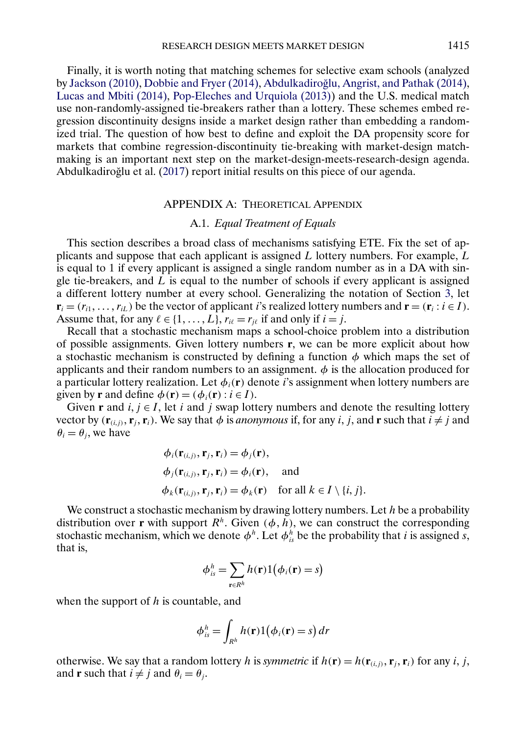<span id="page-43-0"></span>Finally, it is worth noting that matching schemes for selective exam schools (analyzed by [Jackson \(2010\),](#page-59-0) [Dobbie and Fryer \(2014\),](#page-59-0) Abdulkadiroğlu, Angrist, and Pathak (2014), [Lucas and Mbiti \(2014\),](#page-59-0) [Pop-Eleches and Urquiola \(2013\)\)](#page-60-0) and the U.S. medical match use non-randomly-assigned tie-breakers rather than a lottery. These schemes embed regression discontinuity designs inside a market design rather than embedding a randomized trial. The question of how best to define and exploit the DA propensity score for markets that combine regression-discontinuity tie-breaking with market-design matchmaking is an important next step on the market-design-meets-research-design agenda. Abdulkadiroğlu et al. [\(2017\)](#page-58-0) report initial results on this piece of our agenda.

#### APPENDIX A: THEORETICAL APPENDIX

#### A.1. *Equal Treatment of Equals*

This section describes a broad class of mechanisms satisfying ETE. Fix the set of applicants and suppose that each applicant is assigned  $L$  lottery numbers. For example,  $L$ is equal to 1 if every applicant is assigned a single random number as in a DA with single tie-breakers, and  $\hat{L}$  is equal to the number of schools if every applicant is assigned a different lottery number at every school. Generalizing the notation of Section [3,](#page-12-0) let  $\mathbf{r}_i = (r_{i1}, \dots, r_{iL})$  be the vector of applicant *i*'s realized lottery numbers and  $\mathbf{r} = (\mathbf{r}_i : i \in I)$ . Assume that, for any  $\ell \in \{1, ..., L\}$ ,  $r_{i\ell} = r_{j\ell}$  if and only if  $i = j$ .

Recall that a stochastic mechanism maps a school-choice problem into a distribution of possible assignments. Given lottery numbers **r**, we can be more explicit about how a stochastic mechanism is constructed by defining a function  $\phi$  which maps the set of applicants and their random numbers to an assignment.  $\phi$  is the allocation produced for a particular lottery realization. Let  $\phi_i(\mathbf{r})$  denote *i*'s assignment when lottery numbers are given by **r** and define  $\phi(\mathbf{r}) = (\phi_i(\mathbf{r}) : i \in I)$ .

Given **r** and  $i, j \in I$ , let i and j swap lottery numbers and denote the resulting lottery vector by  $(\mathbf{r}_{(i,j)}, \mathbf{r}_j, \mathbf{r}_i)$ . We say that  $\phi$  is *anonymous* if, for any *i*, *j*, and **r** such that  $i \neq j$  and  $\theta_i = \theta_j$ , we have

$$
\phi_i(\mathbf{r}_{(i,j)}, \mathbf{r}_j, \mathbf{r}_i) = \phi_j(\mathbf{r}),
$$
  
\n
$$
\phi_j(\mathbf{r}_{(i,j)}, \mathbf{r}_j, \mathbf{r}_i) = \phi_i(\mathbf{r}), \text{ and}
$$
  
\n
$$
\phi_k(\mathbf{r}_{(i,j)}, \mathbf{r}_j, \mathbf{r}_i) = \phi_k(\mathbf{r}) \text{ for all } k \in I \setminus \{i, j\}.
$$

We construct a stochastic mechanism by drawing lottery numbers. Let  $h$  be a probability distribution over **r** with support  $R<sup>h</sup>$ . Given  $(\phi, h)$ , we can construct the corresponding stochastic mechanism, which we denote  $\phi^h$ . Let  $\phi^h_{is}$  be the probability that *i* is assigned *s*, that is,

$$
\phi_{is}^h = \sum_{\mathbf{r} \in R^h} h(\mathbf{r}) \mathbb{1}(\phi_i(\mathbf{r}) = s)
$$

when the support of  $h$  is countable, and

$$
\phi_{is}^h = \int_{R^h} h(\mathbf{r}) \mathbb{1}(\phi_i(\mathbf{r}) = s) \, dr
$$

otherwise. We say that a random lottery h is *symmetric* if  $h(\mathbf{r}) = h(\mathbf{r}_{(i,j)}, \mathbf{r}_i, \mathbf{r}_i)$  for any i, j, and **r** such that  $i \neq j$  and  $\theta_i = \theta_i$ .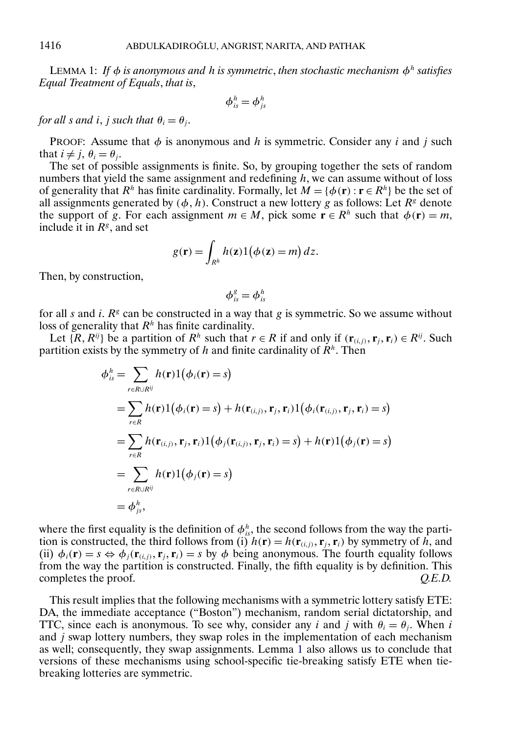LEMMA 1: *If*  $\phi$  *is anonymous and h is symmetric, then stochastic mechanism*  $\phi^h$  *satisfies Equal Treatment of Equals*, *that is*,

$$
\boldsymbol{\phi}_{is}^h = \boldsymbol{\phi}_{js}^h
$$

*for all s and i, j such that*  $\theta_i = \theta_i$ .

PROOF: Assume that  $\phi$  is anonymous and h is symmetric. Consider any i and j such that  $i \neq j$ ,  $\theta_i = \theta_i$ .

The set of possible assignments is finite. So, by grouping together the sets of random numbers that yield the same assignment and redefining  $h$ , we can assume without of loss of generality that  $R^h$  has finite cardinality. Formally, let  $M = \{\phi(\mathbf{r}) : \mathbf{r} \in R^h\}$  be the set of all assignments generated by  $(\phi, h)$ . Construct a new lottery g as follows: Let  $R^g$  denote the support of g. For each assignment  $m \in M$ , pick some  $\mathbf{r} \in R^h$  such that  $\phi(\mathbf{r}) = m$ , include it in  $R<sup>g</sup>$ , and set

$$
g(\mathbf{r}) = \int_{R^h} h(\mathbf{z}) \mathbb{1}(\phi(\mathbf{z}) = m) dz.
$$

Then, by construction,

 $\phi_{is}^g = \phi_{is}^h$ 

for all s and i.  $R<sup>g</sup>$  can be constructed in a way that g is symmetric. So we assume without loss of generality that  $R<sup>h</sup>$  has finite cardinality.

Let  $\{R, R^{ij}\}\$  be a partition of  $R^h$  such that  $r \in R$  if and only if  $(\mathbf{r}_{(i,j)}, \mathbf{r}_j, \mathbf{r}_i) \in R^{ij}$ . Such partition exists by the symmetry of h and finite cardinality of  $\mathbb{R}^h$ . Then

$$
\phi_{is}^{h} = \sum_{r \in R \cup R^{ij}} h(\mathbf{r}) 1(\phi_{i}(\mathbf{r}) = s)
$$
\n
$$
= \sum_{r \in R} h(\mathbf{r}) 1(\phi_{i}(\mathbf{r}) = s) + h(\mathbf{r}_{(i,j)}, \mathbf{r}_{j}, \mathbf{r}_{i}) 1(\phi_{i}(\mathbf{r}_{(i,j)}, \mathbf{r}_{j}, \mathbf{r}_{i}) = s)
$$
\n
$$
= \sum_{r \in R} h(\mathbf{r}_{(i,j)}, \mathbf{r}_{j}, \mathbf{r}_{i}) 1(\phi_{j}(\mathbf{r}_{(i,j)}, \mathbf{r}_{j}, \mathbf{r}_{i}) = s) + h(\mathbf{r}) 1(\phi_{j}(\mathbf{r}) = s)
$$
\n
$$
= \sum_{r \in R \cup R^{ij}} h(\mathbf{r}) 1(\phi_{j}(\mathbf{r}) = s)
$$
\n
$$
= \phi_{js}^{h},
$$

where the first equality is the definition of  $\phi_{is}^h$ , the second follows from the way the partition is constructed, the third follows from (i)  $h(\mathbf{r}) = h(\mathbf{r}_{(i,j)}, \mathbf{r}_j, \mathbf{r}_i)$  by symmetry of h, and (ii)  $\phi_i(\mathbf{r}) = s \Leftrightarrow \phi_j(\mathbf{r}_{(i,j)}, \mathbf{r}_j, \mathbf{r}_i) = s$  by  $\phi$  being anonymous. The fourth equality follows from the way the partition is constructed. Finally, the fifth equality is by definition. This completes the proof.  $Q.E.D.$ 

This result implies that the following mechanisms with a symmetric lottery satisfy ETE: DA, the immediate acceptance ("Boston") mechanism, random serial dictatorship, and TTC, since each is anonymous. To see why, consider any i and j with  $\theta_i = \theta_i$ . When i and j swap lottery numbers, they swap roles in the implementation of each mechanism as well; consequently, they swap assignments. Lemma 1 also allows us to conclude that versions of these mechanisms using school-specific tie-breaking satisfy ETE when tiebreaking lotteries are symmetric.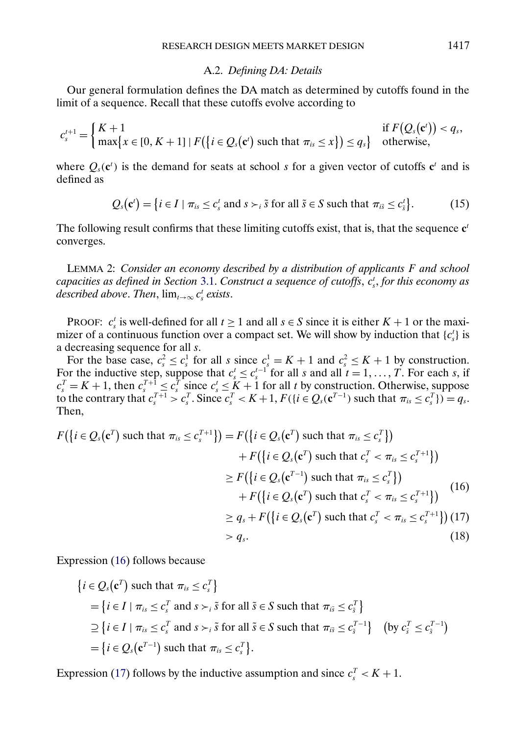#### A.2. *Defining DA: Details*

<span id="page-45-0"></span>Our general formulation defines the DA match as determined by cutoffs found in the limit of a sequence. Recall that these cutoffs evolve according to

$$
c_s^{t+1} = \begin{cases} K+1 & \text{if } F(Q_s(\mathbf{c}^t)) < q_s, \\ \max\{x \in [0, K+1] \mid F(\{i \in Q_s(\mathbf{c}^t) \text{ such that } \pi_{is} \leq x\}) \leq q_s\} & \text{otherwise,} \end{cases}
$$

where  $Q_s(\mathbf{c}^t)$  is the demand for seats at school s for a given vector of cutoffs  $\mathbf{c}^t$  and is defined as

$$
Q_s(\mathbf{c}^t) = \{i \in I \mid \pi_{is} \le c_s^t \text{ and } s \succ_i \tilde{s} \text{ for all } \tilde{s} \in S \text{ such that } \pi_{i\tilde{s}} \le c_s^t\}. \tag{15}
$$

The following result confirms that these limiting cutoffs exist, that is, that the sequence  $\mathbf{c}^t$ converges.

LEMMA 2: *Consider an economy described by a distribution of applicants* F *and school* capacities as defined in Section [3.1.](#page-12-0) Construct a sequence of cutoffs,  $c_{\scriptscriptstyle s}^{\scriptscriptstyle t}$ , for this economy as *described above. Then,*  $\lim_{t\to\infty} c_s^t$  *exists.* 

PROOF:  $c_s^t$  is well-defined for all  $t \ge 1$  and all  $s \in S$  since it is either  $K + 1$  or the maximizer of a continuous function over a compact set. We will show by induction that  $\{c_s^t\}$  is a decreasing sequence for all s.

For the base case,  $c_s^2 \leq c_s^1$  for all s since  $c_s^1 = K + 1$  and  $c_s^2 \leq K + 1$  by construction. For the inductive step, suppose that  $c_s^t \leq c_s^{t-1}$  for all s and all  $t = 1, \ldots, T$ . For each s, if  $c_s^T = K + 1$ , then  $c_s^{T+1} \leq c_s^T$  since  $c_s^t \leq K + 1$  for all t by construction. Otherwise, suppose to the contrary that  $c_s^{T+1} > c_s^T$ . Since  $c_s^T < K + 1$ ,  $F(\lbrace i \in Q_s(\mathbf{c}^{T-1}) \text{ such that } \pi_{is} \leq c_s^T \rbrace) = q_s$ . Then,

$$
F({i \in Q_s(\mathbf{c}^T) \text{ such that } \pi_{is} \le c_s^{T+1}}) = F({i \in Q_s(\mathbf{c}^T) \text{ such that } \pi_{is} \le c_s^T})
$$
  
+ 
$$
F({i \in Q_s(\mathbf{c}^T) \text{ such that } c_s^T < \pi_{is} \le c_s^{T+1}})
$$
  

$$
\ge F({i \in Q_s(\mathbf{c}^{T-1}) \text{ such that } \pi_{is} \le c_s^T})
$$
  
+ 
$$
F({i \in Q_s(\mathbf{c}^T) \text{ such that } c_s^T < \pi_{is} \le c_s^{T+1}})
$$
  

$$
\ge q_s + F({i \in Q_s(\mathbf{c}^T) \text{ such that } c_s^T < \pi_{is} \le c_s^{T+1}})
$$
(17)  

$$
> q_s.
$$
 (18)

Expression (16) follows because

$$
\{i \in Q_s(\mathbf{c}^T) \text{ such that } \pi_{is} \le c_s^T\}
$$
\n
$$
= \{i \in I \mid \pi_{is} \le c_s^T \text{ and } s \succ_i \tilde{s} \text{ for all } \tilde{s} \in S \text{ such that } \pi_{i\tilde{s}} \le c_{\tilde{s}}^T\}
$$
\n
$$
\supseteq \{i \in I \mid \pi_{is} \le c_s^T \text{ and } s \succ_i \tilde{s} \text{ for all } \tilde{s} \in S \text{ such that } \pi_{i\tilde{s}} \le c_{\tilde{s}}^{T-1}\} \quad \text{(by } c_{\tilde{s}}^T \le c_{\tilde{s}}^{T-1}\}
$$
\n
$$
= \{i \in Q_s(\mathbf{c}^{T-1}) \text{ such that } \pi_{is} \le c_s^T\}.
$$

Expression (17) follows by the inductive assumption and since  $c_s^T < K + 1$ .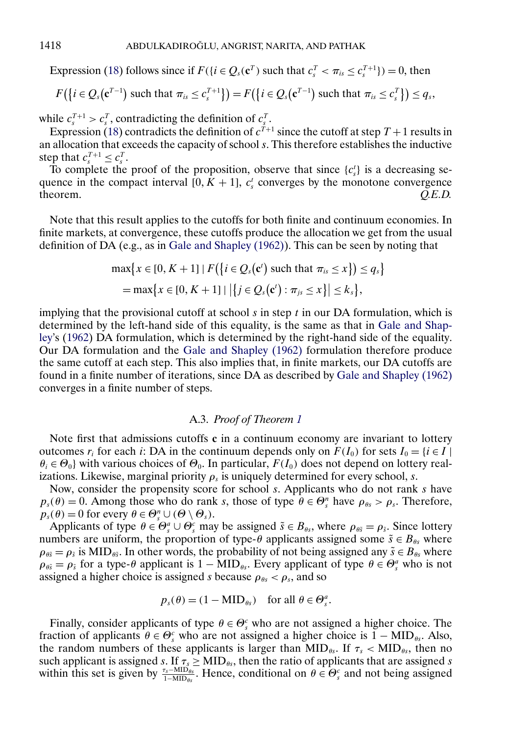Expression [\(18\)](#page-45-0) follows since if  $F({i \in Q_s}(\mathbf{c}^T)$  such that  $c_s^T < \pi_{is} \le c_s^{T+1}) = 0$ , then

$$
F(\lbrace i \in Q_s(\mathbf{c}^{T-1}) \text{ such that } \pi_{is} \leq c_s^{T+1} \rbrace) = F(\lbrace i \in Q_s(\mathbf{c}^{T-1}) \text{ such that } \pi_{is} \leq c_s^T \rbrace) \leq q_s,
$$

while  $c_s^{T+1} > c_s^T$ , contradicting the definition of  $c_s^T$ .

Expression [\(18\)](#page-45-0) contradicts the definition of  $c^{T+1}$  since the cutoff at step  $T+1$  results in an allocation that exceeds the capacity of school s. This therefore establishes the inductive step that  $c_s^{T+1} \leq c_s^T$ .

To complete the proof of the proposition, observe that since  $\{c_s^t\}$  is a decreasing sequence in the compact interval  $[0, K + 1]$ ,  $c_s^t$  converges by the monotone convergence theorem.  $Q.E.D.$ 

Note that this result applies to the cutoffs for both finite and continuum economies. In finite markets, at convergence, these cutoffs produce the allocation we get from the usual definition of DA (e.g., as in [Gale and Shapley \(1962\)\)](#page-59-0). This can be seen by noting that

$$
\max\{x \in [0, K+1] | F({i \in Q_s(\mathbf{c}^t) \text{ such that } \pi_{is} \le x\}) \le q_s\}
$$
  
= 
$$
\max\{x \in [0, K+1] | [j \in Q_s(\mathbf{c}^t) : \pi_{js} \le x] | \le k_s\},\
$$

implying that the provisional cutoff at school s in step t in our DA formulation, which is determined by the left-hand side of this equality, is the same as that in [Gale and Shap](#page-59-0)[ley'](#page-59-0)s [\(1962\)](#page-59-0) DA formulation, which is determined by the right-hand side of the equality. Our DA formulation and the [Gale and Shapley \(1962\)](#page-59-0) formulation therefore produce the same cutoff at each step. This also implies that, in finite markets, our DA cutoffs are found in a finite number of iterations, since DA as described by [Gale and Shapley \(1962\)](#page-59-0) converges in a finite number of steps.

#### A.3. *Proof of Theorem [1](#page-17-0)*

Note first that admissions cutoffs **c** in a continuum economy are invariant to lottery outcomes  $r_i$  for each i: DA in the continuum depends only on  $F(I_0)$  for sets  $I_0 = \{i \in I \mid I_0 \}$  $\theta_i \in \Theta_0$  with various choices of  $\Theta_0$ . In particular,  $F(I_0)$  does not depend on lottery realizations. Likewise, marginal priority  $\rho_s$  is uniquely determined for every school, s.

Now, consider the propensity score for school s. Applicants who do not rank s have  $p_s(\theta) = 0$ . Among those who do rank s, those of type  $\theta \in \Theta_s^n$  have  $\rho_{\theta s} > \rho_s$ . Therefore,  $p_s(\theta) = 0$  for every  $\theta \in \Theta_s^n \cup (\Theta \setminus \Theta_s)$ .

Applicants of type  $\theta \in \Theta_s^a \cup \Theta_s^c$  may be assigned  $\tilde{s} \in B_{\theta s}$ , where  $\rho_{\theta \tilde{s}} = \rho_{\tilde{s}}$ . Since lottery numbers are uniform, the proportion of type- $\theta$  applicants assigned some  $\tilde{s} \in B_{\theta s}$  where  $\rho_{\theta\bar{s}} = \rho_{\bar{s}}$  is MID<sub> $\theta\bar{s}$ </sub>. In other words, the probability of not being assigned any  $\tilde{s} \in B_{\theta s}$  where  $\rho_{\theta\tilde{s}} = \rho_{\tilde{s}}$  for a type- $\theta$  applicant is 1 – MID<sub> $\theta$ s</sub>. Every applicant of type  $\theta \in \Theta_s^a$  who is not assigned a higher choice is assigned s because  $\rho_{\theta s} < \rho_s$ , and so

$$
p_s(\theta) = (1 - \text{MID}_{\theta s}) \quad \text{for all } \theta \in \Theta_s^a.
$$

Finally, consider applicants of type  $\theta \in \Theta_s^c$  who are not assigned a higher choice. The fraction of applicants  $\theta \in \Theta_s^c$  who are not assigned a higher choice is  $1 - \text{MID}_{\theta s}$ . Also, the random numbers of these applicants is larger than  $MID_{\theta s}$ . If  $\tau_s < MID_{\theta s}$ , then no such applicant is assigned s. If  $\tau_s \geq \text{MID}_{\theta s}$ , then the ratio of applicants that are assigned s within this set is given by  $\frac{\tau_s-\text{MID}_{\theta s}}{1-\text{MID}_{\theta s}}$ . Hence, conditional on  $\theta \in \Theta_s^c$  and not being assigned

<span id="page-46-0"></span>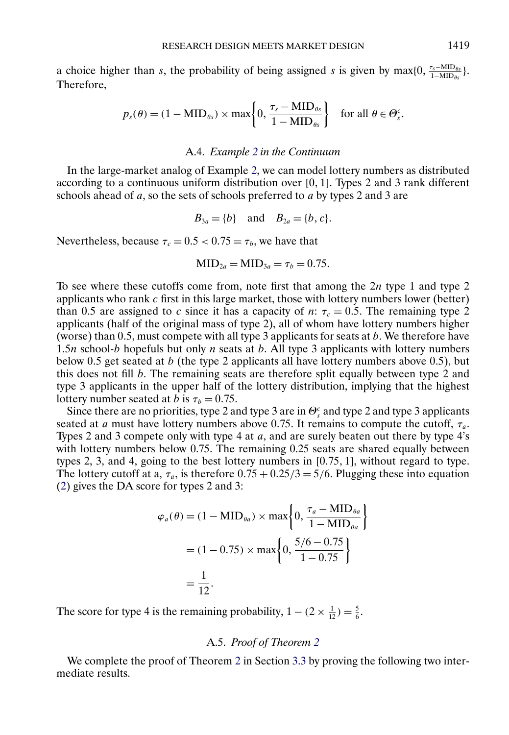<span id="page-47-0"></span>a choice higher than s, the probability of being assigned s is given by  $\max\{0, \frac{\tau_s - MID_{\theta s}}{1 - MID_{\theta s}}\}.$ Therefore,

$$
p_s(\theta) = (1 - \text{MID}_{\theta s}) \times \max\left\{0, \frac{\tau_s - \text{MID}_{\theta s}}{1 - \text{MID}_{\theta s}}\right\} \text{ for all } \theta \in \Theta_s^c.
$$

#### A.4. *Example [2](#page-12-0) in the Continuum*

In the large-market analog of Example [2,](#page-12-0) we can model lottery numbers as distributed according to a continuous uniform distribution over  $[0, 1]$ . Types 2 and 3 rank different schools ahead of a, so the sets of schools preferred to a by types 2 and 3 are

$$
B_{3a} = \{b\}
$$
 and  $B_{2a} = \{b, c\}.$ 

Nevertheless, because  $\tau_c = 0.5 < 0.75 = \tau_b$ , we have that

$$
MID_{2a} = MID_{3a} = \tau_b = 0.75.
$$

To see where these cutoffs come from, note first that among the  $2n$  type 1 and type 2 applicants who rank  $c$  first in this large market, those with lottery numbers lower (better) than 0.5 are assigned to c since it has a capacity of n:  $\tau_c = 0.5$ . The remaining type 2 applicants (half of the original mass of type 2), all of whom have lottery numbers higher (worse) than  $0.5$ , must compete with all type 3 applicants for seats at  $b$ . We therefore have 1.5n school-b hopefuls but only n seats at b. All type 3 applicants with lottery numbers below 0.5 get seated at  $b$  (the type 2 applicants all have lottery numbers above 0.5), but this does not fill  $b$ . The remaining seats are therefore split equally between type 2 and type 3 applicants in the upper half of the lottery distribution, implying that the highest lottery number seated at b is  $\tau_b = 0.75$ .

Since there are no priorities, type 2 and type 3 are in  $\Theta_s^c$  and type 2 and type 3 applicants seated at a must have lottery numbers above 0.75. It remains to compute the cutoff,  $\tau_a$ . Types 2 and 3 compete only with type 4 at  $a$ , and are surely beaten out there by type 4's with lottery numbers below 0.75. The remaining 0.25 seats are shared equally between types  $2$ ,  $3$ , and  $4$ , going to the best lottery numbers in  $[0.75, 1]$ , without regard to type. The lottery cutoff at a,  $\tau_a$ , is therefore  $0.75 + 0.25/3 = 5/6$ . Plugging these into equation [\(2\)](#page-17-0) gives the DA score for types 2 and 3:

$$
\varphi_a(\theta) = (1 - \text{MID}_{\theta a}) \times \max\left\{0, \frac{\tau_a - \text{MID}_{\theta a}}{1 - \text{MID}_{\theta a}}\right\}
$$

$$
= (1 - 0.75) \times \max\left\{0, \frac{5/6 - 0.75}{1 - 0.75}\right\}
$$

$$
= \frac{1}{12}.
$$

The score for type 4 is the remaining probability,  $1 - (2 \times \frac{1}{12}) = \frac{5}{6}$ .

#### A.5. *Proof of Theorem [2](#page-19-0)*

We complete the proof of Theorem [2](#page-19-0) in Section [3.3](#page-19-0) by proving the following two intermediate results.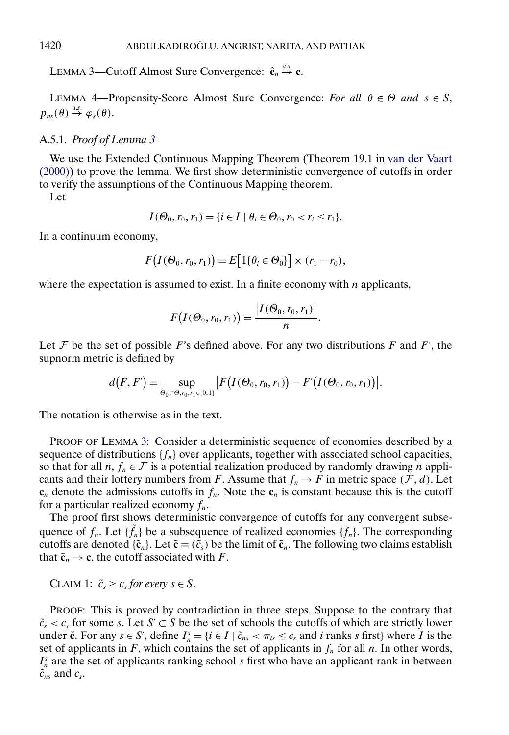LEMMA 3—Cutoff Almost Sure Convergence:  $\hat{\mathbf{c}}_n \stackrel{a.s.}{\rightarrow} \mathbf{c}$ .

LEMMA 4—Propensity-Score Almost Sure Convergence: *For all*  $\theta \in \Theta$  *and*  $s \in S$ ,  $p_{ns}(\theta) \stackrel{a.s.}{\rightarrow} \varphi_s(\theta)$ .

#### A.5.1. *Proof of Lemma 3*

We use the Extended Continuous Mapping Theorem (Theorem 19.1 in [van der Vaart](#page-60-0) [\(2000\)\)](#page-60-0) to prove the lemma. We first show deterministic convergence of cutoffs in order to verify the assumptions of the Continuous Mapping theorem.

Let

$$
I(\Theta_0, r_0, r_1) = \{i \in I \mid \theta_i \in \Theta_0, r_0 < r_i \leq r_1\}.
$$

In a continuum economy,

$$
F(I(\Theta_0,r_0,r_1)) = E\big[1\{\theta_i \in \Theta_0\}\big] \times (r_1-r_0),
$$

where the expectation is assumed to exist. In a finite economy with  $n$  applicants,

$$
F(I(\Theta_0,r_0,r_1))=\frac{|I(\Theta_0,r_0,r_1)|}{n}.
$$

Let F be the set of possible F's defined above. For any two distributions F and F', the supnorm metric is defined by

$$
d(F, F') = \sup_{\Theta_0 \subset \Theta, r_0, r_1 \in [0,1]} |F(I(\Theta_0, r_0, r_1)) - F'(I(\Theta_0, r_0, r_1))|.
$$

The notation is otherwise as in the text.

PROOF OF LEMMA 3: Consider a deterministic sequence of economies described by a sequence of distributions  ${f_n}$  over applicants, together with associated school capacities, so that for all n,  $f_n \in \mathcal{F}$  is a potential realization produced by randomly drawing n applicants and their lottery numbers from F. Assume that  $f_n \to F$  in metric space  $(F, d)$ . Let  $c_n$  denote the admissions cutoffs in  $f_n$ . Note the  $c_n$  is constant because this is the cutoff for a particular realized economy  $f_n$ .

The proof first shows deterministic convergence of cutoffs for any convergent subsequence of  $f_n$ . Let  $\{\tilde{f}_n\}$  be a subsequence of realized economies  $\{f_n\}$ . The corresponding cutoffs are denoted  $\{\tilde{\mathbf{c}}_n\}$ . Let  $\tilde{\mathbf{c}} \equiv (\tilde{c}_s)$  be the limit of  $\tilde{\mathbf{c}}_n$ . The following two claims establish that  $\tilde{\mathbf{c}}_n \to \mathbf{c}$ , the cutoff associated with F.

$$
CLAIM 1: \ \tilde{c}_s \geq c_s \text{ for every } s \in S.
$$

PROOF: This is proved by contradiction in three steps. Suppose to the contrary that  $\tilde{c}_s < c_s$  for some s. Let  $S' \subset S$  be the set of schools the cutoffs of which are strictly lower under  $\tilde{c}$ . For any  $s \in S'$ , define  $I_n^s = \{i \in I \mid \tilde{c}_{ns} < \pi_{is} \leq c_s \text{ and } i \text{ ranks } s \text{ first} \}$  where I is the set of applicants in  $F$ , which contains the set of applicants in  $f<sub>n</sub>$  for all n. In other words,  $I_n^s$  are the set of applicants ranking school s first who have an applicant rank in between  $\tilde{c}_{ns}$  and  $c_s$ .

<span id="page-48-0"></span>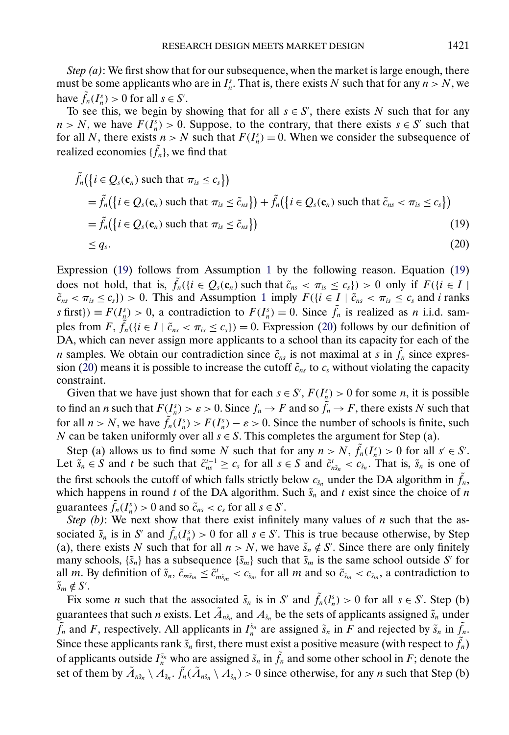*Step (a)*: We first show that for our subsequence, when the market is large enough, there must be some applicants who are in  $I_n^s$ . That is, there exists N such that for any  $n > N$ , we have  $\tilde{f}_n(I_n^s) > 0$  for all  $s \in S'$ .

To see this, we begin by showing that for all  $s \in S'$ , there exists N such that for any  $n > N$ , we have  $F(I_n^s) > 0$ . Suppose, to the contrary, that there exists  $s \in S'$  such that for all N, there exists  $n > N$  such that  $F(I_n^s) = 0$ . When we consider the subsequence of realized economies  $\{\tilde{f}_n\}$ , we find that

$$
\tilde{f}_n(\lbrace i \in Q_s(\mathbf{c}_n) \text{ such that } \pi_{is} \leq c_s \rbrace)
$$
\n
$$
= \tilde{f}_n(\lbrace i \in Q_s(\mathbf{c}_n) \text{ such that } \pi_{is} \leq \tilde{c}_{ns} \rbrace) + \tilde{f}_n(\lbrace i \in Q_s(\mathbf{c}_n) \text{ such that } \tilde{c}_{ns} < \pi_{is} \leq c_s \rbrace)
$$
\n
$$
= \tilde{f}_n(\lbrace i \in Q_s(\mathbf{c}_n) \text{ such that } \pi_{is} \leq \tilde{c}_{ns} \rbrace) \tag{19}
$$
\n
$$
\leq q_s. \tag{20}
$$

Expression (19) follows from Assumption [1](#page-19-0) by the following reason. Equation (19) does not hold, that is,  $\tilde{f}_n({i \in Q_s(\mathbf{c}_n)}$  such that  $\tilde{c}_{ns} < \pi_{is} \le c_s$ }) > 0 only if  $F({i \in I} \mid$  $\tilde{c}_{ns} < \pi_{is} \leq c_s$ }) > 0. This and Assumption [1](#page-19-0) imply  $F({i \in I | \tilde{c}_{ns} < \pi_{is} \leq c_s \text{ and } i \text{ ranks}})$ s first})  $\equiv F(I_n^s) > 0$ , a contradiction to  $F(I_n^s) = 0$ . Since  $\tilde{f}_n$  is realized as *n* i.i.d. samples from F,  $\tilde{f}_n({i \in I | \tilde{c}_{ns} < \pi_{is} \le c_s}) = 0$ . Expression (20) follows by our definition of DA, which can never assign more applicants to a school than its capacity for each of the *n* samples. We obtain our contradiction since  $\tilde{c}_{ns}$  is not maximal at s in  $\tilde{f}_n$  since expression (20) means it is possible to increase the cutoff  $\tilde{c}_{ns}$  to  $c_s$  without violating the capacity constraint.

Given that we have just shown that for each  $s \in S'$ ,  $F(I_n^s) > 0$  for some *n*, it is possible to find an *n* such that  $F(I_n^s) > \varepsilon > 0$ . Since  $f_n \to F$  and so  $\tilde{f}_n \to F$ , there exists N such that for all  $n > N$ , we have  $\tilde{f}_n(I_n^s) > F(I_n^s) - \varepsilon > 0$ . Since the number of schools is finite, such N can be taken uniformly over all  $s \in S$ . This completes the argument for Step (a).

Step (a) allows us to find some N such that for any  $n > N$ ,  $\tilde{f}_n(I_n^s) > 0$  for all  $s' \in S'$ . Let  $\tilde{s}_n \in S$  and t be such that  $\tilde{c}_{ns}^{t-1} \ge c_s$  for all  $s \in S$  and  $\tilde{c}_{n\tilde{s}_n}^{t} < c_{\tilde{s}_n}$ . That is,  $\tilde{s}_n$  is one of the first schools the cutoff of which falls strictly below  $c_{\tilde{s}_n}$  under the DA algorithm in  $\tilde{f}_n$ , which happens in round t of the DA algorithm. Such  $\tilde{s}_n$  and t exist since the choice of n guarantees  $\tilde{f}_n(I_n^s) > 0$  and so  $\tilde{c}_{ns} < c_s$  for all  $s \in S'$ .

*Step (b)*: We next show that there exist infinitely many values of  $n$  such that the associated  $\tilde{s}_n$  is in S' and  $\tilde{f}_n(I_n^s) > 0$  for all  $s \in S'$ . This is true because otherwise, by Step (a), there exists N such that for all  $n > N$ , we have  $\tilde{s}_n \notin S'$ . Since there are only finitely many schools,  $\{\tilde{s}_n\}$  has a subsequence  $\{\tilde{s}_m\}$  such that  $\tilde{s}_m$  is the same school outside S' for all *m*. By definition of  $\tilde{s}_n$ ,  $\tilde{c}_{m\tilde{s}_m} \leq \tilde{c}'_{m\tilde{s}_m} < c_{\tilde{s}_m}$  for all *m* and so  $\tilde{c}_{\tilde{s}_m} < c_{\tilde{s}_m}$ , a contradiction to  $\tilde{s}_m \notin S'.$ 

Fix some *n* such that the associated  $\tilde{s}_n$  is in S' and  $\tilde{f}_n(l_n^s) > 0$  for all  $s \in S'$ . Step (b) guarantees that such *n* exists. Let  $\tilde{A}_{n\tilde{s}_n}$  and  $A_{\tilde{s}_n}$  be the sets of applicants assigned  $\tilde{s}_n$  under  $\tilde{f}_n$  and F, respectively. All applicants in  $I_n^{\tilde{s}_n}$  are assigned  $\tilde{s}_n$  in F and rejected by  $\tilde{s}_n$  in  $\tilde{f}_n$ . Since these applicants rank  $\tilde{s}_n$  first, there must exist a positive measure (with respect to  $\tilde{f}_n$ ) of applicants outside  $I_n^{\tilde{s}_n}$  who are assigned  $\tilde{s}_n$  in  $\tilde{f}_n$  and some other school in F; denote the set of them by  $\tilde{A}_{n\tilde{s}_n} \setminus A_{\tilde{s}_n} \setminus \tilde{A}_{n\tilde{s}_n} \setminus A_{\tilde{s}_n}$  > 0 since otherwise, for any *n* such that Step (b)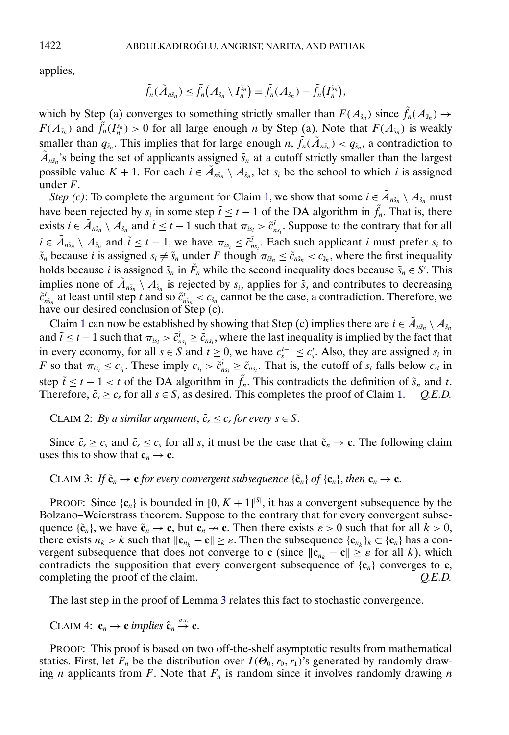<span id="page-50-0"></span>applies,

$$
\tilde{f}_n(\tilde{A}_{n\tilde{s}_n}) \leq \tilde{f}_n(A_{\tilde{s}_n} \setminus I_n^{\tilde{s}_n}) = \tilde{f}_n(A_{\tilde{s}_n}) - \tilde{f}_n(I_n^{\tilde{s}_n}),
$$

which by Step (a) converges to something strictly smaller than  $F(A_{\tilde{s}_n})$  since  $\tilde{f}_n(A_{\tilde{s}_n}) \to$  $F(A_{\tilde{s}_n})$  and  $\tilde{f}_n(I_n^{\tilde{s}_n}) > 0$  for all large enough *n* by Step (a). Note that  $F(A_{\tilde{s}_n})$  is weakly smaller than  $q_{\tilde{s}_n}$ . This implies that for large enough  $n, \tilde{f}_n(\tilde{A}_{n\tilde{s}_n}) < q_{\tilde{s}_n}$ , a contradiction to  $\tilde{A}_{n\tilde{s}_n}$ 's being the set of applicants assigned  $\tilde{s}_n$  at a cutoff strictly smaller than the largest possible value  $K + 1$ . For each  $i \in \tilde{A}_{n\tilde{s}_n} \setminus A_{\tilde{s}_n}$ , let  $s_i$  be the school to which i is assigned under F.

*Step (c)*: To complete the argument for Claim [1,](#page-48-0) we show that some  $i \in \tilde{A}_{n\tilde{S}_n} \setminus A_{\tilde{S}_n}$  must have been rejected by  $s_i$  in some step  $\tilde{t} \le t - 1$  of the DA algorithm in  $\tilde{f}_n$ . That is, there exists  $i \in \tilde{A}_{n\tilde{s}_n} \setminus A_{\tilde{s}_n}$  and  $\tilde{t} \le t - 1$  such that  $\pi_{is_i} > \tilde{c}_{ns_i}^{\tilde{t}}$ . Suppose to the contrary that for all  $i \in \tilde{A}_{n\tilde{s}_n} \setminus A_{\tilde{s}_n}$  and  $\tilde{t} \leq t-1$ , we have  $\pi_{is_i} \leq \tilde{c}_{ns_i}^{\tilde{t}}$ . Each such applicant i must prefer  $s_i$  to  $\tilde{s}_n$  because i is assigned  $s_i \neq \tilde{s}_n$  under F though  $\pi_{i\tilde{s}_n} \leq \tilde{c}_{n\tilde{s}_n} < c_{\tilde{s}_n}$ , where the first inequality holds because *i* is assigned  $\tilde{s}_n$  in  $\tilde{F}_n$  while the second inequality does because  $\tilde{s}_n \in S'$ . This implies none of  $\tilde{A}_{n\tilde{s}_n} \setminus A_{\tilde{s}_n}$  is rejected by  $s_i$ , applies for  $\tilde{s}$ , and contributes to decreasing  $\tilde{c}^t_{n\tilde{s}_n}$  at least until step t and so  $\tilde{c}^t_{n\tilde{s}_n} < c_{\tilde{s}_n}$  cannot be the case, a contradiction. Therefore, we have our desired conclusion of Step (c).

Claim [1](#page-48-0) can now be established by showing that Step (c) implies there are  $i \in \tilde{A}_{n\tilde{s}_n} \setminus A_{\tilde{s}_n}$ and  $\tilde{t} \le t-1$  such that  $\pi_{is_i} > \tilde{c}_{ns_i} \ge \tilde{c}_{ns_i}$ , where the last inequality is implied by the fact that in every economy, for all  $s \in S$  and  $t \ge 0$ , we have  $c_s^{t+1} \le c_s^t$ . Also, they are assigned  $s_i$  in *F* so that  $\pi_{is_i} \leq c_{s_i}$ . These imply  $c_{s_i} > \tilde{c}_{ns_i} \geq \tilde{c}_{ns_i}$ . That is, the cutoff of  $s_i$  falls below  $c_{si}$  in step  $\tilde{t} \le t - 1 < t$  of the DA algorithm in  $\tilde{f}_n$ . This contradicts the definition of  $\tilde{s}_n$  and t. Therefore,  $\tilde{c}_s \geq c_s$  for all  $s \in S$ , as desired. This completes the proof of Claim [1.](#page-48-0) *Q.E.D.* 

CLAIM 2: *By a similar argument*,  $\tilde{c}_s \leq c_s$  *for every*  $s \in S$ .

Since  $\tilde{c}_s \geq c_s$  and  $\tilde{c}_s \leq c_s$  for all s, it must be the case that  $\tilde{c}_n \to c$ . The following claim uses this to show that  $c_n \rightarrow c$ .

CLAIM 3: *If*  $\tilde{\mathbf{c}}_n \to \mathbf{c}$  *for every convergent subsequence*  $\{\tilde{\mathbf{c}}_n\}$  *of*  $\{\mathbf{c}_n\}$ *, then*  $\mathbf{c}_n \to \mathbf{c}$ *.* 

**PROOF:** Since  $\{c_n\}$  is bounded in  $[0, K + 1]^{S}$ , it has a convergent subsequence by the Bolzano–Weierstrass theorem. Suppose to the contrary that for every convergent subsequence  ${\tilde{\mathbf{c}}_n}$ , we have  ${\tilde{\mathbf{c}}_n} \to \mathbf{c}$ , but  ${\mathbf{c}_n} \to \mathbf{c}$ . Then there exists  $\varepsilon > 0$  such that for all  $k > 0$ , there exists  $n_k > k$  such that  $\|\mathbf{c}_{n_k} - \mathbf{c}\| \geq \varepsilon$ . Then the subsequence  $\{\mathbf{c}_{n_k}\}_k \subset \{\mathbf{c}_n\}$  has a convergent subsequence that does not converge to **c** (since  $\|\mathbf{c}_{n_k} - \mathbf{c}\| \geq \varepsilon$  for all k), which contradicts the supposition that every convergent subsequence of  ${c_n}$  converges to  ${c_n}$ , completing the proof of the claim. *Q.E.D.*

The last step in the proof of Lemma [3](#page-48-0) relates this fact to stochastic convergence.

CLAIM 4:  $\mathbf{c}_n \to \mathbf{c}$  *implies*  $\hat{\mathbf{c}}_n \stackrel{a.s.}{\to} \mathbf{c}$ .

PROOF: This proof is based on two off-the-shelf asymptotic results from mathematical statics. First, let  $F_n$  be the distribution over  $I(\Theta_0, r_0, r_1)$ 's generated by randomly drawing *n* applicants from *F*. Note that  $F_n$  is random since it involves randomly drawing *n*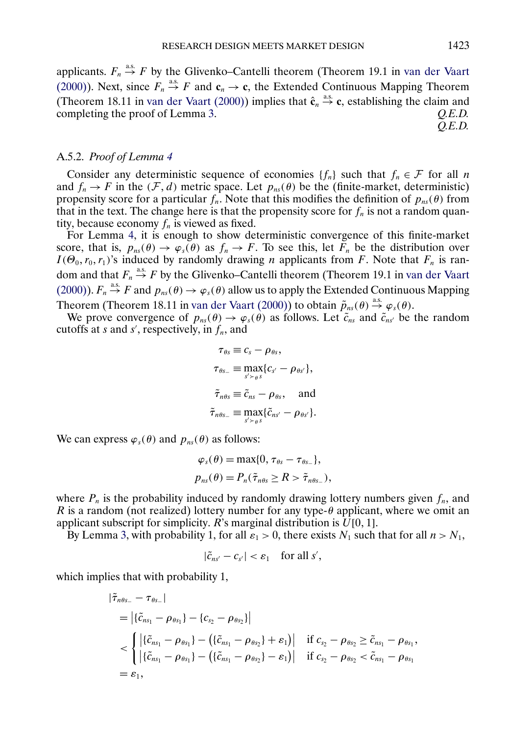applicants.  $F_n \stackrel{\text{a.s.}}{\rightarrow} F$  by the Glivenko–Cantelli theorem (Theorem 19.1 in [van der Vaart](#page-60-0) [\(2000\)\)](#page-60-0). Next, since  $F_n \stackrel{\text{a.s.}}{\rightarrow} F$  and  $\mathbf{c}_n \rightarrow \mathbf{c}$ , the Extended Continuous Mapping Theorem (Theorem 18.11 in [van der Vaart \(2000\)\)](#page-60-0) implies that  $\hat{\mathbf{c}}_n \stackrel{\text{a.s.}}{\rightarrow} \mathbf{c}$ , establishing the claim and completing the proof of Lemma [3.](#page-48-0) *Q.E.D. Q.E.D.*

#### A.5.2. *Proof of Lemma [4](#page-48-0)*

Consider any deterministic sequence of economies { $f_n$ } such that  $f_n \in \mathcal{F}$  for all n and  $f_n \to F$  in the  $(\mathcal{F}, d)$  metric space. Let  $p_{ns}(\theta)$  be the (finite-market, deterministic) propensity score for a particular  $f_n$ . Note that this modifies the definition of  $p_{ns}(\theta)$  from that in the text. The change here is that the propensity score for  $f_n$  is not a random quantity, because economy  $f_n$  is viewed as fixed.

For Lemma [4,](#page-48-0) it is enough to show deterministic convergence of this finite-market score, that is,  $p_{ns}(\theta) \to \varphi_s(\theta)$  as  $f_n \to F$ . To see this, let  $\tilde{F}_n$  be the distribution over  $I(\Theta_0, r_0, r_1)$ 's induced by randomly drawing *n* applicants from *F*. Note that  $F_n$  is random and that  $F_n \stackrel{\text{a.s.}}{\rightarrow} F$  by the Glivenko–Cantelli theorem (Theorem 19.1 in [van der Vaart](#page-60-0) [\(2000\)\)](#page-60-0).  $F_n \stackrel{\text{a.s.}}{\rightarrow} F$  and  $p_{ns}(\theta) \rightarrow \varphi_s(\theta)$  allow us to apply the Extended Continuous Mapping Theorem (Theorem 18.11 in [van der Vaart \(2000\)\)](#page-60-0) to obtain  $\tilde{p}_{ns}(\theta) \stackrel{\text{a.s.}}{\rightarrow} \varphi_s(\theta)$ .

We prove convergence of  $p_{ns}(\theta) \rightarrow \varphi_s(\theta)$  as follows. Let  $\tilde{c}_{ns}$  and  $\tilde{c}_{ns'}$  be the random cutoffs at s and s', respectively, in  $f_n$ , and

$$
\tau_{\theta s} \equiv c_s - \rho_{\theta s},
$$
  
\n
$$
\tau_{\theta s_{-}} \equiv \max_{s' \succ_{\theta} s} \{c_{s'} - \rho_{\theta s'}\},
$$
  
\n
$$
\tilde{\tau}_{n\theta s} \equiv \tilde{c}_{ns} - \rho_{\theta s}, \text{ and}
$$
  
\n
$$
\tilde{\tau}_{n\theta s_{-}} \equiv \max_{s' \succ_{\theta} s} \{\tilde{c}_{ns'} - \rho_{\theta s'}\}.
$$

We can express  $\varphi_s(\theta)$  and  $p_{ns}(\theta)$  as follows:

$$
\varphi_s(\theta) = \max\{0, \tau_{\theta s} - \tau_{\theta s}\},
$$
  

$$
p_{ns}(\theta) = P_n(\tilde{\tau}_{n\theta s} \ge R > \tilde{\tau}_{n\theta s}),
$$

where  $P_n$  is the probability induced by randomly drawing lottery numbers given  $f_n$ , and R is a random (not realized) lottery number for any type- $\theta$  applicant, where we omit an applicant subscript for simplicity. R's marginal distribution is  $U[0, 1]$ .

By Lemma [3,](#page-48-0) with probability 1, for all  $\varepsilon_1 > 0$ , there exists  $N_1$  such that for all  $n > N_1$ ,

$$
|\tilde{c}_{ns'}-c_{s'}|<\varepsilon_1\quad\text{for all }s',
$$

which implies that with probability 1,

$$
\begin{aligned}\n|\tilde{\tau}_{n\theta s_{-}} - \tau_{\theta s_{-}}| \\
&= |\{\tilde{c}_{n s_{1}} - \rho_{\theta s_{1}}\} - \{c_{s_{2}} - \rho_{\theta s_{2}}\}| \\
&< \begin{cases}\n|\{\tilde{c}_{n s_{1}} - \rho_{\theta s_{1}}\} - (\{\tilde{c}_{n s_{1}} - \rho_{\theta s_{2}}\} + \varepsilon_{1}) & \text{if } c_{s_{2}} - \rho_{\theta s_{2}} \ge \tilde{c}_{n s_{1}} - \rho_{\theta s_{1}}, \\
|\{\tilde{c}_{n s_{1}} - \rho_{\theta s_{1}}\} - (\{\tilde{c}_{n s_{1}} - \rho_{\theta s_{2}}\} - \varepsilon_{1}) & \text{if } c_{s_{2}} - \rho_{\theta s_{2}} < \tilde{c}_{n s_{1}} - \rho_{\theta s_{1}} \\
&= \varepsilon_{1},\n\end{cases}\n\end{aligned}
$$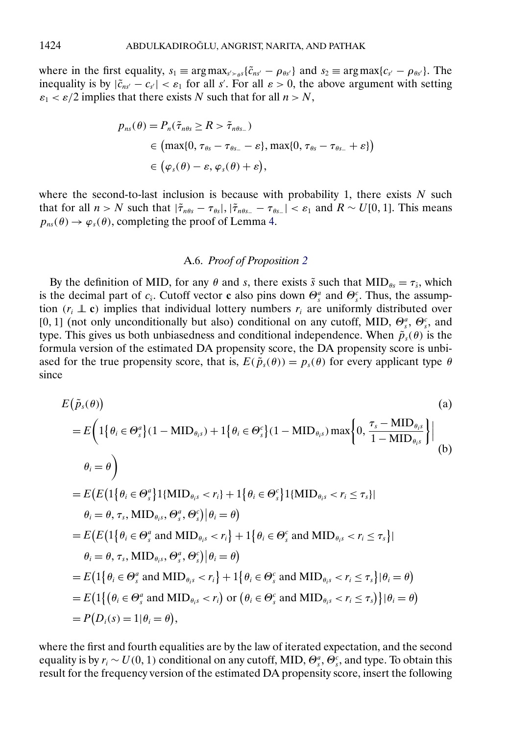<span id="page-52-0"></span>where in the first equality,  $s_1 \equiv \arg \max_{s' > \varrho s} {\{\tilde{c}_{ns'} - \rho_{\theta s'}\}}$  and  $s_2 \equiv \arg \max_{c_{s'} - \rho_{\theta s'}}$ . The inequality is by  $|\tilde{c}_{ns'} - c_{s'}| < \varepsilon_1$  for all  $s'$ . For all  $\varepsilon > 0$ , the above argument with setting  $\varepsilon_1 < \varepsilon/2$  implies that there exists N such that for all  $n > N$ ,

$$
p_{ns}(\theta) = P_n(\tilde{\tau}_{n\theta s} \ge R > \tilde{\tau}_{n\theta s_{-}})
$$
  
\n
$$
\in \left(\max\{0, \tau_{\theta s} - \tau_{\theta s_{-}} - \varepsilon\}, \max\{0, \tau_{\theta s} - \tau_{\theta s_{-}} + \varepsilon\}\right)
$$
  
\n
$$
\in \left(\varphi_s(\theta) - \varepsilon, \varphi_s(\theta) + \varepsilon\right),
$$

where the second-to-last inclusion is because with probability 1, there exists  $N$  such that for all  $n > N$  such that  $|\tilde{\tau}_{n\theta s} - \tau_{\theta s}|, |\tilde{\tau}_{n\theta s} - \tau_{\theta s}| < \varepsilon_1$  and  $R \sim U[0, 1]$ . This means  $p_{ns}(\theta) \rightarrow \varphi_s(\theta)$ , completing the proof of Lemma [4.](#page-48-0)

#### A.6. *Proof of Proposition [2](#page-26-0)*

By the definition of MID, for any  $\theta$  and s, there exists  $\tilde{s}$  such that MID<sub> $\theta$ s</sub> =  $\tau_{\tilde{s}}$ , which is the decimal part of  $c_{\tilde{s}}$ . Cutoff vector **c** also pins down  $\Theta_s^a$  and  $\Theta_s^c$ . Thus, the assumption  $(r_i \perp c)$  implies that individual lottery numbers  $r_i$  are uniformly distributed over [0, 1] (not only unconditionally but also) conditional on any cutoff, MID,  $\Theta_s^a$ ,  $\Theta_s^c$ , and type. This gives us both unbiasedness and conditional independence. When  $\tilde{p}_s(\theta)$  is the formula version of the estimated DA propensity score, the DA propensity score is unbiased for the true propensity score, that is,  $E(\tilde{p}_s(\theta)) = p_s(\theta)$  for every applicant type  $\theta$ since

$$
E(\tilde{p}_s(\theta))
$$
\n
$$
= E\Big(1\{\theta_i \in \Theta_s^a\}(1 - \text{MID}_{\theta_i s}) + 1\{\theta_i \in \Theta_s^c\}(1 - \text{MID}_{\theta_i s})\max\Big\{0, \frac{\tau_s - \text{MID}_{\theta_i s}}{1 - \text{MID}_{\theta_i s}}\Big\} \Big|_{(b)}
$$
\n
$$
\theta_i = \theta\Big)
$$
\n
$$
= E\Big(E\big(1\{\theta_i \in \Theta_s^a\}1\{\text{MID}_{\theta_i s} < r_i\} + 1\{\theta_i \in \Theta_s^c\}1\{\text{MID}_{\theta_i s} < r_i \leq \tau_s\} \Big|
$$
\n
$$
\theta_i = \theta, \tau_s, \text{MID}_{\theta_i s}, \Theta_s^a, \Theta_s^c\Big|\theta_i = \theta\Big)
$$
\n
$$
= E\Big(E\big(1\{\theta_i \in \Theta_s^a \text{ and MID}_{\theta_i s} < r_i\} + 1\{\theta_i \in \Theta_s^c \text{ and MID}_{\theta_i s} < r_i \leq \tau_s\} \Big|
$$
\n
$$
\theta_i = \theta, \tau_s, \text{MID}_{\theta_i s}, \Theta_s^a, \Theta_s^c\Big|\theta_i = \theta\Big)
$$
\n
$$
= E\big(1\{\theta_i \in \Theta_s^a \text{ and MID}_{\theta_i s} < r_i\} + 1\{\theta_i \in \Theta_s^c \text{ and MID}_{\theta_i s} < r_i \leq \tau_s\}|\theta_i = \theta\Big)
$$
\n
$$
= E\big(1\big\{\theta_i \in \Theta_s^a \text{ and MID}_{\theta_i s} < r_i\big\} + 1\big\{\theta_i \in \Theta_s^c \text{ and MID}_{\theta_i s} < r_i \leq \tau_s\big\}|\theta_i = \theta\Big)
$$
\n
$$
= P\big(D_i(s) = 1|\theta_i = \theta\big),
$$
\n(9)

where the first and fourth equalities are by the law of iterated expectation, and the second equality is by  $r_i \sim U(0, 1)$  conditional on any cutoff, MID,  $\Theta_s^a$ ,  $\Theta_s^c$ , and type. To obtain this result for the frequency version of the estimated DA propensity score, insert the following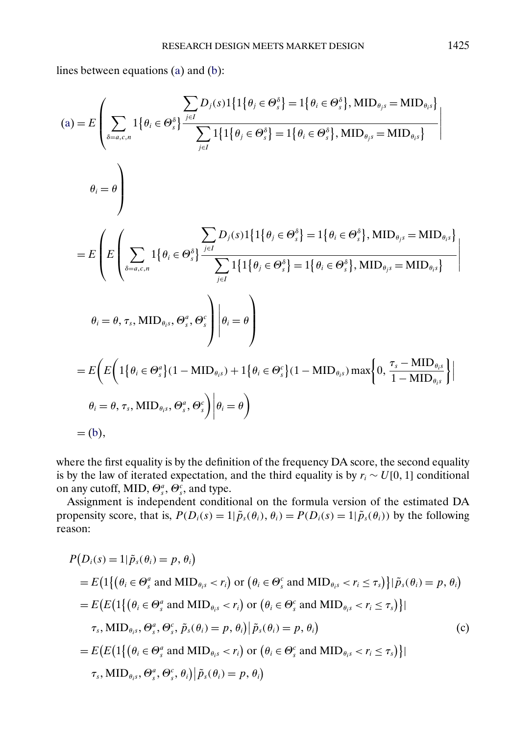<span id="page-53-0"></span>lines between equations [\(a\)](#page-52-0) and [\(b\)](#page-52-0):

$$
(a) = E\left(\sum_{\delta=a,c,n} 1\{\theta_i \in \Theta_s^s\} \frac{\sum_{j\in I} D_j(s)1\{1\{\theta_j \in \Theta_s^s\} = 1\{\theta_i \in \Theta_s^s\}, \text{MID}_{\theta_j s} = \text{MID}_{\theta_j s}\}}{\sum_{j\in I} 1\{1\{\theta_j \in \Theta_s^s\} = 1\{\theta_i \in \Theta_s^s\}, \text{MID}_{\theta_j s} = \text{MID}_{\theta_j s}\}}\right)
$$
\n
$$
\theta_i = \theta
$$
\n
$$
= E\left(E\left(\sum_{\delta=a,c,n} 1\{\theta_i \in \Theta_s^s\} \frac{\sum_{j\in I} D_j(s)1\{1\{\theta_j \in \Theta_s^s\} = 1\{\theta_i \in \Theta_s^s\}, \text{MID}_{\theta_j s} = \text{MID}_{\theta_j s}\}}{\sum_{j\in I} 1\{1\{\theta_j \in \Theta_s^s\} = 1\{\theta_i \in \Theta_s^s\}, \text{MID}_{\theta_j s} = \text{MID}_{\theta_i s}\}}\right|\right)
$$
\n
$$
\theta_i = \theta, \tau_s, \text{MID}_{\theta_i s}, \Theta_s^a, \Theta_s^c\left(\theta_i = \theta\right)
$$
\n
$$
= E\left(E\left(1\{\theta_i \in \Theta_s^s\}(1 - \text{MID}_{\theta_i s}) + 1\{\theta_i \in \Theta_s^c\}(1 - \text{MID}_{\theta_i s})\max\{0, \frac{\tau_s - \text{MID}_{\theta_i s}}{1 - \text{MID}_{\theta_i s}}\}\right|\right)
$$
\n
$$
\theta_i = \theta, \tau_s, \text{MID}_{\theta_i s}, \Theta_s^a, \Theta_s^c\left(\theta_i = \theta\right)
$$
\n
$$
= (b),
$$

where the first equality is by the definition of the frequency DA score, the second equality is by the law of iterated expectation, and the third equality is by  $r_i \sim U[0, 1]$  conditional on any cutoff, MID,  $\Theta_s^a$ ,  $\Theta_s^c$ , and type.

Assignment is independent conditional on the formula version of the estimated DA propensity score, that is,  $P(D_i(s) = 1 | \tilde{p}_s(\theta_i), \theta_i) = P(D_i(s) = 1 | \tilde{p}_s(\theta_i))$  by the following reason:

$$
P(D_i(s) = 1 | \tilde{p}_s(\theta_i) = p, \theta_i)
$$
  
\n
$$
= E\left(1\left\{(\theta_i \in \Theta_s^a \text{ and MID}_{\theta_i s} < r_i) \text{ or } (\theta_i \in \Theta_s^c \text{ and MID}_{\theta_i s} < r_i \leq \tau_s)\right\}|\tilde{p}_s(\theta_i) = p, \theta_i)
$$
  
\n
$$
= E\left(E\left(1\left\{(\theta_i \in \Theta_s^a \text{ and MID}_{\theta_i s} < r_i) \text{ or } (\theta_i \in \Theta_s^c \text{ and MID}_{\theta_i s} < r_i \leq \tau_s)\right\}\right|\right.
$$
  
\n
$$
\tau_s, \text{MID}_{\theta_i s}, \Theta_s^a, \Theta_s^c, \tilde{p}_s(\theta_i) = p, \theta_i)\left|\tilde{p}_s(\theta_i) = p, \theta_i\right)
$$
  
\n
$$
= E\left(E\left(1\left\{(\theta_i \in \Theta_s^a \text{ and MID}_{\theta_i s} < r_i) \text{ or } (\theta_i \in \Theta_s^c \text{ and MID}_{\theta_i s} < r_i \leq \tau_s)\right\}\right|\right.
$$
  
\n
$$
\tau_s, \text{MID}_{\theta_i s}, \Theta_s^a, \Theta_s^c, \theta_i)\left|\tilde{p}_s(\theta_i) = p, \theta_i\right)
$$
  
\n(2)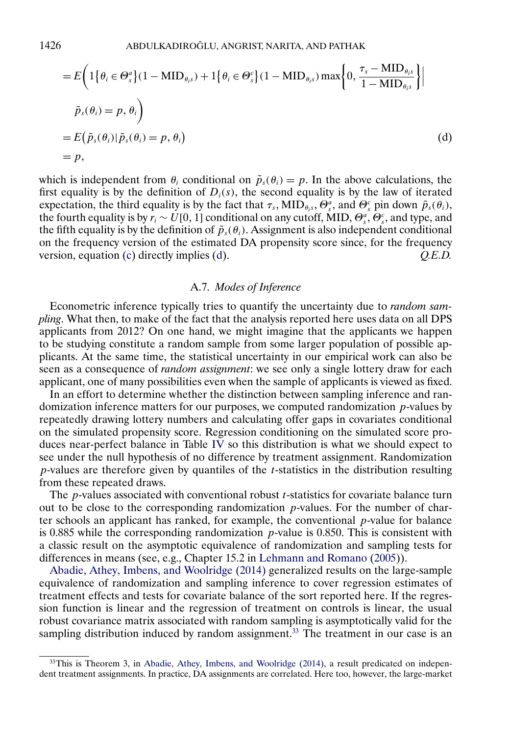<span id="page-54-0"></span>
$$
= E\left(1\{\theta_i \in \Theta_s^a\}(1 - \text{MID}_{\theta_i s}) + 1\{\theta_i \in \Theta_s^c\}(1 - \text{MID}_{\theta_i s})\max\left\{0, \frac{\tau_s - \text{MID}_{\theta_i s}}{1 - \text{MID}_{\theta_i s}}\right\} \middle|
$$
  
\n
$$
\tilde{p}_s(\theta_i) = p, \theta_i\right)
$$
  
\n
$$
= E(\tilde{p}_s(\theta_i)|\tilde{p}_s(\theta_i) = p, \theta_i)
$$
  
\n
$$
= p,
$$
\n
$$
(d)
$$

which is independent from  $\theta_i$  conditional on  $\tilde{p}_s(\theta_i) = p$ . In the above calculations, the first equality is by the definition of  $D_i(s)$ , the second equality is by the law of iterated expectation, the third equality is by the fact that  $\tau_s$ , MID<sub> $\theta_i$ </sub>,  $\Theta_s^a$ , and  $\Theta_s^c$  pin down  $\tilde{p}_s(\theta_i)$ , the fourth equality is by  $r_i \sim U[0, 1]$  conditional on any cutoff, MID,  $\Theta_s^a$ ,  $\Theta_s^c$ , and type, and the fifth equality is by the definition of  $\tilde{p}_s(\theta_i)$ . Assignment is also independent conditional on the frequency version of the estimated DA propensity score since, for the frequency version, equation [\(c\)](#page-53-0) directly implies (d). *Q.E.D.*

#### A.7. *Modes of Inference*

Econometric inference typically tries to quantify the uncertainty due to *random sampling*. What then, to make of the fact that the analysis reported here uses data on all DPS applicants from 2012? On one hand, we might imagine that the applicants we happen to be studying constitute a random sample from some larger population of possible applicants. At the same time, the statistical uncertainty in our empirical work can also be seen as a consequence of *random assignment*: we see only a single lottery draw for each applicant, one of many possibilities even when the sample of applicants is viewed as fixed.

In an effort to determine whether the distinction between sampling inference and randomization inference matters for our purposes, we computed randomization p-values by repeatedly drawing lottery numbers and calculating offer gaps in covariates conditional on the simulated propensity score. Regression conditioning on the simulated score produces near-perfect balance in Table [IV](#page-23-0) so this distribution is what we should expect to see under the null hypothesis of no difference by treatment assignment. Randomization  $p$ -values are therefore given by quantiles of the  $t$ -statistics in the distribution resulting from these repeated draws.

The  $p$ -values associated with conventional robust  $t$ -statistics for covariate balance turn out to be close to the corresponding randomization p-values. For the number of charter schools an applicant has ranked, for example, the conventional  $p$ -value for balance is 0.885 while the corresponding randomization  $p$ -value is 0.850. This is consistent with a classic result on the asymptotic equivalence of randomization and sampling tests for differences in means (see, e.g., Chapter 15.2 in [Lehmann and Romano](#page-59-0) [\(2005\)](#page-59-0)).

[Abadie, Athey, Imbens, and Woolridge \(2014\)](#page-57-0) generalized results on the large-sample equivalence of randomization and sampling inference to cover regression estimates of treatment effects and tests for covariate balance of the sort reported here. If the regression function is linear and the regression of treatment on controls is linear, the usual robust covariance matrix associated with random sampling is asymptotically valid for the sampling distribution induced by random assignment.<sup>33</sup> The treatment in our case is an

 $33$ This is Theorem 3, in [Abadie, Athey, Imbens, and Woolridge \(2014\),](#page-57-0) a result predicated on independent treatment assignments. In practice, DA assignments are correlated. Here too, however, the large-market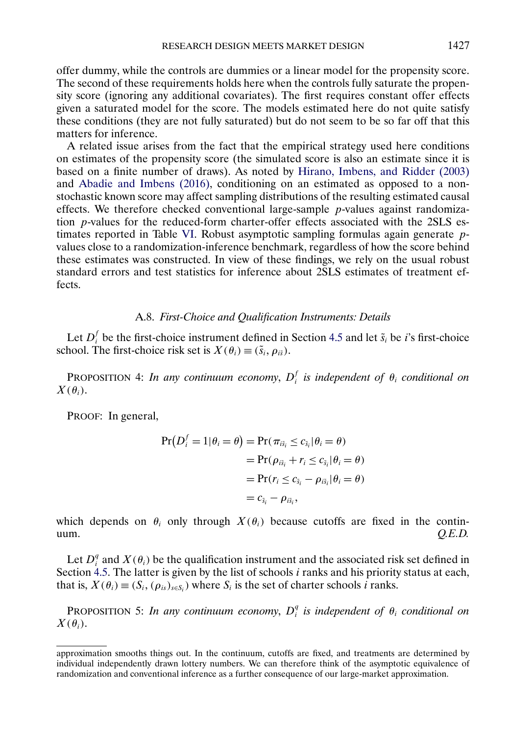<span id="page-55-0"></span>offer dummy, while the controls are dummies or a linear model for the propensity score. The second of these requirements holds here when the controls fully saturate the propensity score (ignoring any additional covariates). The first requires constant offer effects given a saturated model for the score. The models estimated here do not quite satisfy these conditions (they are not fully saturated) but do not seem to be so far off that this matters for inference.

A related issue arises from the fact that the empirical strategy used here conditions on estimates of the propensity score (the simulated score is also an estimate since it is based on a finite number of draws). As noted by [Hirano, Imbens, and Ridder \(2003\)](#page-59-0) and [Abadie and Imbens \(2016\),](#page-57-0) conditioning on an estimated as opposed to a nonstochastic known score may affect sampling distributions of the resulting estimated causal effects. We therefore checked conventional large-sample p-values against randomization p-values for the reduced-form charter-offer effects associated with the 2SLS estimates reported in Table [VI.](#page-31-0) Robust asymptotic sampling formulas again generate pvalues close to a randomization-inference benchmark, regardless of how the score behind these estimates was constructed. In view of these findings, we rely on the usual robust standard errors and test statistics for inference about 2SLS estimates of treatment effects.

#### A.8. *First-Choice and Qualification Instruments: Details*

Let  $D_i^f$  be the first-choice instrument defined in Section [4.5](#page-38-0) and let  $\tilde{s}_i$  be *i*'s first-choice school. The first-choice risk set is  $X(\theta_i) \equiv (\tilde{s}_i, \rho_{i\tilde{s}})$ .

PROPOSITION 4: *In any continuum economy*,  $D_i^f$  *is independent of*  $\theta_i$  *conditional on*  $X(\theta_i)$ .

PROOF: In general,

$$
\Pr(D_i^f = 1 | \theta_i = \theta) = \Pr(\pi_{i\tilde{s}_i} \le c_{\tilde{s}_i} | \theta_i = \theta)
$$
  
= 
$$
\Pr(\rho_{i\tilde{s}_i} + r_i \le c_{\tilde{s}_i} | \theta_i = \theta)
$$
  
= 
$$
\Pr(r_i \le c_{\tilde{s}_i} - \rho_{i\tilde{s}_i} | \theta_i = \theta)
$$
  
= 
$$
c_{\tilde{s}_i} - \rho_{i\tilde{s}_i},
$$

which depends on  $\theta_i$  only through  $X(\theta_i)$  because cutoffs are fixed in the contin-<br>uum. *O.E.D.* uum. *Q.E.D.*

Let  $D_i^q$  and  $X(\theta_i)$  be the qualification instrument and the associated risk set defined in Section [4.5.](#page-38-0) The latter is given by the list of schools  $i$  ranks and his priority status at each, that is,  $X(\theta_i) \equiv (S_i, (\rho_{is})_{s \in S_i})$  where  $S_i$  is the set of charter schools *i* ranks.

PROPOSITION 5: In any continuum economy,  $D_i^q$  is independent of  $\theta_i$  conditional on  $X(\theta_i)$ .

approximation smooths things out. In the continuum, cutoffs are fixed, and treatments are determined by individual independently drawn lottery numbers. We can therefore think of the asymptotic equivalence of randomization and conventional inference as a further consequence of our large-market approximation.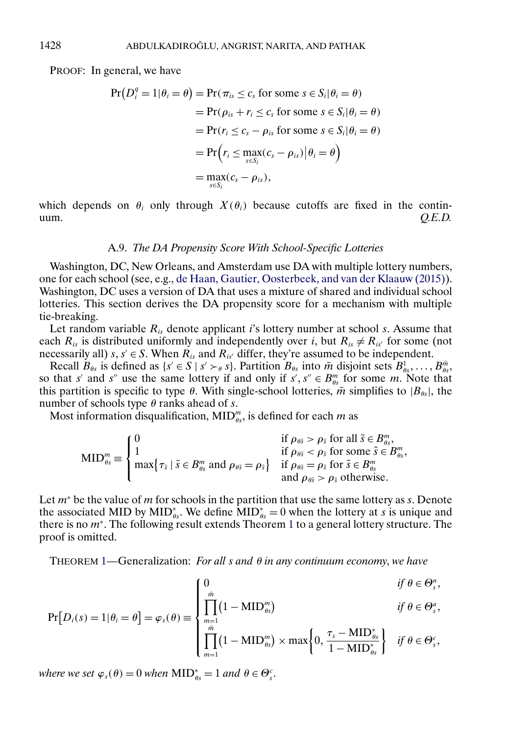<span id="page-56-0"></span>PROOF: In general, we have

$$
Pr(D_i^q = 1 | \theta_i = \theta) = Pr(\pi_{is} \le c_s \text{ for some } s \in S_i | \theta_i = \theta)
$$
  
= Pr( $\rho_{is} + r_i \le c_s$  for some  $s \in S_i | \theta_i = \theta$ )  
= Pr( $r_i \le c_s - \rho_{is}$  for some  $s \in S_i | \theta_i = \theta$ )  
= Pr( $r_i \le \max_{s \in S_i} (c_s - \rho_{is}) | \theta_i = \theta$ )  
=  $\max_{s \in S_i} (c_s - \rho_{is}),$ 

which depends on  $\theta_i$  only through  $X(\theta_i)$  because cutoffs are fixed in the continuum. *Q.E.D.*

#### A.9. *The DA Propensity Score With School-Specific Lotteries*

Washington, DC, New Orleans, and Amsterdam use DA with multiple lottery numbers, one for each school (see, e.g., [de Haan, Gautier, Oosterbeek, and van der Klaauw \(2015\)\)](#page-59-0). Washington, DC uses a version of DA that uses a mixture of shared and individual school lotteries. This section derives the DA propensity score for a mechanism with multiple tie-breaking.

Let random variable  $R_{is}$  denote applicant i's lottery number at school s. Assume that each  $R_{is}$  is distributed uniformly and independently over i, but  $R_{is} \neq R_{is'}$  for some (not necessarily all) s,  $s' \in S$ . When  $R_{is}$  and  $R_{is'}$  differ, they're assumed to be independent.

Recall  $B_{\theta s}$  is defined as  $\{s' \in S \mid s' \succ_{\theta} s\}$ . Partition  $B_{\theta s}$  into  $\bar{m}$  disjoint sets  $B_{\theta s}^1, \ldots, B_{\theta s}^{\bar{m}}$ , so that s' and s'' use the same lottery if and only if  $s', s'' \in B_{\theta s}^m$  for some m. Note that this partition is specific to type  $\theta$ . With single-school lotteries,  $\bar{m}$  simplifies to  $|B_{\theta s}|$ , the number of schools type  $\theta$  ranks ahead of s.

Most information disqualification, MID<sup>*m*</sup><sub>0</sub>, is defined for each *m* as

$$
\text{MID}_{\theta s}^{m} \equiv \begin{cases} 0 & \text{if } \rho_{\theta \tilde{s}} > \rho_{\tilde{s}} \text{ for all } \tilde{s} \in B_{\theta s}^{m}, \\ 1 & \text{if } \rho_{\theta \tilde{s}} < \rho_{\tilde{s}} \text{ for some } \tilde{s} \in B_{\theta s}^{m}, \\ \max \{ \tau_{\tilde{s}} \mid \tilde{s} \in B_{\theta s}^{m} \text{ and } \rho_{\theta \tilde{s}} = \rho_{\tilde{s}} \} & \text{if } \rho_{\theta \tilde{s}} = \rho_{\tilde{s}} \text{ for } \tilde{s} \in B_{\theta s}^{m}, \\ \text{and } \rho_{\theta \tilde{s}} > \rho_{\tilde{s}} \text{ otherwise.} \end{cases}
$$

Let  $m<sup>*</sup>$  be the value of m for schools in the partition that use the same lottery as s. Denote the associated MID by MID<sup>\*</sup><sub>0s</sub>. We define MID<sup>\*</sup><sub>0s</sub> = 0 when the lottery at s is unique and there is no  $m<sup>*</sup>$ . The following result extends Theorem [1](#page-17-0) to a general lottery structure. The proof is omitted.

THEOREM [1—](#page-17-0)Generalization: *For all* s *and* θ *in any continuum economy*, *we have*

$$
\Pr[D_i(s) = 1 | \theta_i = \theta] = \varphi_s(\theta) \equiv \begin{cases} 0 & \text{if } \theta \in \Theta_s^n, \\ \prod_{m=1}^{\bar{m}} (1 - \text{MID}_{\theta s}^m) & \text{if } \theta \in \Theta_s^a, \\ \prod_{m=1}^{\bar{m}} (1 - \text{MID}_{\theta s}^m) \times \max\left\{0, \frac{\tau_s - \text{MID}_{\theta s}^*}{1 - \text{MID}_{\theta s}^*}\right\} & \text{if } \theta \in \Theta_s^c, \end{cases}
$$

*where we set*  $\varphi_s(\theta) = 0$  *when*  $\text{MID}_{\theta s}^* = 1$  *and*  $\theta \in \Theta_s^c$ .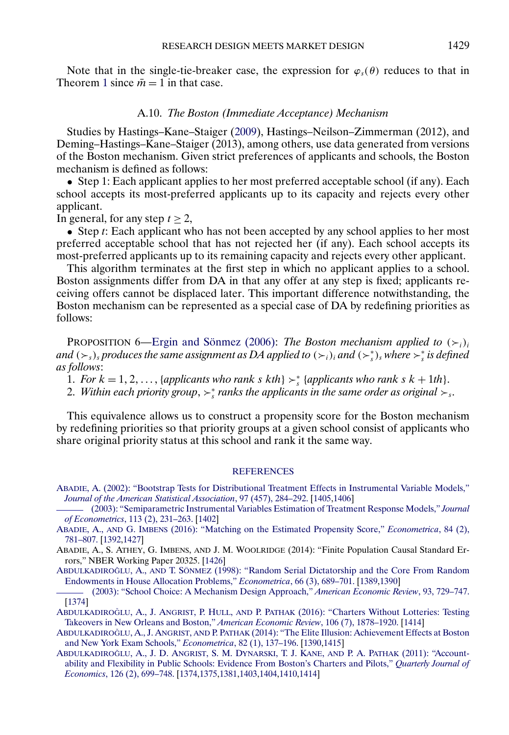<span id="page-57-0"></span>Note that in the single-tie-breaker case, the expression for  $\varphi_s(\theta)$  reduces to that in Theorem [1](#page-17-0) since  $\overline{m} = 1$  in that case.

#### A.10. *The Boston (Immediate Acceptance) Mechanism*

Studies by Hastings–Kane–Staiger [\(2009\)](#page-59-0), Hastings–Neilson–Zimmerman (2012), and Deming–Hastings–Kane–Staiger (2013), among others, use data generated from versions of the Boston mechanism. Given strict preferences of applicants and schools, the Boston mechanism is defined as follows:

• Step 1: Each applicant applies to her most preferred acceptable school (if any). Each school accepts its most-preferred applicants up to its capacity and rejects every other applicant.

In general, for any step  $t \geq 2$ ,

• Step *t*: Each applicant who has not been accepted by any school applies to her most preferred acceptable school that has not rejected her (if any). Each school accepts its most-preferred applicants up to its remaining capacity and rejects every other applicant.

This algorithm terminates at the first step in which no applicant applies to a school. Boston assignments differ from DA in that any offer at any step is fixed; applicants receiving offers cannot be displaced later. This important difference notwithstanding, the Boston mechanism can be represented as a special case of DA by redefining priorities as follows:

PROPOSITION 6[—Ergin and Sönmez \(2006\):](#page-59-0) *The Boston mechanism applied to*  $(\succ_i)_i$ and  $(\succ_s)_{s}$  produces the same assignment as DA applied to  $(\succ_i)_{i}$  and  $(\succ_s^*)_{s}$  where  $\succ_s^*$  is defined *as follows*:

- 1. For  $k = 1, 2, \ldots$ , {*applicants who rank s kth*}  $\succ_s^*$  {*applicants who rank s k* + 1*th*}.
- 2. Within each priority group,  $\succ_s^*$  ranks the applicants in the same order as original  $\succ_s$ .

This equivalence allows us to construct a propensity score for the Boston mechanism by redefining priorities so that priority groups at a given school consist of applicants who share original priority status at this school and rank it the same way.

#### **[REFERENCES](http://www.e-publications.org/srv/ecta/linkserver/setprefs?rfe_id=urn:sici%2F0012-9682%28201709%2985%3A5%3C1373%3ARDMMDU%3E2.0.CO%3B2-1)**

- [ABADIE, A. \(2002\): "Bootstrap Tests for Distributional Treatment Effects in Instrumental Variable Models,"](http://www.e-publications.org/srv/ecta/linkserver/openurl?rft_dat=bib:1/abadie:02&rfe_id=urn:sici%2F0012-9682%28201709%2985%3A5%3C1373%3ARDMMDU%3E2.0.CO%3B2-1) *[Journal of the American Statistical Association](http://www.e-publications.org/srv/ecta/linkserver/openurl?rft_dat=bib:1/abadie:02&rfe_id=urn:sici%2F0012-9682%28201709%2985%3A5%3C1373%3ARDMMDU%3E2.0.CO%3B2-1)*, 97 (457), 284–292. [\[1405,](#page-32-0)[1406\]](#page-33-0)
- [\(2003\): "Semiparametric Instrumental Variables Estimation of Treatment Response Models,"](http://www.e-publications.org/srv/ecta/linkserver/openurl?rft_dat=bib:2/abadie:03&rfe_id=urn:sici%2F0012-9682%28201709%2985%3A5%3C1373%3ARDMMDU%3E2.0.CO%3B2-1) *Journal of Econometrics*[, 113 \(2\), 231–263.](http://www.e-publications.org/srv/ecta/linkserver/openurl?rft_dat=bib:2/abadie:03&rfe_id=urn:sici%2F0012-9682%28201709%2985%3A5%3C1373%3ARDMMDU%3E2.0.CO%3B2-1) [\[1402\]](#page-29-0)
- ABADIE, A., AND G. IMBENS [\(2016\): "Matching on the Estimated Propensity Score,"](http://www.e-publications.org/srv/ecta/linkserver/openurl?rft_dat=bib:3/abadie/imbens:12&rfe_id=urn:sici%2F0012-9682%28201709%2985%3A5%3C1373%3ARDMMDU%3E2.0.CO%3B2-1) *Econometrica*, 84 (2), [781–807.](http://www.e-publications.org/srv/ecta/linkserver/openurl?rft_dat=bib:3/abadie/imbens:12&rfe_id=urn:sici%2F0012-9682%28201709%2985%3A5%3C1373%3ARDMMDU%3E2.0.CO%3B2-1) [\[1392,](#page-19-0)[1427\]](#page-54-0)

ABADIE, A., S. ATHEY, G. IMBENS, AND J. M. WOOLRIDGE (2014): "Finite Population Causal Standard Errors," NBER Working Paper 20325. [\[1426\]](#page-53-0)

ABDULKADIROĞLU, A., AND T. SÖNMEZ [\(1998\): "Random Serial Dictatorship and the Core From Random](http://www.e-publications.org/srv/ecta/linkserver/openurl?rft_dat=bib:5/abdulkadiroglu/sonmez:98&rfe_id=urn:sici%2F0012-9682%28201709%2985%3A5%3C1373%3ARDMMDU%3E2.0.CO%3B2-1) [Endowments in House Allocation Problems,"](http://www.e-publications.org/srv/ecta/linkserver/openurl?rft_dat=bib:5/abdulkadiroglu/sonmez:98&rfe_id=urn:sici%2F0012-9682%28201709%2985%3A5%3C1373%3ARDMMDU%3E2.0.CO%3B2-1) *Econometrica*, 66 (3), 689–701. [\[1389,](#page-16-0)[1390\]](#page-17-0)

[\(2003\): "School Choice: A Mechanism Design Approach,"](http://www.e-publications.org/srv/ecta/linkserver/openurl?rft_dat=bib:6/abdulkadiroglu/sonmez:03&rfe_id=urn:sici%2F0012-9682%28201709%2985%3A5%3C1373%3ARDMMDU%3E2.0.CO%3B2-1) *American Economic Review*, 93, 729–747. [\[1374\]](#page-1-0)

ABDULKADIROĞLU, A., J. ANGRIST, P. HULL, AND P. PATHAK [\(2016\): "Charters Without Lotteries: Testing](http://www.e-publications.org/srv/ecta/linkserver/openurl?rft_dat=bib:7/abdulkadiroglu/angrist/hull/pathak:16&rfe_id=urn:sici%2F0012-9682%28201709%2985%3A5%3C1373%3ARDMMDU%3E2.0.CO%3B2-1) [Takeovers in New Orleans and Boston,"](http://www.e-publications.org/srv/ecta/linkserver/openurl?rft_dat=bib:7/abdulkadiroglu/angrist/hull/pathak:16&rfe_id=urn:sici%2F0012-9682%28201709%2985%3A5%3C1373%3ARDMMDU%3E2.0.CO%3B2-1) *American Economic Review*, 106 (7), 1878–1920. [\[1414\]](#page-41-0)

ABDULKADIROĞLU, A., J. ANGRIST, AND P. PATHAK [\(2014\): "The Elite Illusion: Achievement Effects at Boston](http://www.e-publications.org/srv/ecta/linkserver/openurl?rft_dat=bib:8/abdulkadiroglu/angrist/pathak:11&rfe_id=urn:sici%2F0012-9682%28201709%2985%3A5%3C1373%3ARDMMDU%3E2.0.CO%3B2-1) [and New York Exam Schools,"](http://www.e-publications.org/srv/ecta/linkserver/openurl?rft_dat=bib:8/abdulkadiroglu/angrist/pathak:11&rfe_id=urn:sici%2F0012-9682%28201709%2985%3A5%3C1373%3ARDMMDU%3E2.0.CO%3B2-1) *Econometrica*, 82 (1), 137–196. [\[1390](#page-17-0)[,1415\]](#page-42-0)

ABDULKADIROĞLU[, A., J. D. ANGRIST, S. M. DYNARSKI, T. J. KANE,](http://www.e-publications.org/srv/ecta/linkserver/openurl?rft_dat=bib:9/abdulkadiroglu/angrist/dynarski/kane/pathak:11&rfe_id=urn:sici%2F0012-9682%28201709%2985%3A5%3C1373%3ARDMMDU%3E2.0.CO%3B2-1) AND P. A. PATHAK (2011): "Account[ability and Flexibility in Public Schools: Evidence From Boston's Charters and Pilots,"](http://www.e-publications.org/srv/ecta/linkserver/openurl?rft_dat=bib:9/abdulkadiroglu/angrist/dynarski/kane/pathak:11&rfe_id=urn:sici%2F0012-9682%28201709%2985%3A5%3C1373%3ARDMMDU%3E2.0.CO%3B2-1) *Quarterly Journal of Economics*[, 126 \(2\), 699–748.](http://www.e-publications.org/srv/ecta/linkserver/openurl?rft_dat=bib:9/abdulkadiroglu/angrist/dynarski/kane/pathak:11&rfe_id=urn:sici%2F0012-9682%28201709%2985%3A5%3C1373%3ARDMMDU%3E2.0.CO%3B2-1) [\[1374,](#page-1-0)[1375,](#page-2-0)[1381,](#page-8-0)[1403,](#page-30-0)[1404,](#page-31-0)[1410,](#page-37-0)[1414\]](#page-41-0)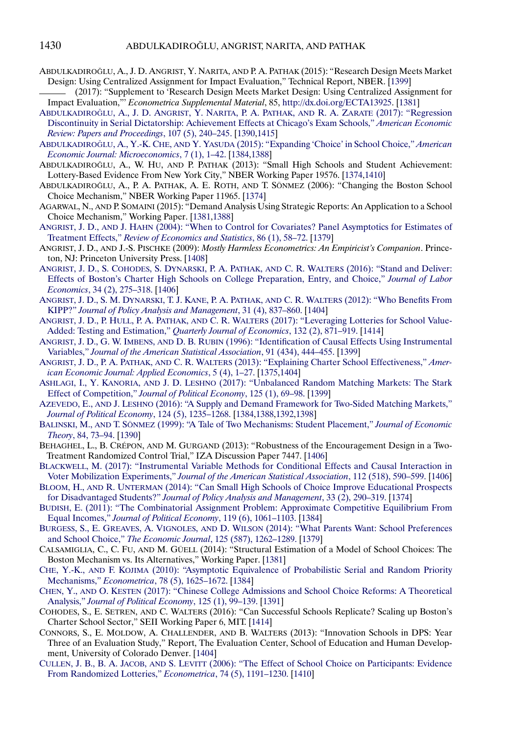- ABDULKADIROĞLU, A., J. D. ANGRIST, Y. NARITA, AND P. A. PATHAK (2015): "Research Design Meets Market Design: Using Centralized Assignment for Impact Evaluation," Technical Report, NBER. [\[1399\]](#page-26-0)
- (2017): "Supplement to 'Research Design Meets Market Design: Using Centralized Assignment for Impact Evaluation,"' *Econometrica Supplemental Material*, 85, <http://dx.doi.org/ECTA13925>. [\[1381\]](#page-8-0)
- ABDULKADIROĞLU[, A., J. D. ANGRIST, Y. NARITA, P. A. PATHAK,](http://www.e-publications.org/srv/ecta/linkserver/openurl?rft_dat=bib:12/mdrd2:17&rfe_id=urn:sici%2F0012-9682%28201709%2985%3A5%3C1373%3ARDMMDU%3E2.0.CO%3B2-1) AND R. A. ZARATE (2017): "Regression [Discontinuity in Serial Dictatorship: Achievement Effects at Chicago's Exam Schools,"](http://www.e-publications.org/srv/ecta/linkserver/openurl?rft_dat=bib:12/mdrd2:17&rfe_id=urn:sici%2F0012-9682%28201709%2985%3A5%3C1373%3ARDMMDU%3E2.0.CO%3B2-1) *American Economic [Review: Papers and Proceedings](http://www.e-publications.org/srv/ecta/linkserver/openurl?rft_dat=bib:12/mdrd2:17&rfe_id=urn:sici%2F0012-9682%28201709%2985%3A5%3C1373%3ARDMMDU%3E2.0.CO%3B2-1)*, 107 (5), 240–245. [\[1390,](#page-17-0)[1415\]](#page-42-0)
- ABDULKADIROGLU ˘ , A., Y.-K. CHE, AND Y. YASUDA [\(2015\): "Expanding 'Choice' in School Choice,"](http://www.e-publications.org/srv/ecta/linkserver/openurl?rft_dat=bib:13/abdulkadiroglu/che/yasuda:10&rfe_id=urn:sici%2F0012-9682%28201709%2985%3A5%3C1373%3ARDMMDU%3E2.0.CO%3B2-1) *American [Economic Journal: Microeconomics](http://www.e-publications.org/srv/ecta/linkserver/openurl?rft_dat=bib:13/abdulkadiroglu/che/yasuda:10&rfe_id=urn:sici%2F0012-9682%28201709%2985%3A5%3C1373%3ARDMMDU%3E2.0.CO%3B2-1)*, 7 (1), 1–42. [\[1384,](#page-11-0)[1388\]](#page-15-0)
- ABDULKADIROĞLU, A., W. HU, AND P. PATHAK (2013): "Small High Schools and Student Achievement: Lottery-Based Evidence From New York City," NBER Working Paper 19576. [\[1374](#page-1-0)[,1410\]](#page-37-0)
- ABDULKADIROĞLU, A., P. A. PATHAK, A. E. ROTH, AND T. SÖNMEZ (2006): "Changing the Boston School Choice Mechanism," NBER Working Paper 11965. [\[1374\]](#page-1-0)
- AGARWAL, N., AND P. SOMAINI (2015): "Demand Analysis Using Strategic Reports: An Application to a School Choice Mechanism," Working Paper. [\[1381](#page-8-0)[,1388\]](#page-15-0)
- ANGRIST, J. D., AND J. HAHN [\(2004\): "When to Control for Covariates? Panel Asymptotics for Estimates of](http://www.e-publications.org/srv/ecta/linkserver/openurl?rft_dat=bib:17/angrist/hahn:04&rfe_id=urn:sici%2F0012-9682%28201709%2985%3A5%3C1373%3ARDMMDU%3E2.0.CO%3B2-1) Treatment Effects," *[Review of Economics and Statistics](http://www.e-publications.org/srv/ecta/linkserver/openurl?rft_dat=bib:17/angrist/hahn:04&rfe_id=urn:sici%2F0012-9682%28201709%2985%3A5%3C1373%3ARDMMDU%3E2.0.CO%3B2-1)*, 86 (1), 58–72. [\[1379\]](#page-6-0)
- ANGRIST, J. D., AND J.-S. PISCHKE (2009): *Mostly Harmless Econometrics: An Empiricist's Companion*. Princeton, NJ: Princeton University Press. [\[1408\]](#page-35-0)
- [ANGRIST, J. D., S. COHODES, S. DYNARSKI, P. A. PATHAK,](http://www.e-publications.org/srv/ecta/linkserver/openurl?rft_dat=bib:19/angrist/cohodes/dynarski/pathak/walters:15&rfe_id=urn:sici%2F0012-9682%28201709%2985%3A5%3C1373%3ARDMMDU%3E2.0.CO%3B2-1) AND C. R. WALTERS (2016): "Stand and Deliver: [Effects of Boston's Charter High Schools on College Preparation, Entry, and Choice,"](http://www.e-publications.org/srv/ecta/linkserver/openurl?rft_dat=bib:19/angrist/cohodes/dynarski/pathak/walters:15&rfe_id=urn:sici%2F0012-9682%28201709%2985%3A5%3C1373%3ARDMMDU%3E2.0.CO%3B2-1) *Journal of Labor Economics*[, 34 \(2\), 275–318.](http://www.e-publications.org/srv/ecta/linkserver/openurl?rft_dat=bib:19/angrist/cohodes/dynarski/pathak/walters:15&rfe_id=urn:sici%2F0012-9682%28201709%2985%3A5%3C1373%3ARDMMDU%3E2.0.CO%3B2-1) [\[1406\]](#page-33-0)
- [ANGRIST, J. D., S. M. DYNARSKI, T. J. KANE, P. A. PATHAK,](http://www.e-publications.org/srv/ecta/linkserver/openurl?rft_dat=bib:20/angrist/dynarski/kane/pathak/walters:10&rfe_id=urn:sici%2F0012-9682%28201709%2985%3A5%3C1373%3ARDMMDU%3E2.0.CO%3B2-1) AND C. R. WALTERS (2012): "Who Benefits From KIPP?" *[Journal of Policy Analysis and Management](http://www.e-publications.org/srv/ecta/linkserver/openurl?rft_dat=bib:20/angrist/dynarski/kane/pathak/walters:10&rfe_id=urn:sici%2F0012-9682%28201709%2985%3A5%3C1373%3ARDMMDU%3E2.0.CO%3B2-1)*, 31 (4), 837–860. [\[1404\]](#page-31-0)
- ANGRIST, J. D., P. HULL, P. A. PATHAK, AND C. R. WALTERS [\(2017\): "Leveraging Lotteries for School Value-](http://www.e-publications.org/srv/ecta/linkserver/openurl?rft_dat=bib:21/angrist/hull/pathak/walters:16&rfe_id=urn:sici%2F0012-9682%28201709%2985%3A5%3C1373%3ARDMMDU%3E2.0.CO%3B2-1)[Added: Testing and Estimation,"](http://www.e-publications.org/srv/ecta/linkserver/openurl?rft_dat=bib:21/angrist/hull/pathak/walters:16&rfe_id=urn:sici%2F0012-9682%28201709%2985%3A5%3C1373%3ARDMMDU%3E2.0.CO%3B2-1) *Quarterly Journal of Economics*, 132 (2), 871–919. [\[1414\]](#page-41-0)
- ANGRIST, J. D., G. W. IMBENS, AND D. B. RUBIN [\(1996\): "Identification of Causal Effects Using Instrumental](http://www.e-publications.org/srv/ecta/linkserver/openurl?rft_dat=bib:22/angrist/imbens/rubin:96&rfe_id=urn:sici%2F0012-9682%28201709%2985%3A5%3C1373%3ARDMMDU%3E2.0.CO%3B2-1) Variables," *[Journal of the American Statistical Association](http://www.e-publications.org/srv/ecta/linkserver/openurl?rft_dat=bib:22/angrist/imbens/rubin:96&rfe_id=urn:sici%2F0012-9682%28201709%2985%3A5%3C1373%3ARDMMDU%3E2.0.CO%3B2-1)*, 91 (434), 444–455. [\[1399\]](#page-26-0)
- ANGRIST, J. D., P. A. PATHAK, AND C. R. WALTERS [\(2013\): "Explaining Charter School Effectiveness,"](http://www.e-publications.org/srv/ecta/linkserver/openurl?rft_dat=bib:23/angrist/pathak/walters:11&rfe_id=urn:sici%2F0012-9682%28201709%2985%3A5%3C1373%3ARDMMDU%3E2.0.CO%3B2-1) *Amer[ican Economic Journal: Applied Economics](http://www.e-publications.org/srv/ecta/linkserver/openurl?rft_dat=bib:23/angrist/pathak/walters:11&rfe_id=urn:sici%2F0012-9682%28201709%2985%3A5%3C1373%3ARDMMDU%3E2.0.CO%3B2-1)*, 5 (4), 1–27. [\[1375](#page-2-0)[,1404\]](#page-31-0)
- ASHLAGI, I., Y. KANORIA, AND J. D. LESHNO [\(2017\): "Unbalanced Random Matching Markets: The Stark](http://www.e-publications.org/srv/ecta/linkserver/openurl?rft_dat=bib:24/ashlagi/kanoria/leshno:15&rfe_id=urn:sici%2F0012-9682%28201709%2985%3A5%3C1373%3ARDMMDU%3E2.0.CO%3B2-1) Effect of Competition," *[Journal of Political Economy](http://www.e-publications.org/srv/ecta/linkserver/openurl?rft_dat=bib:24/ashlagi/kanoria/leshno:15&rfe_id=urn:sici%2F0012-9682%28201709%2985%3A5%3C1373%3ARDMMDU%3E2.0.CO%3B2-1)*, 125 (1), 69–98. [\[1399\]](#page-26-0)
- AZEVEDO, E., AND J. LESHNO [\(2016\): "A Supply and Demand Framework for Two-Sided Matching Markets,"](http://www.e-publications.org/srv/ecta/linkserver/openurl?rft_dat=bib:25/azevedo/leshno:14&rfe_id=urn:sici%2F0012-9682%28201709%2985%3A5%3C1373%3ARDMMDU%3E2.0.CO%3B2-1) *[Journal of Political Economy](http://www.e-publications.org/srv/ecta/linkserver/openurl?rft_dat=bib:25/azevedo/leshno:14&rfe_id=urn:sici%2F0012-9682%28201709%2985%3A5%3C1373%3ARDMMDU%3E2.0.CO%3B2-1)*, 124 (5), 1235–1268. [\[1384](#page-11-0)[,1388,](#page-15-0)[1392,](#page-19-0)[1398\]](#page-25-0)
- BALINSKI, M., AND T. SÖNMEZ [\(1999\): "A Tale of Two Mechanisms: Student Placement,"](http://www.e-publications.org/srv/ecta/linkserver/openurl?rft_dat=bib:26/balinski/sonmez:99&rfe_id=urn:sici%2F0012-9682%28201709%2985%3A5%3C1373%3ARDMMDU%3E2.0.CO%3B2-1) *Journal of Economic Theory*[, 84, 73–94.](http://www.e-publications.org/srv/ecta/linkserver/openurl?rft_dat=bib:26/balinski/sonmez:99&rfe_id=urn:sici%2F0012-9682%28201709%2985%3A5%3C1373%3ARDMMDU%3E2.0.CO%3B2-1) [\[1390\]](#page-17-0)
- BEHAGHEL, L., B. CRÉPON, AND M. GURGAND (2013): "Robustness of the Encouragement Design in a Two-Treatment Randomized Control Trial," IZA Discussion Paper 7447. [\[1406\]](#page-33-0)
- [BLACKWELL, M. \(2017\): "Instrumental Variable Methods for Conditional Effects and Causal Interaction in](http://www.e-publications.org/srv/ecta/linkserver/openurl?rft_dat=bib:28/blackwell:15&rfe_id=urn:sici%2F0012-9682%28201709%2985%3A5%3C1373%3ARDMMDU%3E2.0.CO%3B2-1) Voter Mobilization Experiments," *[Journal of the American Statistical Association](http://www.e-publications.org/srv/ecta/linkserver/openurl?rft_dat=bib:28/blackwell:15&rfe_id=urn:sici%2F0012-9682%28201709%2985%3A5%3C1373%3ARDMMDU%3E2.0.CO%3B2-1)*, 112 (518), 590–599. [\[1406\]](#page-33-0)
- BLOOM, H., AND R. UNTERMAN [\(2014\): "Can Small High Schools of Choice Improve Educational Prospects](http://www.e-publications.org/srv/ecta/linkserver/openurl?rft_dat=bib:29/bloom/unterman:14&rfe_id=urn:sici%2F0012-9682%28201709%2985%3A5%3C1373%3ARDMMDU%3E2.0.CO%3B2-1) for Disadvantaged Students?" *[Journal of Policy Analysis and Management](http://www.e-publications.org/srv/ecta/linkserver/openurl?rft_dat=bib:29/bloom/unterman:14&rfe_id=urn:sici%2F0012-9682%28201709%2985%3A5%3C1373%3ARDMMDU%3E2.0.CO%3B2-1)*, 33 (2), 290–319. [\[1374\]](#page-1-0)
- [BUDISH, E. \(2011\): "The Combinatorial Assignment Problem: Approximate Competitive Equilibrium From](http://www.e-publications.org/srv/ecta/linkserver/openurl?rft_dat=bib:30/budish:11&rfe_id=urn:sici%2F0012-9682%28201709%2985%3A5%3C1373%3ARDMMDU%3E2.0.CO%3B2-1) Equal Incomes," *[Journal of Political Economy](http://www.e-publications.org/srv/ecta/linkserver/openurl?rft_dat=bib:30/budish:11&rfe_id=urn:sici%2F0012-9682%28201709%2985%3A5%3C1373%3ARDMMDU%3E2.0.CO%3B2-1)*, 119 (6), 1061–1103. [\[1384\]](#page-11-0)
- BURGESS, S., E. GREAVES, A. VIGNOLES, AND D. WILSON [\(2014\): "What Parents Want: School Preferences](http://www.e-publications.org/srv/ecta/linkserver/openurl?rft_dat=bib:31/burgess:14&rfe_id=urn:sici%2F0012-9682%28201709%2985%3A5%3C1373%3ARDMMDU%3E2.0.CO%3B2-1) and School Choice," *The Economic Journal*[, 125 \(587\), 1262–1289.](http://www.e-publications.org/srv/ecta/linkserver/openurl?rft_dat=bib:31/burgess:14&rfe_id=urn:sici%2F0012-9682%28201709%2985%3A5%3C1373%3ARDMMDU%3E2.0.CO%3B2-1) [\[1379\]](#page-6-0)
- CALSAMIGLIA, C., C. FU, AND M. GÜELL (2014): "Structural Estimation of a Model of School Choices: The Boston Mechanism vs. Its Alternatives," Working Paper. [\[1381\]](#page-8-0)
- CHE, Y.-K., AND F. KOJIMA [\(2010\): "Asymptotic Equivalence of Probabilistic Serial and Random Priority](http://www.e-publications.org/srv/ecta/linkserver/openurl?rft_dat=bib:33/che/kojima:10&rfe_id=urn:sici%2F0012-9682%28201709%2985%3A5%3C1373%3ARDMMDU%3E2.0.CO%3B2-1) Mechanisms," *Econometrica*[, 78 \(5\), 1625–1672.](http://www.e-publications.org/srv/ecta/linkserver/openurl?rft_dat=bib:33/che/kojima:10&rfe_id=urn:sici%2F0012-9682%28201709%2985%3A5%3C1373%3ARDMMDU%3E2.0.CO%3B2-1) [\[1384\]](#page-11-0)
- CHEN, Y., AND O. KESTEN [\(2017\): "Chinese College Admissions and School Choice Reforms: A Theoretical](http://www.e-publications.org/srv/ecta/linkserver/openurl?rft_dat=bib:34/chen/kesten:16&rfe_id=urn:sici%2F0012-9682%28201709%2985%3A5%3C1373%3ARDMMDU%3E2.0.CO%3B2-1) Analysis," *[Journal of Political Economy](http://www.e-publications.org/srv/ecta/linkserver/openurl?rft_dat=bib:34/chen/kesten:16&rfe_id=urn:sici%2F0012-9682%28201709%2985%3A5%3C1373%3ARDMMDU%3E2.0.CO%3B2-1)*, 125 (1), 99–139. [\[1391\]](#page-18-0)
- COHODES, S., E. SETREN, AND C. WALTERS (2016): "Can Successful Schools Replicate? Scaling up Boston's Charter School Sector," SEII Working Paper 6, MIT. [\[1414\]](#page-41-0)
- CONNORS, S., E. MOLDOW, A. CHALLENDER, AND B. WALTERS (2013): "Innovation Schools in DPS: Year Three of an Evaluation Study," Report, The Evaluation Center, School of Education and Human Development, University of Colorado Denver. [\[1404\]](#page-31-0)
- CULLEN, J. B., B. A. JACOB, AND S. LEVITT [\(2006\): "The Effect of School Choice on Participants: Evidence](http://www.e-publications.org/srv/ecta/linkserver/openurl?rft_dat=bib:37/cullen/jacob/levitt:06&rfe_id=urn:sici%2F0012-9682%28201709%2985%3A5%3C1373%3ARDMMDU%3E2.0.CO%3B2-1) [From Randomized Lotteries,"](http://www.e-publications.org/srv/ecta/linkserver/openurl?rft_dat=bib:37/cullen/jacob/levitt:06&rfe_id=urn:sici%2F0012-9682%28201709%2985%3A5%3C1373%3ARDMMDU%3E2.0.CO%3B2-1) *Econometrica*, 74 (5), 1191–1230. [\[1410\]](#page-37-0)

<span id="page-58-0"></span>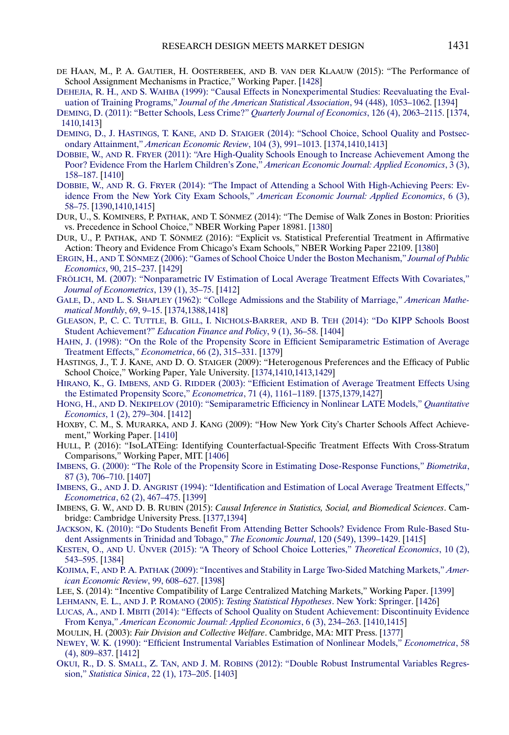- <span id="page-59-0"></span>DE HAAN, M., P. A. GAUTIER, H. OOSTERBEEK, AND B. VAN DER KLAAUW (2015): "The Performance of School Assignment Mechanisms in Practice," Working Paper. [\[1428\]](#page-55-0)
- DEHEJIA, R. H., AND S. WAHBA [\(1999\): "Causal Effects in Nonexperimental Studies: Reevaluating the Eval](http://www.e-publications.org/srv/ecta/linkserver/openurl?rft_dat=bib:39/dehejia1999causal&rfe_id=urn:sici%2F0012-9682%28201709%2985%3A5%3C1373%3ARDMMDU%3E2.0.CO%3B2-1)uation of Training Programs," *[Journal of the American Statistical Association](http://www.e-publications.org/srv/ecta/linkserver/openurl?rft_dat=bib:39/dehejia1999causal&rfe_id=urn:sici%2F0012-9682%28201709%2985%3A5%3C1373%3ARDMMDU%3E2.0.CO%3B2-1)*, 94 (448), 1053–1062. [\[1394\]](#page-21-0)
- [DEMING, D. \(2011\): "Better Schools, Less Crime?"](http://www.e-publications.org/srv/ecta/linkserver/openurl?rft_dat=bib:40/deming:11&rfe_id=urn:sici%2F0012-9682%28201709%2985%3A5%3C1373%3ARDMMDU%3E2.0.CO%3B2-1) *Quarterly Journal of Economics*, 126 (4), 2063–2115. [\[1374,](#page-1-0) [1410,](#page-37-0)[1413\]](#page-40-0)
- DEMING, D., J. HASTINGS, T. KANE, AND D. STAIGER [\(2014\): "School Choice, School Quality and Postsec](http://www.e-publications.org/srv/ecta/linkserver/openurl?rft_dat=bib:41/deming/hastings/kane/staiger:13&rfe_id=urn:sici%2F0012-9682%28201709%2985%3A5%3C1373%3ARDMMDU%3E2.0.CO%3B2-1)ondary Attainment," *[American Economic Review](http://www.e-publications.org/srv/ecta/linkserver/openurl?rft_dat=bib:41/deming/hastings/kane/staiger:13&rfe_id=urn:sici%2F0012-9682%28201709%2985%3A5%3C1373%3ARDMMDU%3E2.0.CO%3B2-1)*, 104 (3), 991–1013. [\[1374](#page-1-0)[,1410](#page-37-0)[,1413\]](#page-40-0)
- DOBBIE, W., AND R. FRYER [\(2011\): "Are High-Quality Schools Enough to Increase Achievement Among the](http://www.e-publications.org/srv/ecta/linkserver/openurl?rft_dat=bib:42/dobbie/fryer:10&rfe_id=urn:sici%2F0012-9682%28201709%2985%3A5%3C1373%3ARDMMDU%3E2.0.CO%3B2-1) [Poor? Evidence From the Harlem Children's Zone,"](http://www.e-publications.org/srv/ecta/linkserver/openurl?rft_dat=bib:42/dobbie/fryer:10&rfe_id=urn:sici%2F0012-9682%28201709%2985%3A5%3C1373%3ARDMMDU%3E2.0.CO%3B2-1) *American Economic Journal: Applied Economics*, 3 (3), [158–187.](http://www.e-publications.org/srv/ecta/linkserver/openurl?rft_dat=bib:42/dobbie/fryer:10&rfe_id=urn:sici%2F0012-9682%28201709%2985%3A5%3C1373%3ARDMMDU%3E2.0.CO%3B2-1) [\[1410\]](#page-37-0)
- DOBBIE, W., AND R. G. FRYER [\(2014\): "The Impact of Attending a School With High-Achieving Peers: Ev](http://www.e-publications.org/srv/ecta/linkserver/openurl?rft_dat=bib:43/dobbie/fryer:11&rfe_id=urn:sici%2F0012-9682%28201709%2985%3A5%3C1373%3ARDMMDU%3E2.0.CO%3B2-1)[idence From the New York City Exam Schools,"](http://www.e-publications.org/srv/ecta/linkserver/openurl?rft_dat=bib:43/dobbie/fryer:11&rfe_id=urn:sici%2F0012-9682%28201709%2985%3A5%3C1373%3ARDMMDU%3E2.0.CO%3B2-1) *American Economic Journal: Applied Economics*, 6 (3), [58–75.](http://www.e-publications.org/srv/ecta/linkserver/openurl?rft_dat=bib:43/dobbie/fryer:11&rfe_id=urn:sici%2F0012-9682%28201709%2985%3A5%3C1373%3ARDMMDU%3E2.0.CO%3B2-1) [\[1390](#page-17-0)[,1410](#page-37-0)[,1415\]](#page-42-0)
- DUR, U., S. KOMINERS, P. PATHAK, AND T. SÖNMEZ (2014): "The Demise of Walk Zones in Boston: Priorities vs. Precedence in School Choice," NBER Working Paper 18981. [\[1380\]](#page-7-0)
- DUR, U., P. PATHAK, AND T. SÖNMEZ (2016): "Explicit vs. Statistical Preferential Treatment in Affirmative Action: Theory and Evidence From Chicago's Exam Schools," NBER Working Paper 22109. [\[1380\]](#page-7-0)
- ERGIN, H., AND T. SÖNMEZ [\(2006\): "Games of School Choice Under the Boston Mechanism,"](http://www.e-publications.org/srv/ecta/linkserver/openurl?rft_dat=bib:46/ergin/sonmez:05&rfe_id=urn:sici%2F0012-9682%28201709%2985%3A5%3C1373%3ARDMMDU%3E2.0.CO%3B2-1) *Journal of Public Economics*[, 90, 215–237.](http://www.e-publications.org/srv/ecta/linkserver/openurl?rft_dat=bib:46/ergin/sonmez:05&rfe_id=urn:sici%2F0012-9682%28201709%2985%3A5%3C1373%3ARDMMDU%3E2.0.CO%3B2-1) [\[1429\]](#page-56-0)
- [FRÖLICH, M. \(2007\): "Nonparametric IV Estimation of Local Average Treatment Effects With Covariates,"](http://www.e-publications.org/srv/ecta/linkserver/openurl?rft_dat=bib:47/frolich2007nonparametric&rfe_id=urn:sici%2F0012-9682%28201709%2985%3A5%3C1373%3ARDMMDU%3E2.0.CO%3B2-1) *[Journal of Econometrics](http://www.e-publications.org/srv/ecta/linkserver/openurl?rft_dat=bib:47/frolich2007nonparametric&rfe_id=urn:sici%2F0012-9682%28201709%2985%3A5%3C1373%3ARDMMDU%3E2.0.CO%3B2-1)*, 139 (1), 35–75. [\[1412\]](#page-39-0)
- GALE, D., AND L. S. SHAPLEY [\(1962\): "College Admissions and the Stability of Marriage,"](http://www.e-publications.org/srv/ecta/linkserver/openurl?rft_dat=bib:48/gale/shapley:62&rfe_id=urn:sici%2F0012-9682%28201709%2985%3A5%3C1373%3ARDMMDU%3E2.0.CO%3B2-1) *American Mathe[matical Monthly](http://www.e-publications.org/srv/ecta/linkserver/openurl?rft_dat=bib:48/gale/shapley:62&rfe_id=urn:sici%2F0012-9682%28201709%2985%3A5%3C1373%3ARDMMDU%3E2.0.CO%3B2-1)*, 69, 9–15. [\[1374,](#page-1-0)[1388](#page-15-0)[,1418\]](#page-45-0)
- [GLEASON, P., C. C. TUTTLE, B. GILL, I. NICHOLS-BARRER,](http://www.e-publications.org/srv/ecta/linkserver/openurl?rft_dat=bib:49/gleason:14&rfe_id=urn:sici%2F0012-9682%28201709%2985%3A5%3C1373%3ARDMMDU%3E2.0.CO%3B2-1) AND B. TEH (2014): "Do KIPP Schools Boost Student Achievement?" *[Education Finance and Policy](http://www.e-publications.org/srv/ecta/linkserver/openurl?rft_dat=bib:49/gleason:14&rfe_id=urn:sici%2F0012-9682%28201709%2985%3A5%3C1373%3ARDMMDU%3E2.0.CO%3B2-1)*, 9 (1), 36–58. [\[1404\]](#page-31-0)
- [HAHN, J. \(1998\): "On the Role of the Propensity Score in Efficient Semiparametric Estimation of Average](http://www.e-publications.org/srv/ecta/linkserver/openurl?rft_dat=bib:50/hahn:98&rfe_id=urn:sici%2F0012-9682%28201709%2985%3A5%3C1373%3ARDMMDU%3E2.0.CO%3B2-1) [Treatment Effects,"](http://www.e-publications.org/srv/ecta/linkserver/openurl?rft_dat=bib:50/hahn:98&rfe_id=urn:sici%2F0012-9682%28201709%2985%3A5%3C1373%3ARDMMDU%3E2.0.CO%3B2-1) *Econometrica*, 66 (2), 315–331. [\[1379\]](#page-6-0)
- HASTINGS, J., T. J. KANE, AND D. O. STAIGER (2009): "Heterogenous Preferences and the Efficacy of Public School Choice," Working Paper, Yale University. [\[1374](#page-1-0)[,1410](#page-37-0)[,1413](#page-40-0)[,1429\]](#page-56-0)
- HIRANO, K., G. IMBENS, AND G. RIDDER [\(2003\): "Efficient Estimation of Average Treatment Effects Using](http://www.e-publications.org/srv/ecta/linkserver/openurl?rft_dat=bib:52/hirano/imbens/ridder:03&rfe_id=urn:sici%2F0012-9682%28201709%2985%3A5%3C1373%3ARDMMDU%3E2.0.CO%3B2-1) [the Estimated Propensity Score,"](http://www.e-publications.org/srv/ecta/linkserver/openurl?rft_dat=bib:52/hirano/imbens/ridder:03&rfe_id=urn:sici%2F0012-9682%28201709%2985%3A5%3C1373%3ARDMMDU%3E2.0.CO%3B2-1) *Econometrica*, 71 (4), 1161–1189. [\[1375,](#page-2-0)[1379,](#page-6-0)[1427\]](#page-54-0)
- HONG, H., AND D. NEKIPELOV [\(2010\): "Semiparametric Efficiency in Nonlinear LATE Models,"](http://www.e-publications.org/srv/ecta/linkserver/openurl?rft_dat=bib:53/hong2010semiparametric&rfe_id=urn:sici%2F0012-9682%28201709%2985%3A5%3C1373%3ARDMMDU%3E2.0.CO%3B2-1) *Quantitative Economics*[, 1 \(2\), 279–304.](http://www.e-publications.org/srv/ecta/linkserver/openurl?rft_dat=bib:53/hong2010semiparametric&rfe_id=urn:sici%2F0012-9682%28201709%2985%3A5%3C1373%3ARDMMDU%3E2.0.CO%3B2-1) [\[1412\]](#page-39-0)
- HOXBY, C. M., S. MURARKA, AND J. KANG (2009): "How New York City's Charter Schools Affect Achievement," Working Paper. [\[1410\]](#page-37-0)
- HULL, P. (2016): "IsoLATEing: Identifying Counterfactual-Specific Treatment Effects With Cross-Stratum Comparisons," Working Paper, MIT. [\[1406\]](#page-33-0)
- [IMBENS, G. \(2000\): "The Role of the Propensity Score in Estimating Dose-Response Functions,"](http://www.e-publications.org/srv/ecta/linkserver/openurl?rft_dat=bib:56/imbens:00&rfe_id=urn:sici%2F0012-9682%28201709%2985%3A5%3C1373%3ARDMMDU%3E2.0.CO%3B2-1) *Biometrika*, [87 \(3\), 706–710.](http://www.e-publications.org/srv/ecta/linkserver/openurl?rft_dat=bib:56/imbens:00&rfe_id=urn:sici%2F0012-9682%28201709%2985%3A5%3C1373%3ARDMMDU%3E2.0.CO%3B2-1) [\[1407\]](#page-34-0)
- IMBENS, G., AND J. D. ANGRIST [\(1994\): "Identification and Estimation of Local Average Treatment Effects,"](http://www.e-publications.org/srv/ecta/linkserver/openurl?rft_dat=bib:57/imbens/angrist:94&rfe_id=urn:sici%2F0012-9682%28201709%2985%3A5%3C1373%3ARDMMDU%3E2.0.CO%3B2-1) *Econometrica*[, 62 \(2\), 467–475.](http://www.e-publications.org/srv/ecta/linkserver/openurl?rft_dat=bib:57/imbens/angrist:94&rfe_id=urn:sici%2F0012-9682%28201709%2985%3A5%3C1373%3ARDMMDU%3E2.0.CO%3B2-1) [\[1399\]](#page-26-0)
- IMBENS, G. W., AND D. B. RUBIN (2015): *Causal Inference in Statistics, Social, and Biomedical Sciences*. Cambridge: Cambridge University Press. [\[1377,](#page-4-0)[1394\]](#page-21-0)
- [JACKSON, K. \(2010\): "Do Students Benefit From Attending Better Schools? Evidence From Rule-Based Stu](http://www.e-publications.org/srv/ecta/linkserver/openurl?rft_dat=bib:59/jackson:10&rfe_id=urn:sici%2F0012-9682%28201709%2985%3A5%3C1373%3ARDMMDU%3E2.0.CO%3B2-1)[dent Assignments in Trinidad and Tobago,"](http://www.e-publications.org/srv/ecta/linkserver/openurl?rft_dat=bib:59/jackson:10&rfe_id=urn:sici%2F0012-9682%28201709%2985%3A5%3C1373%3ARDMMDU%3E2.0.CO%3B2-1) *The Economic Journal*, 120 (549), 1399–1429. [\[1415\]](#page-42-0)
- KESTEN, O., AND U. ÜNVER [\(2015\): "A Theory of School Choice Lotteries,"](http://www.e-publications.org/srv/ecta/linkserver/openurl?rft_dat=bib:60/kesten/unver:15&rfe_id=urn:sici%2F0012-9682%28201709%2985%3A5%3C1373%3ARDMMDU%3E2.0.CO%3B2-1) *Theoretical Economics*, 10 (2), [543–595.](http://www.e-publications.org/srv/ecta/linkserver/openurl?rft_dat=bib:60/kesten/unver:15&rfe_id=urn:sici%2F0012-9682%28201709%2985%3A5%3C1373%3ARDMMDU%3E2.0.CO%3B2-1) [\[1384\]](#page-11-0)
- KOJIMA, F., AND P. A. PATHAK [\(2009\): "Incentives and Stability in Large Two-Sided Matching Markets,"](http://www.e-publications.org/srv/ecta/linkserver/openurl?rft_dat=bib:61/kojima/pathak:09&rfe_id=urn:sici%2F0012-9682%28201709%2985%3A5%3C1373%3ARDMMDU%3E2.0.CO%3B2-1) *Amer[ican Economic Review](http://www.e-publications.org/srv/ecta/linkserver/openurl?rft_dat=bib:61/kojima/pathak:09&rfe_id=urn:sici%2F0012-9682%28201709%2985%3A5%3C1373%3ARDMMDU%3E2.0.CO%3B2-1)*, 99, 608–627. [\[1398\]](#page-25-0)
- LEE, S. (2014): "Incentive Compatibility of Large Centralized Matching Markets," Working Paper. [\[1399\]](#page-26-0)
- LEHMANN, E. L., AND J. P. ROMANO (2005): *[Testing Statistical Hypotheses](http://www.e-publications.org/srv/ecta/linkserver/openurl?rft_dat=bib:63/lehmann/romano:05&rfe_id=urn:sici%2F0012-9682%28201709%2985%3A5%3C1373%3ARDMMDU%3E2.0.CO%3B2-1)*. New York: Springer. [\[1426\]](#page-53-0)
- LUCAS, A., AND I. MBITI [\(2014\): "Effects of School Quality on Student Achievement: Discontinuity Evidence](http://www.e-publications.org/srv/ecta/linkserver/openurl?rft_dat=bib:64/lucas/mbiti:13&rfe_id=urn:sici%2F0012-9682%28201709%2985%3A5%3C1373%3ARDMMDU%3E2.0.CO%3B2-1) From Kenya," *[American Economic Journal: Applied Economics](http://www.e-publications.org/srv/ecta/linkserver/openurl?rft_dat=bib:64/lucas/mbiti:13&rfe_id=urn:sici%2F0012-9682%28201709%2985%3A5%3C1373%3ARDMMDU%3E2.0.CO%3B2-1)*, 6 (3), 234–263. [\[1410](#page-37-0)[,1415\]](#page-42-0)
- MOULIN, H. (2003): *Fair Division and Collective Welfare*. Cambridge, MA: MIT Press. [\[1377\]](#page-4-0)
- [NEWEY, W. K. \(1990\): "Efficient Instrumental Variables Estimation of Nonlinear Models,"](http://www.e-publications.org/srv/ecta/linkserver/openurl?rft_dat=bib:66/newey1990efficient&rfe_id=urn:sici%2F0012-9682%28201709%2985%3A5%3C1373%3ARDMMDU%3E2.0.CO%3B2-1) *Econometrica*, 58 [\(4\), 809–837.](http://www.e-publications.org/srv/ecta/linkserver/openurl?rft_dat=bib:66/newey1990efficient&rfe_id=urn:sici%2F0012-9682%28201709%2985%3A5%3C1373%3ARDMMDU%3E2.0.CO%3B2-1) [\[1412\]](#page-39-0)
- OKUI, R., D. S. SMALL, Z. TAN, AND J. M. ROBINS [\(2012\): "Double Robust Instrumental Variables Regres](http://www.e-publications.org/srv/ecta/linkserver/openurl?rft_dat=bib:67/okui:12&rfe_id=urn:sici%2F0012-9682%28201709%2985%3A5%3C1373%3ARDMMDU%3E2.0.CO%3B2-1)sion," *Statistica Sinica*[, 22 \(1\), 173–205.](http://www.e-publications.org/srv/ecta/linkserver/openurl?rft_dat=bib:67/okui:12&rfe_id=urn:sici%2F0012-9682%28201709%2985%3A5%3C1373%3ARDMMDU%3E2.0.CO%3B2-1) [\[1403\]](#page-30-0)